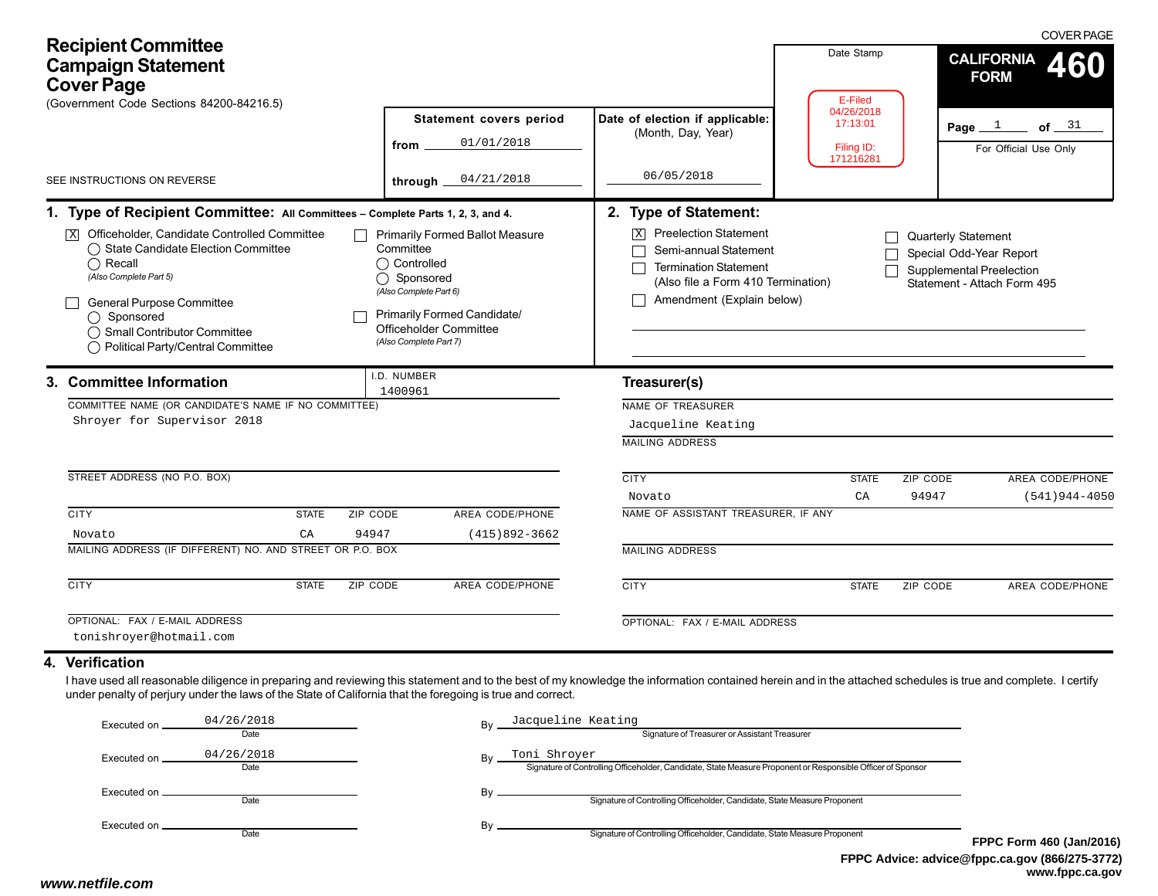| <b>Recipient Committee</b><br><b>Campaign Statement</b><br><b>Cover Page</b><br>(Government Code Sections 84200-84216.5)                                                                                                                                                                                                                                                  |                                                                                                                                                                                                    |                                                                                                                                                                                                              | Date Stamp<br>E-Filed                             | <b>COVER PAGE</b><br><b>CALIFORNIA</b><br>460<br><b>FORM</b>                                              |
|---------------------------------------------------------------------------------------------------------------------------------------------------------------------------------------------------------------------------------------------------------------------------------------------------------------------------------------------------------------------------|----------------------------------------------------------------------------------------------------------------------------------------------------------------------------------------------------|--------------------------------------------------------------------------------------------------------------------------------------------------------------------------------------------------------------|---------------------------------------------------|-----------------------------------------------------------------------------------------------------------|
|                                                                                                                                                                                                                                                                                                                                                                           | Statement covers period<br>01/01/2018<br>from                                                                                                                                                      | Date of election if applicable:<br>(Month, Day, Year)                                                                                                                                                        | 04/26/2018<br>17:13:01<br>Filing ID:<br>171216281 | of $31$<br>Page $1$<br>For Official Use Only                                                              |
| SEE INSTRUCTIONS ON REVERSE                                                                                                                                                                                                                                                                                                                                               | 04/21/2018<br>through                                                                                                                                                                              | 06/05/2018                                                                                                                                                                                                   |                                                   |                                                                                                           |
| 1. Type of Recipient Committee: All Committees - Complete Parts 1, 2, 3, and 4.<br>$\overline{\mathbb{X}}$ Officeholder, Candidate Controlled Committee<br>◯ State Candidate Election Committee<br>$\bigcap$ Recall<br>(Also Complete Part 5)<br>General Purpose Committee<br>$\bigcap$ Sponsored<br>◯ Small Contributor Committee<br>◯ Political Party/Central Committee | <b>Primarily Formed Ballot Measure</b><br>Committee<br>◯ Controlled<br>Sponsored<br>◯<br>(Also Complete Part 6)<br>Primarily Formed Candidate/<br>Officeholder Committee<br>(Also Complete Part 7) | 2. Type of Statement:<br><b>Preelection Statement</b><br>$\overline{\mathbf{x}}$<br>Semi-annual Statement<br><b>Termination Statement</b><br>(Also file a Form 410 Termination)<br>Amendment (Explain below) |                                                   | Quarterly Statement<br>Special Odd-Year Report<br>Supplemental Preelection<br>Statement - Attach Form 495 |
| 3. Committee Information<br>COMMITTEE NAME (OR CANDIDATE'S NAME IF NO COMMITTEE)<br>Shroyer for Supervisor 2018                                                                                                                                                                                                                                                           | I.D. NUMBER<br>1400961                                                                                                                                                                             | Treasurer(s)<br><b>NAME OF TREASURER</b><br>Jacqueline Keating<br><b>MAILING ADDRESS</b>                                                                                                                     |                                                   |                                                                                                           |
| STREET ADDRESS (NO P.O. BOX)                                                                                                                                                                                                                                                                                                                                              |                                                                                                                                                                                                    | <b>CITY</b><br>Novato                                                                                                                                                                                        | ZIP CODE<br><b>STATE</b><br>CA<br>94947           | AREA CODE/PHONE<br>$(541)944 - 4050$                                                                      |
| <b>CITY</b><br><b>STATE</b><br>ZIP CODE<br>CA<br>94947<br>Novato<br>MAILING ADDRESS (IF DIFFERENT) NO. AND STREET OR P.O. BOX                                                                                                                                                                                                                                             | AREA CODE/PHONE<br>$(415)892 - 3662$                                                                                                                                                               | NAME OF ASSISTANT TREASURER, IF ANY<br><b>MAILING ADDRESS</b>                                                                                                                                                |                                                   |                                                                                                           |
| <b>CITY</b><br><b>STATE</b><br>ZIP CODE                                                                                                                                                                                                                                                                                                                                   | <b>AREA CODE/PHONE</b>                                                                                                                                                                             | <b>CITY</b>                                                                                                                                                                                                  | <b>STATE</b><br>ZIP CODE                          | AREA CODE/PHONE                                                                                           |
| OPTIONAL: FAX / E-MAIL ADDRESS<br>tonishroyer@hotmail.com                                                                                                                                                                                                                                                                                                                 |                                                                                                                                                                                                    | OPTIONAL: FAX / E-MAIL ADDRESS                                                                                                                                                                               |                                                   |                                                                                                           |
| 4. Verification<br>I have used all reasonable diligence in preparing and reviewing this statement and to the best of my knowledge the information contained herein and in the attached schedules is true and complete. I certify<br>under penalty of perjury under the laws of the State of California that the foregoing is true and correct.                            |                                                                                                                                                                                                    |                                                                                                                                                                                                              |                                                   |                                                                                                           |

| Executed on . | 04/26/2018         | Bv | Jacqueline Keating                                                                                                          |            |
|---------------|--------------------|----|-----------------------------------------------------------------------------------------------------------------------------|------------|
|               | Date               |    | Signature of Treasurer or Assistant Treasurer                                                                               |            |
| Executed on   | 04/26/2018<br>Date | Bv | Toni Shroyer<br>Signature of Controlling Officeholder, Candidate, State Measure Proponent or Responsible Officer of Sponsor |            |
| Executed on _ | Date               | B٧ | Signature of Controlling Officeholder, Candidate, State Measure Proponent                                                   |            |
| Executed on . | Date               | B٧ | Signature of Controlling Officeholder, Candidate, State Measure Proponent                                                   | <b>FPP</b> |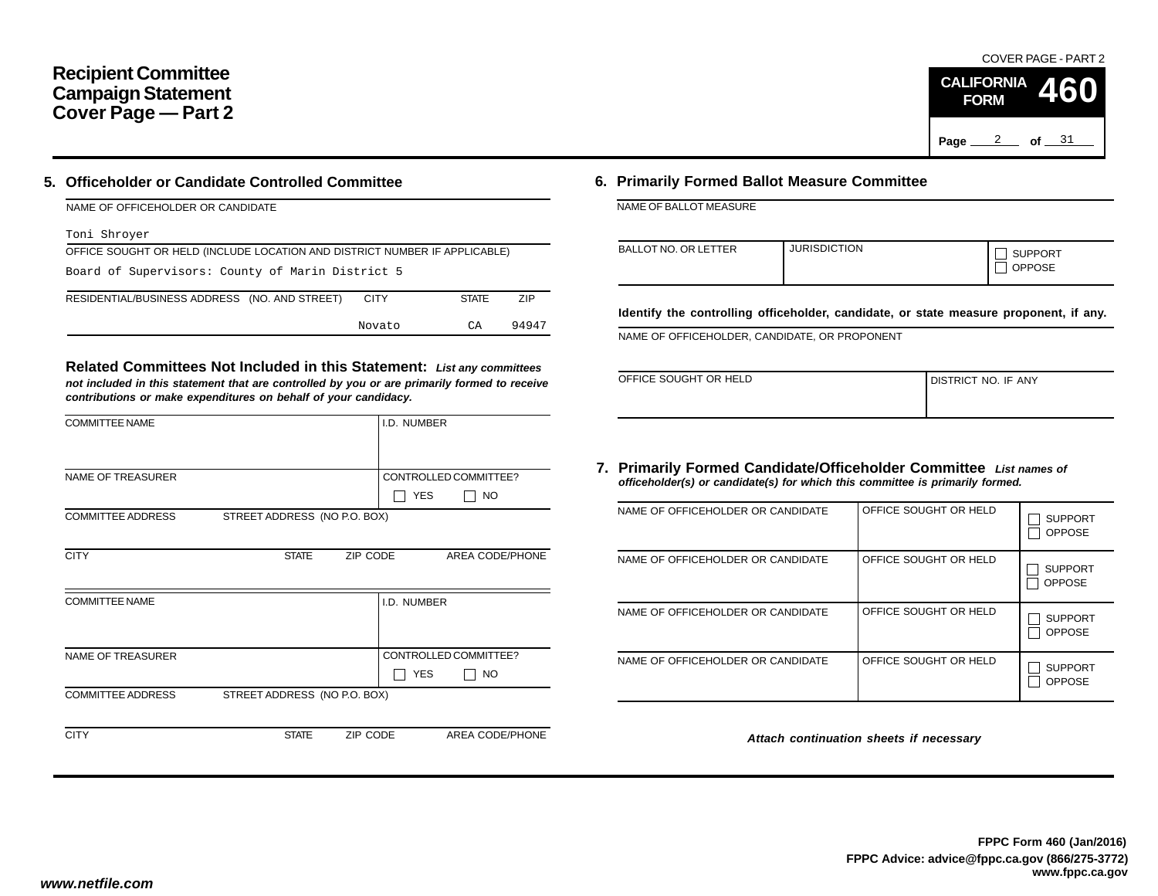## **Recipient Committee Campaign Statement Cover Page — Part 2**

### **5. Officeholder or Candidate Controlled Committee**

| NAME OF OFFICEHOLDER OR CANDIDATE |  |
|-----------------------------------|--|
|                                   |  |

#### Toni Shroyer

| OFFICE SOUGHT OR HELD (INCLUDE LOCATION AND DISTRICT NUMBER IF APPLICABLE)   |  |  |  |  |  |  |  |  |  |
|------------------------------------------------------------------------------|--|--|--|--|--|--|--|--|--|
| Board of Supervisors: County of Marin District 5                             |  |  |  |  |  |  |  |  |  |
| RESIDENTIAL/BUSINESS ADDRESS (NO. AND STREET)<br>7IP<br><b>STATE</b><br>CITY |  |  |  |  |  |  |  |  |  |
| 94947<br>СA<br>Novato                                                        |  |  |  |  |  |  |  |  |  |

**Related Committees Not Included in this Statement:** *List any committees not included in this statement that are controlled by you or are primarily formed to receive contributions or make expenditures on behalf of your candidacy.*

| <b>COMMITTEE NAME</b>    |                              |          | I.D. NUMBER |                       |
|--------------------------|------------------------------|----------|-------------|-----------------------|
|                          |                              |          |             |                       |
| <b>NAME OF TREASURER</b> |                              |          |             | CONTROLLED COMMITTEE? |
|                          |                              |          | <b>YES</b>  | <b>NO</b>             |
| <b>COMMITTEE ADDRESS</b> | STREET ADDRESS (NO P.O. BOX) |          |             |                       |
|                          |                              |          |             |                       |
| <b>CITY</b>              | <b>STATE</b>                 | ZIP CODE |             | AREA CODE/PHONE       |
|                          |                              |          |             |                       |
| <b>COMMITTEE NAME</b>    |                              |          | I.D. NUMBER |                       |
|                          |                              |          |             |                       |
|                          |                              |          |             |                       |
| <b>NAME OF TREASURER</b> |                              |          |             | CONTROLLED COMMITTEE? |
|                          |                              |          | <b>YES</b>  | NO.                   |
| <b>COMMITTEE ADDRESS</b> | STREET ADDRESS (NO P.O. BOX) |          |             |                       |
|                          |                              |          |             |                       |
| <b>CITY</b>              | <b>STATE</b>                 | ZIP CODE |             | AREA CODE/PHONE       |

## **6. Primarily Formed Ballot Measure Committee**

NAME OF BALLOT MEASURE

| <b>BALLOT NO. OR LETTER</b> | <b>JURISDICTION</b> | <b>SUPPORT</b><br><b>OPPOSE</b> |
|-----------------------------|---------------------|---------------------------------|
|-----------------------------|---------------------|---------------------------------|

**Identify the controlling officeholder, candidate, or state measure proponent, if any.**

NAME OF OFFICEHOLDER, CANDIDATE, OR PROPONENT

| OFFICE SOUGHT OR HELD | <b>I DISTRICT NO. IF ANY</b> |
|-----------------------|------------------------------|
|                       |                              |

#### **7. Primarily Formed Candidate/Officeholder Committee** *List names of officeholder(s) or candidate(s) for which this committee is primarily formed.*

| NAME OF OFFICEHOLDER OR CANDIDATE | OFFICE SOUGHT OR HELD | <b>SUPPORT</b><br><b>OPPOSE</b> |
|-----------------------------------|-----------------------|---------------------------------|
| NAME OF OFFICEHOLDER OR CANDIDATE | OFFICE SOUGHT OR HELD | <b>SUPPORT</b><br><b>OPPOSE</b> |
| NAME OF OFFICEHOLDER OR CANDIDATE | OFFICE SOUGHT OR HELD | <b>SUPPORT</b><br><b>OPPOSE</b> |
| NAME OF OFFICEHOLDER OR CANDIDATE | OFFICE SOUGHT OR HELD | <b>SUPPORT</b><br><b>OPPOSE</b> |

*Attach continuation sheets if necessary*

COVER PAGE - PART 2

**460**

Page <u>2</u> of 31

**CALIFORNIA FORM**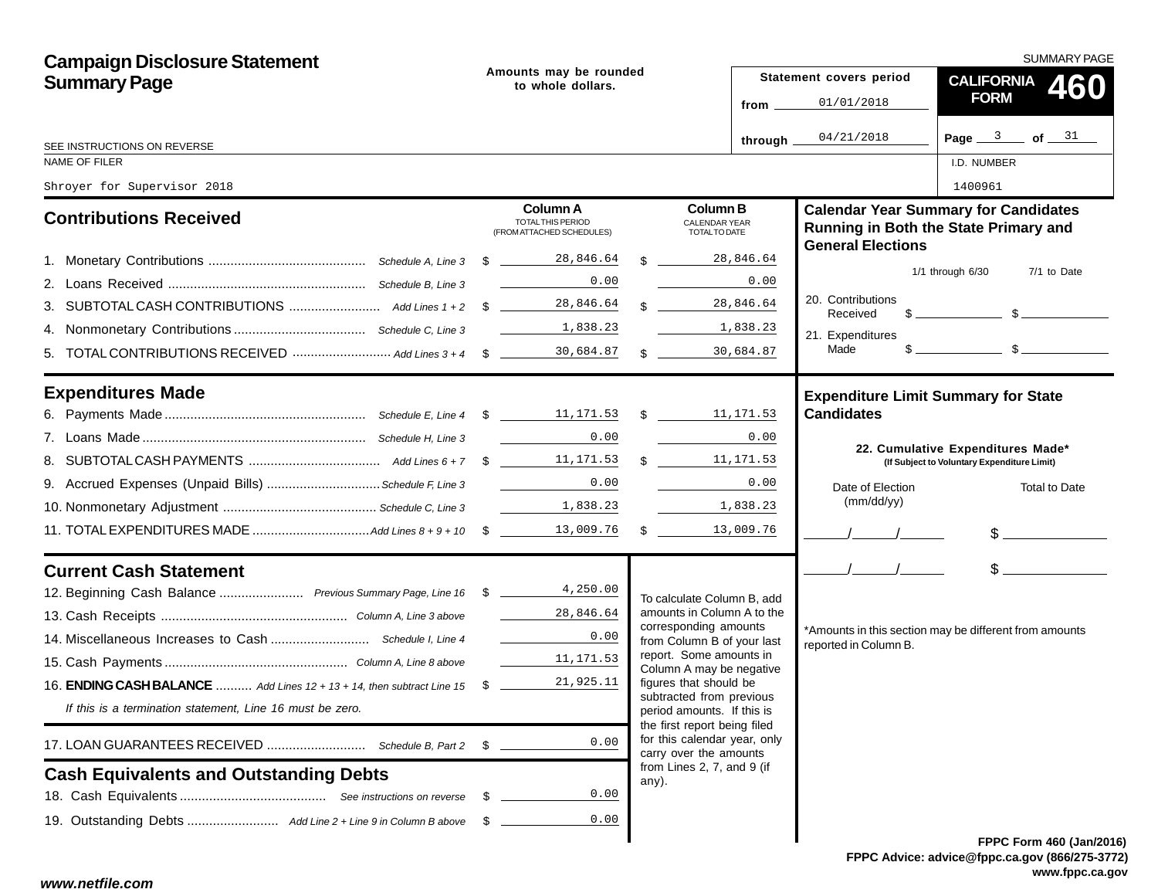| <b>Campaign Disclosure Statement</b>                                       | Amounts may be rounded<br>to whole dollars. |                                                                   |  |                                                                                        | SUMMARY PAGE |                               |                                                                                                                                                                                                                                                                                                                     |  |  |
|----------------------------------------------------------------------------|---------------------------------------------|-------------------------------------------------------------------|--|----------------------------------------------------------------------------------------|--------------|-------------------------------|---------------------------------------------------------------------------------------------------------------------------------------------------------------------------------------------------------------------------------------------------------------------------------------------------------------------|--|--|
| <b>Summary Page</b>                                                        |                                             |                                                                   |  |                                                                                        |              | Statement covers period       | CALIFORNIA 460                                                                                                                                                                                                                                                                                                      |  |  |
|                                                                            |                                             |                                                                   |  |                                                                                        | from _       | 01/01/2018                    | <b>FORM</b>                                                                                                                                                                                                                                                                                                         |  |  |
| SEE INSTRUCTIONS ON REVERSE                                                |                                             |                                                                   |  |                                                                                        | through.     | 04/21/2018                    | Page $3$ of $31$                                                                                                                                                                                                                                                                                                    |  |  |
| NAME OF FILER                                                              |                                             |                                                                   |  |                                                                                        |              |                               | I.D. NUMBER                                                                                                                                                                                                                                                                                                         |  |  |
| Shroyer for Supervisor 2018                                                |                                             |                                                                   |  |                                                                                        |              |                               | 1400961                                                                                                                                                                                                                                                                                                             |  |  |
| <b>Contributions Received</b>                                              |                                             | <b>Column A</b><br>TOTAL THIS PERIOD<br>(FROM ATTACHED SCHEDULES) |  | <b>Column B</b><br><b>CALENDAR YEAR</b><br>TOTAL TO DATE                               |              | <b>General Elections</b>      | <b>Calendar Year Summary for Candidates</b><br>Running in Both the State Primary and                                                                                                                                                                                                                                |  |  |
|                                                                            |                                             |                                                                   |  | 28,846.64<br>$\mathbb{S}$                                                              |              |                               |                                                                                                                                                                                                                                                                                                                     |  |  |
|                                                                            |                                             | 0.00                                                              |  |                                                                                        | 0.00         |                               | $1/1$ through $6/30$<br>7/1 to Date                                                                                                                                                                                                                                                                                 |  |  |
|                                                                            |                                             | 28,846.64                                                         |  | $\frac{28,846.64}{28}$                                                                 |              | 20. Contributions<br>Received | $\frac{1}{2}$ $\frac{1}{2}$ $\frac{1}{2}$ $\frac{1}{2}$ $\frac{1}{2}$ $\frac{1}{2}$ $\frac{1}{2}$ $\frac{1}{2}$ $\frac{1}{2}$ $\frac{1}{2}$ $\frac{1}{2}$ $\frac{1}{2}$ $\frac{1}{2}$ $\frac{1}{2}$ $\frac{1}{2}$ $\frac{1}{2}$ $\frac{1}{2}$ $\frac{1}{2}$ $\frac{1}{2}$ $\frac{1}{2}$ $\frac{1}{2}$ $\frac{1}{2}$ |  |  |
|                                                                            |                                             | 1,838.23                                                          |  | 1,838.23                                                                               |              | 21. Expenditures              |                                                                                                                                                                                                                                                                                                                     |  |  |
|                                                                            |                                             |                                                                   |  | 30,684.87<br>$\mathbb{S}$                                                              |              | Made                          |                                                                                                                                                                                                                                                                                                                     |  |  |
| <b>Expenditures Made</b>                                                   |                                             |                                                                   |  |                                                                                        |              |                               | <b>Expenditure Limit Summary for State</b>                                                                                                                                                                                                                                                                          |  |  |
|                                                                            |                                             |                                                                   |  |                                                                                        |              | <b>Candidates</b>             |                                                                                                                                                                                                                                                                                                                     |  |  |
|                                                                            |                                             | $\mathcal{L}=\{1,2,3,4\}$ .<br>0.00                               |  |                                                                                        | 0.00         |                               |                                                                                                                                                                                                                                                                                                                     |  |  |
|                                                                            |                                             |                                                                   |  | \$11,171.53                                                                            |              |                               | 22. Cumulative Expenditures Made*<br>(If Subject to Voluntary Expenditure Limit)                                                                                                                                                                                                                                    |  |  |
| 9. Accrued Expenses (Unpaid Bills)  Schedule F, Line 3                     |                                             | 0.00<br><u>and the state of the state</u>                         |  |                                                                                        | 0.00         | Date of Election              | <b>Total to Date</b>                                                                                                                                                                                                                                                                                                |  |  |
|                                                                            |                                             | 1,838.23                                                          |  | 1,838.23                                                                               |              | (mm/dd/yy)                    |                                                                                                                                                                                                                                                                                                                     |  |  |
|                                                                            |                                             |                                                                   |  | \$13,009.76                                                                            |              |                               | $\frac{1}{2}$                                                                                                                                                                                                                                                                                                       |  |  |
| <b>Current Cash Statement</b>                                              |                                             |                                                                   |  |                                                                                        |              | $\frac{1}{2}$                 | $\frac{1}{2}$                                                                                                                                                                                                                                                                                                       |  |  |
| 12. Beginning Cash Balance  Previous Summary Page, Line 16 \$ 18 4, 250.00 |                                             |                                                                   |  | To calculate Column B, add                                                             |              |                               |                                                                                                                                                                                                                                                                                                                     |  |  |
|                                                                            |                                             | 28,846.64                                                         |  | amounts in Column A to the                                                             |              |                               |                                                                                                                                                                                                                                                                                                                     |  |  |
|                                                                            |                                             | 0.00                                                              |  | corresponding amounts<br>from Column B of your last                                    |              | reported in Column B.         | *Amounts in this section may be different from amounts                                                                                                                                                                                                                                                              |  |  |
|                                                                            |                                             | 11,171.53                                                         |  | report. Some amounts in<br>Column A may be negative                                    |              |                               |                                                                                                                                                                                                                                                                                                                     |  |  |
| 16. ENDING CASH BALANCE  Add Lines 12 + 13 + 14, then subtract Line 15 \$  |                                             | 21,925.11                                                         |  | figures that should be                                                                 |              |                               |                                                                                                                                                                                                                                                                                                                     |  |  |
| If this is a termination statement, Line 16 must be zero.                  |                                             |                                                                   |  | subtracted from previous<br>period amounts. If this is<br>the first report being filed |              |                               |                                                                                                                                                                                                                                                                                                                     |  |  |
| 17. LOAN GUARANTEES RECEIVED  Schedule B, Part 2                           | \$                                          | 0.00                                                              |  | for this calendar year, only<br>carry over the amounts                                 |              |                               |                                                                                                                                                                                                                                                                                                                     |  |  |
| <b>Cash Equivalents and Outstanding Debts</b>                              |                                             |                                                                   |  | from Lines 2, 7, and 9 (if<br>any).                                                    |              |                               |                                                                                                                                                                                                                                                                                                                     |  |  |
|                                                                            | - \$                                        | 0.00                                                              |  |                                                                                        |              |                               |                                                                                                                                                                                                                                                                                                                     |  |  |
|                                                                            | - \$                                        | 0.00                                                              |  |                                                                                        |              |                               |                                                                                                                                                                                                                                                                                                                     |  |  |
|                                                                            |                                             |                                                                   |  |                                                                                        |              |                               | FPPC Form 460 (Jan/201                                                                                                                                                                                                                                                                                              |  |  |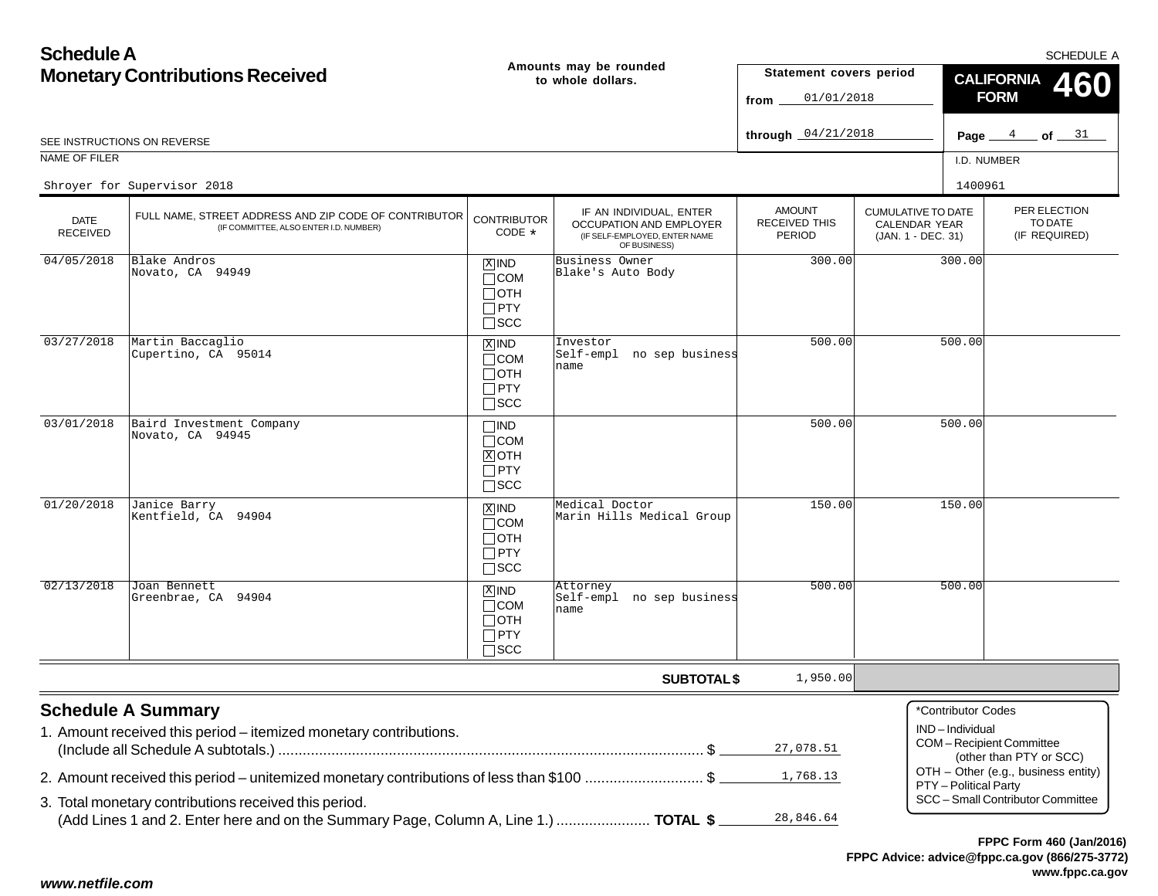| <b>Schedule A</b>                      |                                                                                                                                               |                                                                      |                                                                                                     |                                                 |                                                                         |                                         |                                                    | SCHEDULE A |
|----------------------------------------|-----------------------------------------------------------------------------------------------------------------------------------------------|----------------------------------------------------------------------|-----------------------------------------------------------------------------------------------------|-------------------------------------------------|-------------------------------------------------------------------------|-----------------------------------------|----------------------------------------------------|------------|
| <b>Monetary Contributions Received</b> |                                                                                                                                               |                                                                      | Amounts may be rounded<br>to whole dollars.                                                         | Statement covers period<br>01/01/2018<br>from   |                                                                         | <b>CALIFORNIA</b><br>460<br><b>FORM</b> |                                                    |            |
|                                        | SEE INSTRUCTIONS ON REVERSE                                                                                                                   |                                                                      |                                                                                                     | through $04/21/2018$                            |                                                                         |                                         | Page $4$ of $31$                                   |            |
| NAME OF FILER                          |                                                                                                                                               |                                                                      |                                                                                                     |                                                 |                                                                         | I.D. NUMBER                             |                                                    |            |
|                                        | Shroyer for Supervisor 2018                                                                                                                   |                                                                      |                                                                                                     |                                                 |                                                                         | 1400961                                 |                                                    |            |
| <b>DATE</b><br><b>RECEIVED</b>         | FULL NAME, STREET ADDRESS AND ZIP CODE OF CONTRIBUTOR<br>(IF COMMITTEE, ALSO ENTER I.D. NUMBER)                                               | <b>CONTRIBUTOR</b><br>CODE *                                         | IF AN INDIVIDUAL, ENTER<br>OCCUPATION AND EMPLOYER<br>(IF SELF-EMPLOYED, ENTER NAME<br>OF BUSINESS) | <b>AMOUNT</b><br><b>RECEIVED THIS</b><br>PERIOD | <b>CUMULATIVE TO DATE</b><br><b>CALENDAR YEAR</b><br>(JAN. 1 - DEC. 31) |                                         | PER ELECTION<br>TO DATE<br>(IF REQUIRED)           |            |
| 04/05/2018                             | Blake Andros<br>Novato, CA 94949                                                                                                              | $X$ IND<br>$\Box$ COM<br>∏отн<br>$\Box$ PTY<br>$\square$ scc         | Business Owner<br>Blake's Auto Body                                                                 | 300.00                                          |                                                                         | 300.00                                  |                                                    |            |
| 03/27/2018                             | Martin Baccaglio<br>Cupertino, CA 95014                                                                                                       | $X$ IND<br>$\Box$ COM<br>$\Box$ OTH<br>$\Box$ PTY<br>$\square$ scc   | Investor<br>Self-empl no sep business<br>name                                                       | 500.00                                          |                                                                         | 500.00                                  |                                                    |            |
| 03/01/2018                             | Baird Investment Company<br>Novato, CA 94945                                                                                                  | $\square$ ind<br>$\Box$ COM<br>$X$ OTH<br>$\Box$ PTY<br>$\sqcap$ SCC |                                                                                                     | 500.00                                          |                                                                         | 500.00                                  |                                                    |            |
| 01/20/2018                             | Janice Barry<br>Kentfield, CA 94904                                                                                                           | $X$ IND<br>$\Box$ COM<br>$\Box$ oth<br>$\Box$ PTY<br>$\square$ scc   | Medical Doctor<br>Marin Hills Medical Group                                                         | 150.00                                          |                                                                         | 150.00                                  |                                                    |            |
| 02/13/2018                             | Joan Bennett<br>Greenbrae, CA 94904                                                                                                           | $X$ IND<br>$\sqcap$ COM<br>$\Box$ OTH<br>$\Box$ PTY<br>$\Box$ SCC    | Attorney<br>Self-empl no sep business<br>name                                                       | 500.00                                          |                                                                         | 500.00                                  |                                                    |            |
|                                        |                                                                                                                                               |                                                                      | <b>SUBTOTAL \$</b>                                                                                  | 1,950.00                                        |                                                                         |                                         |                                                    |            |
|                                        | <b>Schedule A Summary</b><br>1. Amount received this period - itemized monetary contributions.                                                |                                                                      |                                                                                                     | 27,078.51                                       |                                                                         | *Contributor Codes<br>IND-Individual    | COM-Recipient Committee<br>(other than PTY or SCC) |            |
|                                        | 2. Amount received this period – unitemized monetary contributions of less than \$100 \$                                                      |                                                                      |                                                                                                     | 1,768.13                                        |                                                                         | PTY - Political Party                   | OTH - Other (e.g., business entity)                |            |
|                                        | 3. Total monetary contributions received this period.<br>(Add Lines 1 and 2. Enter here and on the Summary Page, Column A, Line 1.)  TOTAL \$ |                                                                      |                                                                                                     | 28,846.64                                       |                                                                         |                                         | SCC - Small Contributor Committee                  |            |
|                                        |                                                                                                                                               |                                                                      |                                                                                                     |                                                 |                                                                         |                                         | FPPC Form 460 (Jan/2016                            |            |

## *www.netfile.com*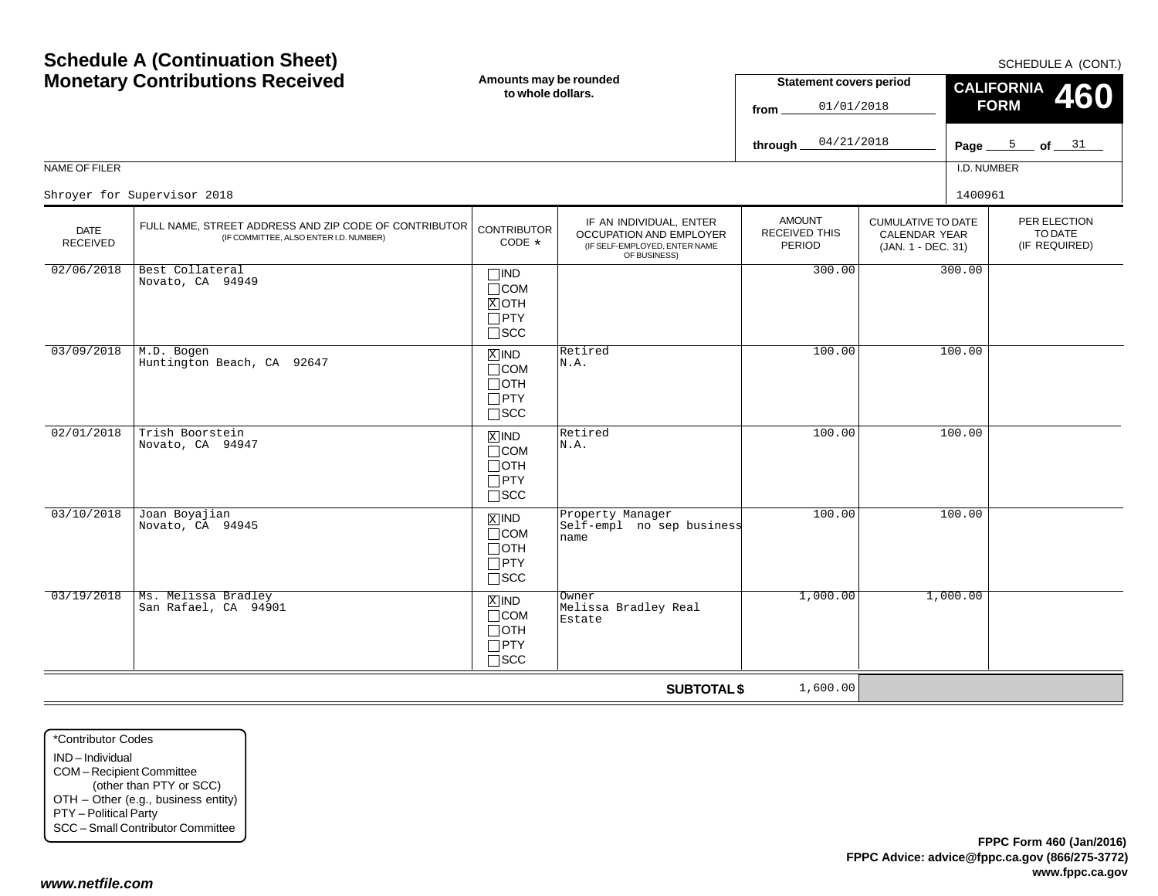|                                |                                                                                                 |                                                                      |                                                                                                     | 04/21/2018<br>through                           |                                                                         | Page $\equiv$ | 5 <b>of</b> $31$                         |
|--------------------------------|-------------------------------------------------------------------------------------------------|----------------------------------------------------------------------|-----------------------------------------------------------------------------------------------------|-------------------------------------------------|-------------------------------------------------------------------------|---------------|------------------------------------------|
| NAME OF FILER                  |                                                                                                 |                                                                      |                                                                                                     |                                                 |                                                                         | I.D. NUMBER   |                                          |
|                                | Shroyer for Supervisor 2018                                                                     |                                                                      |                                                                                                     |                                                 |                                                                         | 1400961       |                                          |
| <b>DATE</b><br><b>RECEIVED</b> | FULL NAME, STREET ADDRESS AND ZIP CODE OF CONTRIBUTOR<br>(IF COMMITTEE, ALSO ENTER I.D. NUMBER) | <b>CONTRIBUTOR</b><br>CODE *                                         | IF AN INDIVIDUAL, ENTER<br>OCCUPATION AND EMPLOYER<br>(IF SELF-EMPLOYED, ENTER NAME<br>OF BUSINESS) | <b>AMOUNT</b><br><b>RECEIVED THIS</b><br>PERIOD | <b>CUMULATIVE TO DATE</b><br><b>CALENDAR YEAR</b><br>(JAN. 1 - DEC. 31) |               | PER ELECTION<br>TO DATE<br>(IF REQUIRED) |
| 02/06/2018                     | Best Collateral<br>Novato, CA 94949                                                             | $\Box$ IND<br>$\Box$ COM<br>$X$ OTH<br>$\Box$ PTY<br>$\Box$ scc      |                                                                                                     | 300.00                                          |                                                                         | 300.00        |                                          |
| 03/09/2018                     | M.D. Bogen<br>Huntington Beach, CA 92647                                                        | $X$ IND<br>$\Box$ COM<br>⊓отн<br>$\Box$ PTY<br>$\square$ scc         | Retired<br>N.A.                                                                                     | 100.00                                          |                                                                         | 100.00        |                                          |
| 02/01/2018                     | Trish Boorstein<br>Novato, CA 94947                                                             | $\overline{X}$ IND<br>$\Box$ COM<br>Потн<br>$\Box$ PTY<br>$\Box$ scc | Retired<br>N.A.                                                                                     | 100.00                                          |                                                                         | 100.00        |                                          |
| 03/10/2018                     | Joan Boyajian<br>Novato, CA 94945                                                               | $X$ IND<br>$\Box$ COM<br>$\Box$ OTH<br>$\Box$ PTY<br>$\square$ scc   | Property Manager<br>Self-empl no sep business<br>name                                               | 100.00                                          |                                                                         | 100.00        |                                          |
| 03/19/2018                     | Ms. Melissa Bradley<br>San Rafael, CA 94901                                                     | $X$ IND<br>$\Box$ COM<br>$\Box$ OTH<br>$\Box$ PTY<br>$\square$ SCC   | Owner<br>Melissa Bradley Real<br>Estate                                                             | 1,000.00                                        |                                                                         | 1,000.00      |                                          |
|                                |                                                                                                 |                                                                      | <b>SUBTOTAL \$</b>                                                                                  | 1,600.00                                        |                                                                         |               |                                          |

SCHEDULE A (CONT.)

**460**

**CALIFORNIA FORM**

**Statement covers period**

01/01/2018

**from**

## **Schedule A (Continuation Sheet) Monetary Contributions Received**

**Amounts may be rounded to whole dollars.**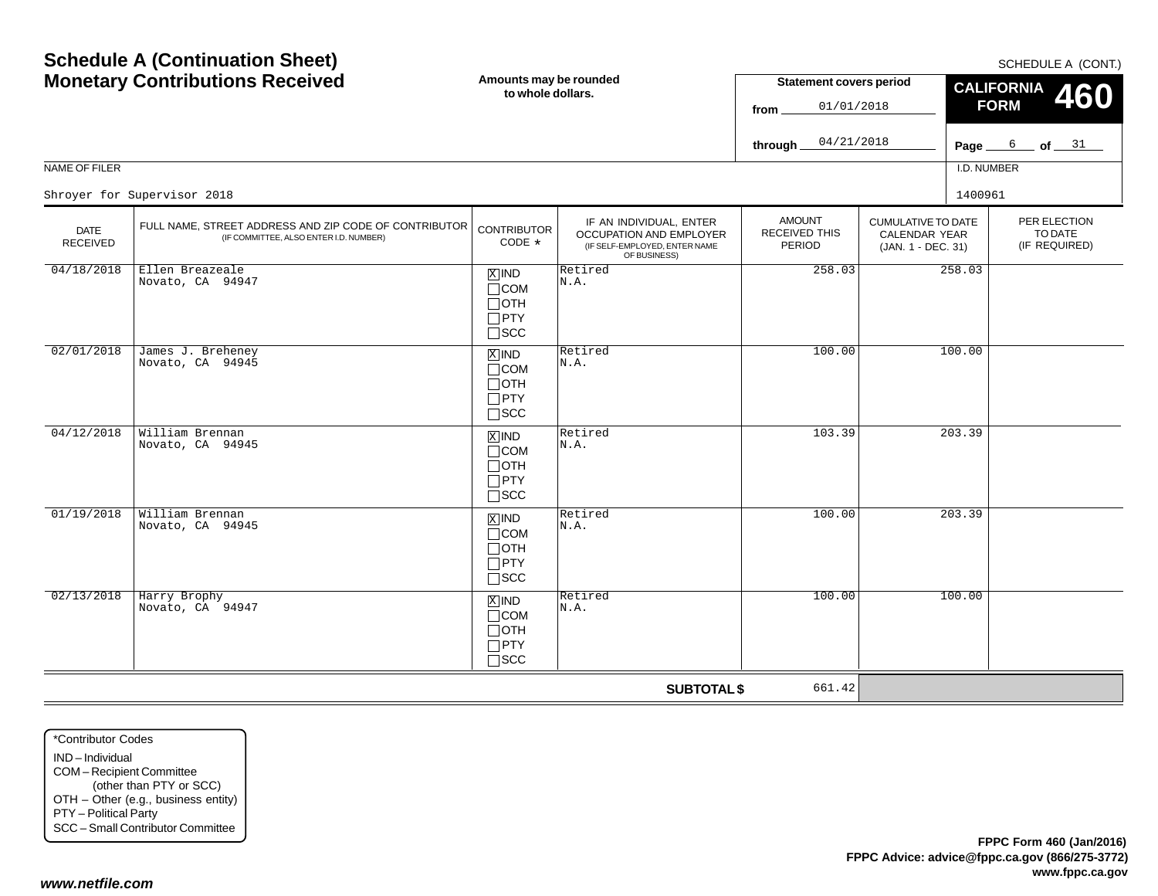| <b>Monetary Contributions Received</b><br>Amounts may be rounded<br>to whole dollars. |                                                                                                 | <b>Statement covers period</b><br>01/01/2018<br>from               |                                                                                                     | <b>CALIFORNIA</b><br>460<br><b>FORM</b>  |                                                                  |             |                                          |
|---------------------------------------------------------------------------------------|-------------------------------------------------------------------------------------------------|--------------------------------------------------------------------|-----------------------------------------------------------------------------------------------------|------------------------------------------|------------------------------------------------------------------|-------------|------------------------------------------|
|                                                                                       |                                                                                                 |                                                                    |                                                                                                     | 04/21/2018<br>through                    |                                                                  | Page_       | $6$ of $31$                              |
| NAME OF FILER                                                                         |                                                                                                 |                                                                    |                                                                                                     |                                          |                                                                  | I.D. NUMBER |                                          |
|                                                                                       | Shroyer for Supervisor 2018                                                                     |                                                                    |                                                                                                     |                                          |                                                                  | 1400961     |                                          |
| <b>DATE</b><br>RECEIVED                                                               | FULL NAME, STREET ADDRESS AND ZIP CODE OF CONTRIBUTOR<br>(IF COMMITTEE, ALSO ENTER I.D. NUMBER) | <b>CONTRIBUTOR</b><br>$CODE *$                                     | IF AN INDIVIDUAL, ENTER<br>OCCUPATION AND EMPLOYER<br>(IF SELF-EMPLOYED, ENTER NAME<br>OF BUSINESS) | <b>AMOUNT</b><br>RECEIVED THIS<br>PERIOD | <b>CUMULATIVE TO DATE</b><br>CALENDAR YEAR<br>(JAN. 1 - DEC. 31) |             | PER ELECTION<br>TO DATE<br>(IF REQUIRED) |
| 04/18/2018                                                                            | Ellen Breazeale<br>Novato, CA 94947                                                             | $X$ IND<br>$\Box$ COM<br>$\Box$ OTH<br>$\Box$ PTY<br>$\Box$ scc    | Retired<br>N.A.                                                                                     | 258.03                                   |                                                                  | 258.03      |                                          |
| 02/01/2018                                                                            | James J. Breheney<br>Novato, CA 94945                                                           | $X$ IND<br>$\Box$ COM<br>$\Box$ OTH<br>$\Box$ PTY<br>$\square$ SCC | Retired<br>N.A.                                                                                     | 100.00                                   |                                                                  | 100.00      |                                          |
| 04/12/2018                                                                            | William Brennan<br>Novato, CA 94945                                                             | $X$ IND<br>$\Box$ COM<br>$\Box$ OTH<br>$\Box$ PTY<br>$\square$ scc | Retired<br>N.A.                                                                                     | 103.39                                   |                                                                  | 203.39      |                                          |
| 01/19/2018                                                                            | William Brennan<br>Novato, CA 94945                                                             | $X$ IND<br>$\Box$ COM<br>$\Box$ oth<br>$\Box$ PTY<br>$\Box$ SCC    | Retired<br>N.A.                                                                                     | 100.00                                   |                                                                  | 203.39      |                                          |
| 02/13/2018                                                                            | Harry Brophy<br>Novato, CA 94947                                                                | $X$ IND<br>$\Box$ COM<br>$\Box$ oth<br>$\Box$ PTY<br>$\square$ SCC | Retired<br>N.A.                                                                                     | 100.00                                   |                                                                  | 100.00      |                                          |

**SUBTOTAL \$**

661.42

**Schedule A (Continuation Sheet)**

#### SCHEDULE A (CONT.)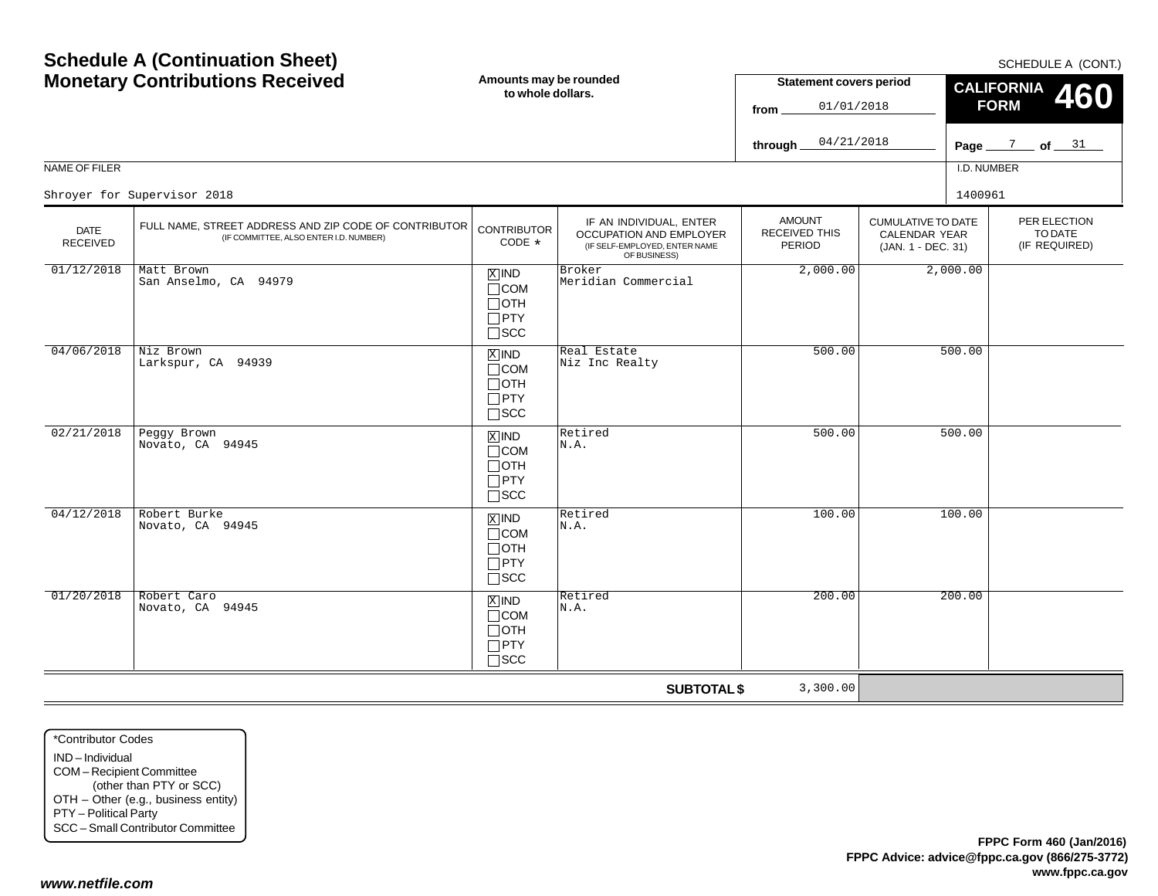| Schedule A (Continuation Sheet) |                                                                                                 |                                                                               |                                                                                                     | SCHEDULE A (CONT.)                              |                                                                         |                                                |                                          |  |
|---------------------------------|-------------------------------------------------------------------------------------------------|-------------------------------------------------------------------------------|-----------------------------------------------------------------------------------------------------|-------------------------------------------------|-------------------------------------------------------------------------|------------------------------------------------|------------------------------------------|--|
|                                 | <b>Monetary Contributions Received</b>                                                          |                                                                               | Amounts may be rounded<br>to whole dollars.                                                         |                                                 | <b>Statement covers period</b><br>01/01/2018                            | <b>CALIFORNIA</b><br><b>460</b><br><b>FORM</b> |                                          |  |
|                                 |                                                                                                 |                                                                               |                                                                                                     | 04/21/2018<br>through.                          |                                                                         |                                                | Page $\frac{7}{2}$ of $\frac{31}{2}$     |  |
| NAME OF FILER                   |                                                                                                 |                                                                               |                                                                                                     |                                                 |                                                                         | I.D. NUMBER                                    |                                          |  |
|                                 | Shroyer for Supervisor 2018                                                                     |                                                                               |                                                                                                     |                                                 |                                                                         | 1400961                                        |                                          |  |
| <b>DATE</b><br><b>RECEIVED</b>  | FULL NAME, STREET ADDRESS AND ZIP CODE OF CONTRIBUTOR<br>(IF COMMITTEE, ALSO ENTER I.D. NUMBER) | <b>CONTRIBUTOR</b><br>CODE *                                                  | IF AN INDIVIDUAL, ENTER<br>OCCUPATION AND EMPLOYER<br>(IF SELF-EMPLOYED, ENTER NAME<br>OF BUSINESS) | <b>AMOUNT</b><br>RECEIVED THIS<br><b>PERIOD</b> | <b>CUMULATIVE TO DATE</b><br><b>CALENDAR YEAR</b><br>(JAN. 1 - DEC. 31) |                                                | PER ELECTION<br>TO DATE<br>(IF REQUIRED) |  |
| 01/12/2018                      | Matt Brown<br>San Anselmo, CA 94979                                                             | $X$ IND<br>$\Box$ COM<br>$\Box$ OTH<br>$\Box$ PTY<br>$\Box$ scc               | Broker<br>Meridian Commercial                                                                       | 2,000.00                                        |                                                                         | 2,000.00                                       |                                          |  |
| 04/06/2018                      | Niz Brown<br>Larkspur, CA 94939                                                                 | $\overline{X}$ IND<br>$\Box$ COM<br>$\Box$ OTH<br>$\Box$ PTY<br>$\square$ SCC | Real Estate<br>Niz Inc Realty                                                                       | 500.00                                          |                                                                         | 500.00                                         |                                          |  |
| 02/21/2018                      | Peggy Brown<br>Novato, CA 94945                                                                 | $\overline{X}$ IND<br>$\Box$ COM<br>$\Box$ OTH<br>$\Box$ PTY<br>$\Box$ scc    | Retired<br>N.A.                                                                                     | 500.00                                          |                                                                         | 500.00                                         |                                          |  |
| 04/12/2018                      | Robert Burke<br>Novato, CA 94945                                                                | $X$ IND<br>$\Box$ COM<br>$\Box$ OTH<br>$\Box$ PTY<br>$\square$ SCC            | Retired<br>N.A.                                                                                     | 100.00                                          |                                                                         | 100.00                                         |                                          |  |
| 01/20/2018                      | Robert Caro<br>Novato, CA 94945                                                                 | $X$ IND<br>$\Box$ COM<br>$\Box$ OTH<br>$\Box$ PTY<br>$\Box$ SCC               | Retired<br>N.A.                                                                                     | 200.00                                          |                                                                         | 200.00                                         |                                          |  |
|                                 |                                                                                                 |                                                                               | <b>SUBTOTAL \$</b>                                                                                  | 3,300.00                                        |                                                                         |                                                |                                          |  |

\*Contributor CodesIND – IndividualCOM – Recipient Committee (other than PTY or SCC) OTH – Other (e.g., business entity) PTY – Political Party SCC – Small Contributor Committee

**Schedule A (Continuation Sheet)**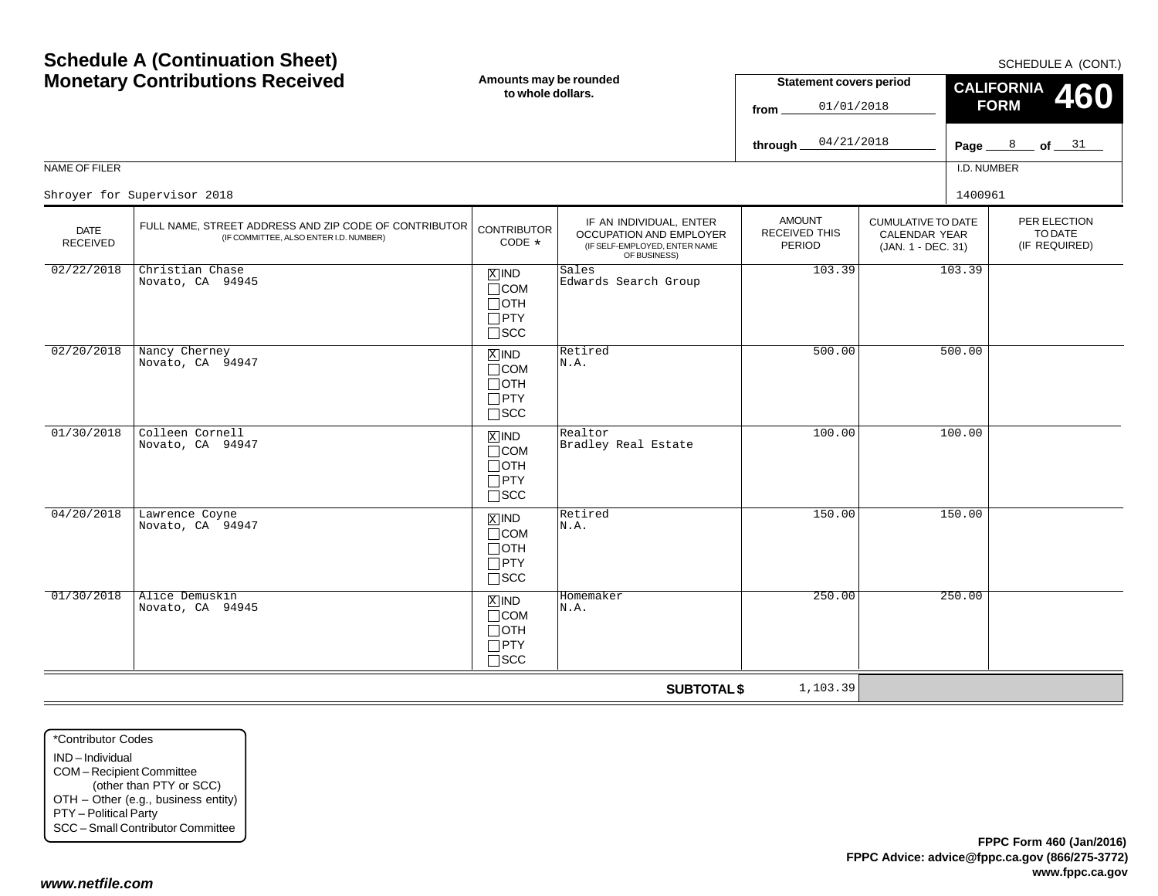SCHEDULE A (CONT)

| <b>Monetary Contributions Received</b> |                                                                                                 | Amounts may be rounded<br>to whole dollars.                                   |                                                                                                     | <b>Statement covers period</b><br>01/01/2018<br>from |                                                                  | <b>CALIFORNIA</b><br>460<br><b>FORM</b> |                                          |
|----------------------------------------|-------------------------------------------------------------------------------------------------|-------------------------------------------------------------------------------|-----------------------------------------------------------------------------------------------------|------------------------------------------------------|------------------------------------------------------------------|-----------------------------------------|------------------------------------------|
|                                        |                                                                                                 |                                                                               |                                                                                                     | 04/21/2018<br>through                                |                                                                  |                                         | Page $\frac{8}{2}$ of $\frac{31}{2}$     |
| NAME OF FILER                          |                                                                                                 |                                                                               |                                                                                                     |                                                      |                                                                  | I.D. NUMBER                             |                                          |
|                                        | Shroyer for Supervisor 2018                                                                     |                                                                               |                                                                                                     |                                                      |                                                                  | 1400961                                 |                                          |
| <b>DATE</b><br><b>RECEIVED</b>         | FULL NAME, STREET ADDRESS AND ZIP CODE OF CONTRIBUTOR<br>(IF COMMITTEE, ALSO ENTER I.D. NUMBER) | <b>CONTRIBUTOR</b><br>CODE *                                                  | IF AN INDIVIDUAL, ENTER<br>OCCUPATION AND EMPLOYER<br>(IF SELF-EMPLOYED, ENTER NAME<br>OF BUSINESS) | <b>AMOUNT</b><br><b>RECEIVED THIS</b><br>PERIOD      | <b>CUMULATIVE TO DATE</b><br>CALENDAR YEAR<br>(JAN. 1 - DEC. 31) |                                         | PER ELECTION<br>TO DATE<br>(IF REQUIRED) |
| 02/22/2018                             | Christian Chase<br>Novato, CA 94945                                                             | $X$ IND<br>$\Box$ COM<br>$\Box$ OTH<br>$\Box$ PTY<br>$\square$ SCC            | Sales<br>Edwards Search Group                                                                       | 103.39                                               |                                                                  | 103.39                                  |                                          |
| 02/20/2018                             | Nancy Cherney<br>Novato, CA 94947                                                               | $\overline{X}$ IND<br>$\Box$ COM<br>$\Box$ OTH<br>$\Box$ PTY<br>$\square$ SCC | Retired<br>N.A.                                                                                     | 500.00                                               |                                                                  | 500.00                                  |                                          |
| 01/30/2018                             | Colleen Cornell<br>Novato, CA 94947                                                             | $X$ IND<br>$\Box$ COM<br>$\Box$ OTH<br>$\Box$ PTY<br>$\square$ SCC            | Realtor<br>Bradley Real Estate                                                                      | 100.00                                               |                                                                  | 100.00                                  |                                          |
| 04/20/2018                             | Lawrence Coyne<br>Novato, CA 94947                                                              | $\overline{X}$ IND<br>$\Box$ COM<br>$\Box$ OTH<br>$\Box$ PTY<br>$\Box$ SCC    | Retired<br>N.A.                                                                                     | 150.00                                               |                                                                  | 150.00                                  |                                          |
| 01/30/2018                             | Alice Demuskin<br>Novato, CA 94945                                                              | $X$ IND<br>$\Box$ COM<br>$\Box$ OTH<br>$\Box$ PTY<br>$\Box$ scc               | Homemaker<br>N.A.                                                                                   | 250.00                                               |                                                                  | 250.00                                  |                                          |
|                                        |                                                                                                 |                                                                               | <b>SUBTOTAL \$</b>                                                                                  | 1,103.39                                             |                                                                  |                                         |                                          |

\*Contributor CodesIND – Individual COM – Recipient Committee (other than PTY or SCC) OTH – Other (e.g., business entity) PTY – Political Party SCC – Small Contributor Committee

**Schedule A (Continuation Sheet)**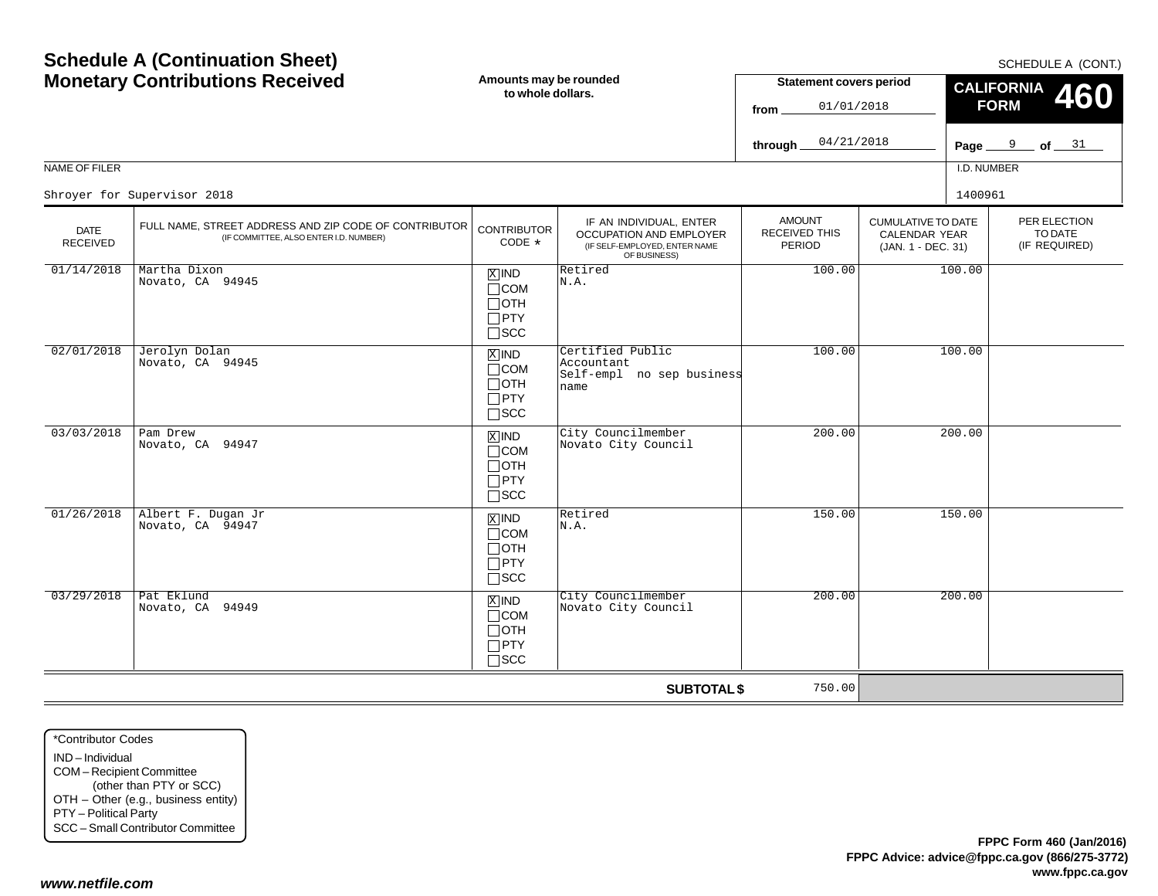|                                |                                                                                                 |                                                                                                                                       |                                                                     | 04/21/2018<br>through_                          |                                                                         | Page $9$ of $31$ |                                        |
|--------------------------------|-------------------------------------------------------------------------------------------------|---------------------------------------------------------------------------------------------------------------------------------------|---------------------------------------------------------------------|-------------------------------------------------|-------------------------------------------------------------------------|------------------|----------------------------------------|
| NAME OF FILER                  |                                                                                                 |                                                                                                                                       |                                                                     |                                                 |                                                                         | I.D. NUMBER      |                                        |
|                                | Shroyer for Supervisor 2018                                                                     |                                                                                                                                       |                                                                     |                                                 |                                                                         | 1400961          |                                        |
| <b>DATE</b><br><b>RECEIVED</b> | FULL NAME, STREET ADDRESS AND ZIP CODE OF CONTRIBUTOR<br>(IF COMMITTEE, ALSO ENTER I.D. NUMBER) | IF AN INDIVIDUAL, ENTER<br><b>CONTRIBUTOR</b><br>OCCUPATION AND EMPLOYER<br>$CODE *$<br>(IF SELF-EMPLOYED, ENTER NAME<br>OF BUSINESS) |                                                                     | <b>AMOUNT</b><br><b>RECEIVED THIS</b><br>PERIOD | <b>CUMULATIVE TO DATE</b><br><b>CALENDAR YEAR</b><br>(JAN. 1 - DEC. 31) |                  | PER ELECTIC<br>TO DATE<br>(IF REQUIRE) |
| 01/14/2018                     | Martha Dixon<br>Novato, CA 94945                                                                | $X$ IND<br>$\Box$ COM<br>$\Box$ OTH<br>$\Box$ PTY<br>$\Box$ scc                                                                       | Retired<br>N.A.                                                     | 100.00                                          |                                                                         | 100.00           |                                        |
| 02/01/2018                     | Jerolyn Dolan<br>Novato, CA 94945                                                               | $\overline{X}$ IND<br>$\Box$ COM<br>$\Box$ OTH<br>$\Box$ PTY<br>$\square$ SCC                                                         | Certified Public<br>Accountant<br>Self-empl no sep business<br>name | 100.00                                          |                                                                         | 100.00           |                                        |
| 03/03/2018                     | Pam Drew<br>Novato, CA 94947                                                                    | $X$ IND<br>$\Box$ COM<br>$\Box$ OTH<br>$\Box$ PTY<br>$\Box$ SCC                                                                       | City Councilmember<br>Novato City Council                           | 200.00                                          |                                                                         | 200.00           |                                        |
| 01/26/2018                     | Albert F. Dugan Jr<br>Novato, CA 94947                                                          | $\overline{X}$ IND<br>$\Box$ COM<br>$\Box$ OTH<br>$\Box$ PTY<br>$\Box$ scc                                                            | Retired<br>N.A.                                                     | 150.00                                          |                                                                         | 150.00           |                                        |
| 03/29/2018                     | Pat Eklund<br>Novato, CA 94949                                                                  | $X$ IND<br>$\Box$ COM<br>$\Box$ OTH<br>$\Box$ PTY                                                                                     | City Councilmember<br>Novato City Council                           | 200.00                                          |                                                                         | 200.00           |                                        |

SCC

**Amounts may be rounded to whole dollars.**

## **Schedule A (Continuation Sheet) Monetary Contributions Received**

SCHEDULE A (CONT.)

PER ELECTIONTO DATE(IF REQUIRED)

**460**

**CALIFORNIA FORM**

**Statement covers period**

01/01/2018

**from**

**SUBTOTAL \$**

750.00

\*Contributor CodesIND – IndividualCOM – Recipient Committee (other than PTY or SCC) OTH – Other (e.g., business entity) PTY – Political Party SCC – Small Contributor Committee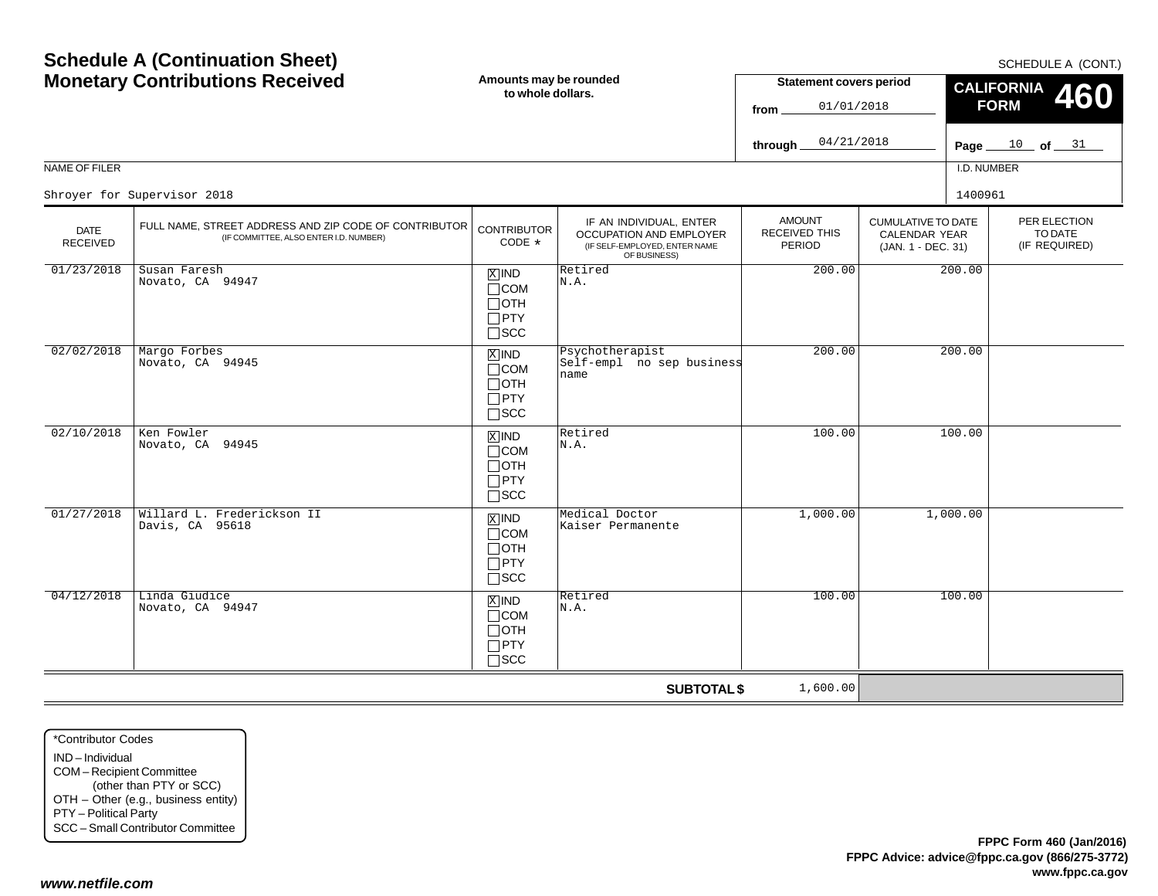#### NAME OF FILERI.D. NUMBERPER ELECTION (IF REQUIRED) CUMULATIVE TO DATECALENDAR YEAR (JAN. 1 - DEC. 31) AMOUNTRECEIVED THISPERIODIF AN INDIVIDUAL, ENTER OCCUPATION AND EMPLOYER (IF SELF-EMPLOYED, ENTER NAME OF BUSINESS) DATE RECEIVED**SUBTOTAL \$** FULL NAME, STREET ADDRESS AND ZIP CODE OF CONTRIBUTOR (IF COMMITTEE, ALSO ENTER I.D. NUMBER) **CONTRIBUTOR** CODE\*\*Contributor Codes $\mathbb{Z}$  IND  $\mathbb{R}$  Retired  $\Box$ COM  $\Box$ OTH PTY  $\Box$ scc xiind COM  $\Box$ OTH  $\Box$ PTY SCC  $\mathbb{Z}$  IND  $\mathbb{R}$  Retired COM OTH PTY  $\Box$ SCC IND  $\Box$ COM OTH  $\Box$ PTY SCC IND $\Box$ COM OTH PTY  $\Box$ SCC Shroyer for Supervisor 20188 a 1400961 and the set of the set of the set of the set of the set of the set of the set of the set of the set of the set of the set of the set of the set of the set of the set of the set of the set of the set of the set 01/23/2018 Susan Faresh Novato, CA 94947N.A.200.00 200.00 02/02/2018 Margo Forbes Novato, CA 94945 Psychotherapist Self-empl no sep businessname200.00 200.00 02/10/2018 Ken Fowler Novato, CA 94945N.A.100.00 100.00 01/27/2018 Willard L. Frederickson II Davis, CA 95618erickson II (ENNE) Medical Doctor (Kaiser Permanente 1,000.00 1,000.00 1,000.00 1,000.00 m<br>B COM (Kaiser Permanente ) 04/12/2018 Linda Giudice Novato, CA 94947 $\begin{array}{|c|c|c|c|}\n\hline\n\text{X} & \text{ND} & \text{Retired} & & & & 100.00 & & 100.00 \\
\hline\nN. A. & & & & & & \end{array}$ 1,600.00

**Amounts may be rounded to whole dollars.**

IND – IndividualCOM – Recipient Committee (other than PTY or SCC) OTH – Other (e.g., business entity) PTY – Political Party SCC – Small Contributor Committee

## **Schedule A (Continuation Sheet) Monetary Contributions Received**

SCHEDULE A (CONT.)

TO DATE

**460**

Page <u>\_\_\_\_10 \_\_</u> of <u>\_\_\_31</u>

**CALIFORNIA FORM**

**Statement covers period**

01/01/2018

04/21/2018

**from**

**through**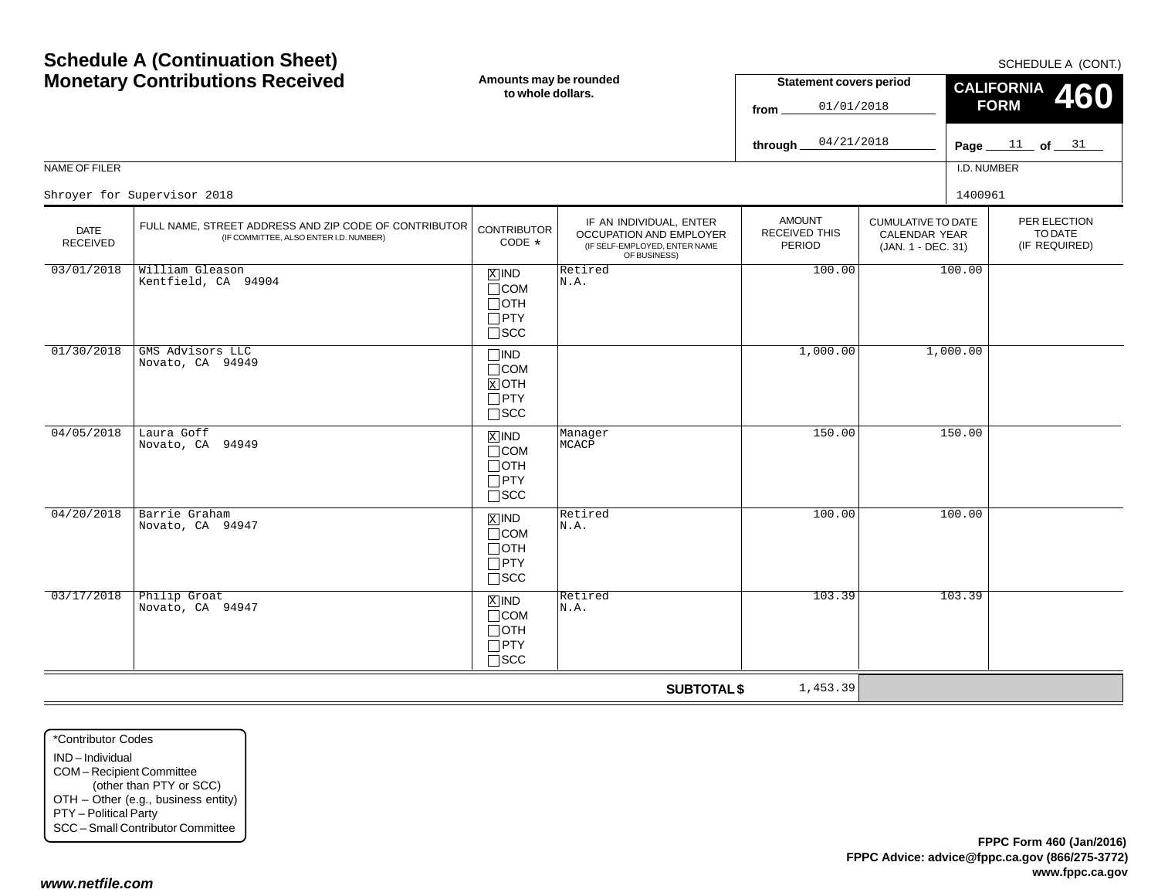#### **Page of**  11 <sup>31</sup> NAME OF FILERI.D. NUMBER**fromthrough FORM**PER ELECTIONTO DATE (IF REQUIRED) CUMULATIVE TO DATECALENDAR YEAR (JAN. 1 - DEC. 31) AMOUNTRECEIVED THISPERIODIF AN INDIVIDUAL, ENTER OCCUPATION AND EMPLOYER (IF SELF-EMPLOYED, ENTER NAME OF BUSINESS) DATE RECEIVED**SUBTOTAL \$** FULL NAME, STREET ADDRESS AND ZIP CODE OF CONTRIBUTOR (IF COMMITTEE, ALSO ENTER I.D. NUMBER) **CONTRIBUTOR** CODE\*IND  $\Box$ COM OTHPTY SCC  $\Box$ IND COM  $\mathrm{N}$ OTH  $\sqcap$  PTY SCC **X**IND Manager<br>Reserved MCACP  $\Box$ COM OTH PTY  $\Box$ SCC IND  $\Box$ COM OTH  $\Box$ PTY SCC IND  $\Box$ COM OTH PTY  $\Box$ SCC 01/01/201804/21/2018Shroyer for Supervisor 20188 a 1400961 and the set of the set of the set of the set of the set of the set of the set of the set of the set of the set of the set of the set of the set of the set of the set of the set of the set of the set of the set 03/01/2018 William Gleason Kentfield, CA 94904 $\begin{array}{c|c|c|c|c} \hline \mathbb{X} & \mathsf{IND} & \mathsf{Retired} \ \hline \mathsf{CCOM} & \mathsf{N.A.} \end{array}$  100.00 100.00 01/30/2018 GMS Advisors LLC Novato, CA 949491,000.00 1,000.00 04/05/2018 Laura Goff Novato, CA 94949MCACP150.00 150.00 04/20/2018 Barrie Graham Novato, CA 94947 $\begin{array}{c|c|c|c|c} \hline \mathbb{X} & \mathbb{N} & \mathbb{R} & \mathbb{R}^{\mathsf{etired}} & & & & 100.00 \ \hline \mathbb{T} & & \mathbb{N} & \mathbb{A} & \mathbb{N} \end{array}$ 03/17/2018 Philip Groat Novato, CA 94947 $\begin{array}{|c|c|c|c|}\n\hline\n\text{X} & \text{ND} & \text{Retired} & & & & 103.39 \\
\hline\n\text{COM} & \text{N.A.} & & & & & \n\end{array}$ 1,453.39

SCHEDULE A (CONT.)

**460**

**CALIFORNIA**

**Statement covers period**

## **Schedule A (Continuation Sheet) Monetary Contributions Received**

**to whole dollars.**

**Amounts may be rounded**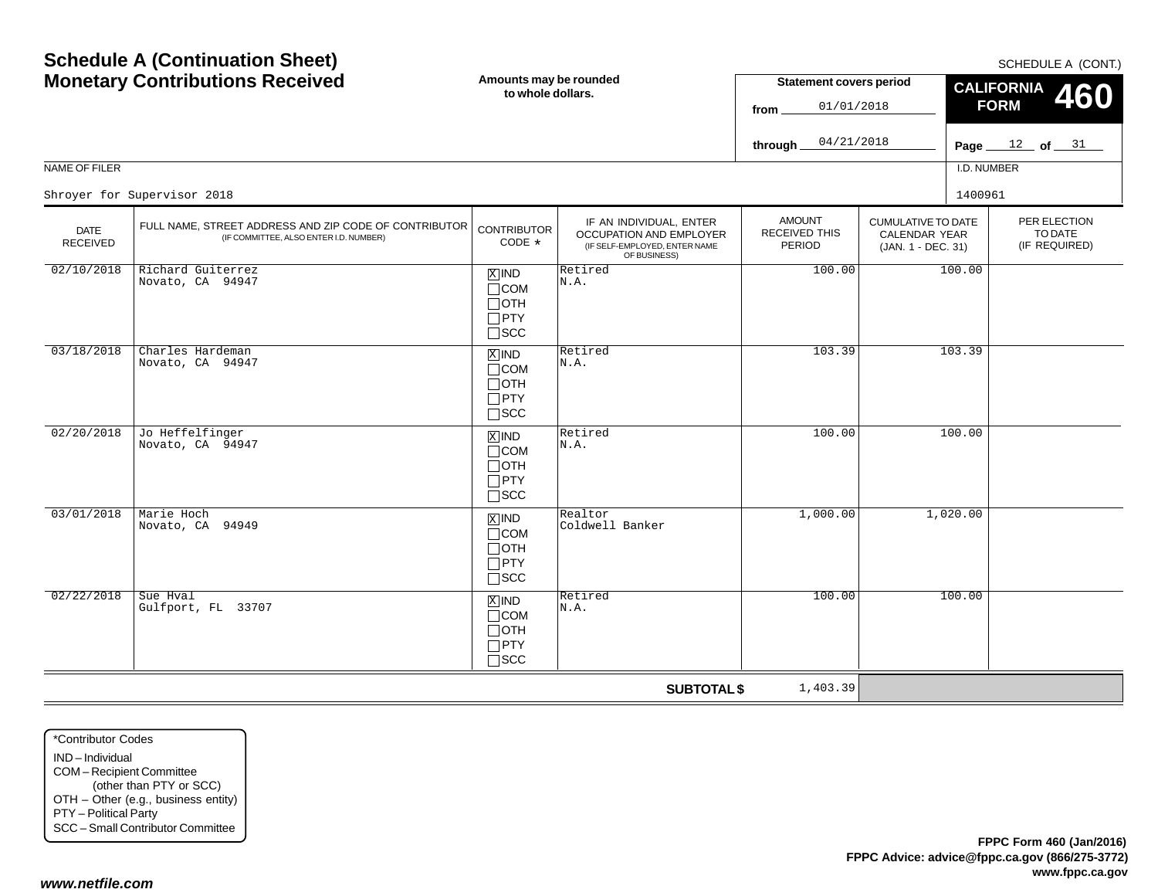#### Page <u>\_\_\_\_12 \_\_</u> of <u>\_\_\_\_31</u> NAME OF FILERI.D. NUMBER**through** CUMULATIVE TO DATECALENDAR YEAR (JAN. 1 - DEC. 31) AMOUNTRECEIVED THISPERIODIF AN INDIVIDUAL, ENTER OCCUPATION AND EMPLOYER (IF SELF-EMPLOYED, ENTER NAME OF BUSINESS) DATE RECEIVED**SUBTOTAL \$** FULL NAME, STREET ADDRESS AND ZIP CODE OF CONTRIBUTOR (IF COMMITTEE, ALSO ENTER I.D. NUMBER) **CONTRIBUTOR** CODE\* $\mathbb{Z}$  IND  $\mathbb{R}$  Retired  $\Box$ COM  $\Box$ OTH PTY  $\Box$ scc xiind COM  $\Box$ OTH  $\Box$ PTY SCC  $\mathbb{Z}$  IND  $\mathbb{R}$  Retired  $\Box$ COM OTH PTY  $\Box$ SCC IND  $\Box$ COM OTH  $\Box$ PTY SCC IND  $\Box$ COM OTH PTY  $\Box$ SCC 04/21/2018Shroyer for Supervisor 20188 a 1400961 and the set of the set of the set of the set of the set of the set of the set of the set of the set of the set of the set of the set of the set of the set of the set of the set of the set of the set of the set 02/10/2018 Richard Guiterrez Novato, CA 94947N.A.100.00 100.00 03/18/2018 Charles Hardeman Novato, CA 94947 Retired N.A.103.39 103.39 02/20/2018 Jo Heffelfinger Novato, CA 94947N.A.100.00 100.00 03/01/2018 Marie Hoch Novato, CA 94949 $\begin{array}{|l|c|c|c|}\hline \mathbb{X} & \mathbb{X} & \mathbb{R}\ \hline \mathbb{X} & \mathbb{X} & \mathbb{R}\ \hline \mathbb{X} & \mathbb{X} & \mathbb{R}\ \hline \mathbb{X} & \mathbb{X} & \mathbb{R}\ \hline \mathbb{X} & \mathbb{X} & \mathbb{X} & \mathbb{R}\ \hline \mathbb{X} & \mathbb{X} & \mathbb{X} & \mathbb{R}\ \hline \mathbb{X} & \mathbb{X} & \mathbb{X} & \mathbb{X} & \mathbb{R}\ \hline \end{array} \quad \begin{array}{|l$ 02/22/2018 Sue Hval Gulfport, FL 33707 $\begin{array}{|c|c|c|c|}\n\hline\n\text{X} & \text{ND} & \text{Retired} & & & & 100.00 & & 100.00 \\
\hline\nN. \text{COM} & N.A. & & & & & & \end{array}$ 1,403.39

\*Contributor CodesIND – IndividualCOM – Recipient Committee (other than PTY or SCC) OTH – Other (e.g., business entity) PTY – Political Party SCC – Small Contributor Committee

## **Schedule A (Continuation Sheet) Monetary Contributions Received**

**Amounts may be rounded to whole dollars.**

SCHEDULE A (CONT.)

PER ELECTIONTO DATE(IF REQUIRED)

**460**

**CALIFORNIA FORM**

**Statement covers period**

01/01/2018

**from**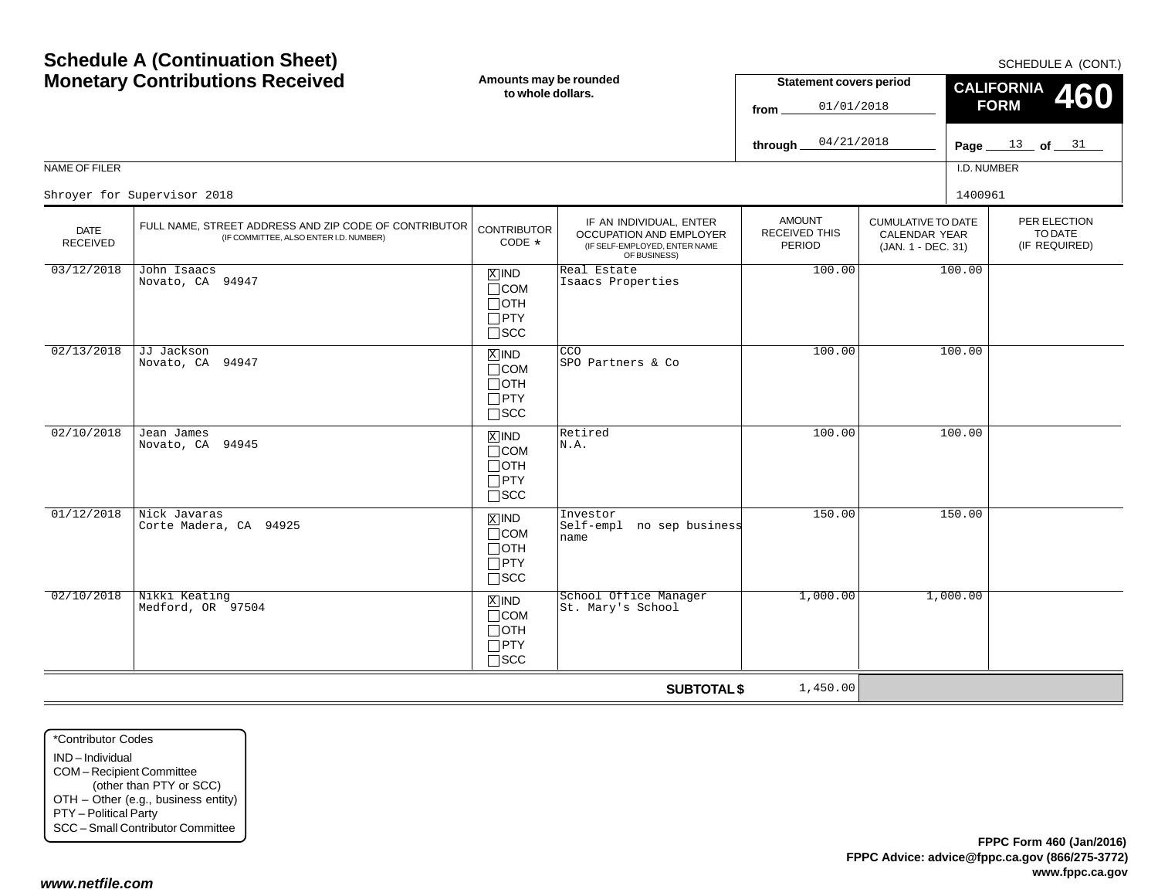| 01/12/2018                        | Nick Javaras                        |  |  |  |  |  |
|-----------------------------------|-------------------------------------|--|--|--|--|--|
|                                   | Corte Madera, CA 94925              |  |  |  |  |  |
|                                   |                                     |  |  |  |  |  |
|                                   |                                     |  |  |  |  |  |
|                                   |                                     |  |  |  |  |  |
|                                   |                                     |  |  |  |  |  |
| 02/10/2018                        | Nikki Keating                       |  |  |  |  |  |
|                                   | Medford, OR 97504                   |  |  |  |  |  |
|                                   |                                     |  |  |  |  |  |
|                                   |                                     |  |  |  |  |  |
|                                   |                                     |  |  |  |  |  |
|                                   |                                     |  |  |  |  |  |
|                                   |                                     |  |  |  |  |  |
|                                   |                                     |  |  |  |  |  |
|                                   |                                     |  |  |  |  |  |
|                                   |                                     |  |  |  |  |  |
|                                   |                                     |  |  |  |  |  |
|                                   |                                     |  |  |  |  |  |
| *Contributor Codes                |                                     |  |  |  |  |  |
| IND-Individual                    |                                     |  |  |  |  |  |
| COM-Recipient Committee           |                                     |  |  |  |  |  |
|                                   | (other than PTY or SCC)             |  |  |  |  |  |
|                                   |                                     |  |  |  |  |  |
|                                   | OTH - Other (e.g., business entity) |  |  |  |  |  |
| PTY - Political Party             |                                     |  |  |  |  |  |
| SCC - Small Contributor Committee |                                     |  |  |  |  |  |
|                                   |                                     |  |  |  |  |  |

*www.netfile.com*

Page <u>\_\_\_\_13 \_</u>\_ of <u>\_\_\_31</u> NAME OF FILERI.D. NUMBER**through** PER ELECTIONTO DATE (IF REQUIRED) CUMULATIVE TO DATECALENDAR YEAR (JAN. 1 - DEC. 31) AMOUNTRECEIVED THISPERIODIF AN INDIVIDUAL, ENTER OCCUPATION AND EMPLOYER (IF SELF-EMPLOYED, ENTER NAME OF BUSINESS) DATE RECEIVED FULL NAME, STREET ADDRESS AND ZIP CODE OF CONTRIBUTOR (IF COMMITTEE, ALSO ENTER I.D. NUMBER) **CONTRIBUTOR** CODE\*IND X $\Box$ COM OTH PTY SCC  $\overline{\text{X}}$  IND  $\begin{bmatrix} \text{CCO} \\ \text{SDO} \end{bmatrix}$ COM  $\Box$ OTH  $\Box$ PTY SCC  $\mathbb{Z}$  IND  $\mathbb{R}$  Retired COM OTH PTY  $\Box$ SCC IND  $\Box$ COM OTH  $\Box$ PTY SCC  $|\overline{X}|$  IND  $\Box$ COM OTH PTY 04/21/2018Shroyer for Supervisor 20188 a 1400961 and the set of the set of the set of the set of the set of the set of the set of the set of the set of the set of the set of the set of the set of the set of the set of the set of the set of the set of the set  $03/12/2018$  John Isaacs Novato, CA 94947Real Estate<br>Isaacs Properties s 100.00 100.00 02/13/2018 JJ Jackson Novato, CA 94947SPO Partners & Co100.00 100.00 02/10/2018 Jean James Novato, CA 94945N.A.100.00 100.00 Investor<br>Self-empl no sep business name150.00 150.00 4 MIND School Office Manager 1,000.00 1,000.00<br>St. Mary's School 1,000.00

 $\Box$ SCC

**Amounts may be rounded to whole dollars.**

## **Schedule A (Continuation Sheet) Monetary Contributions Received**

SCHEDULE A (CONT.)

**460**

**CALIFORNIA FORM**

**Statement covers period**

01/01/2018

**from**

**SUBTOTAL \$**

1,450.00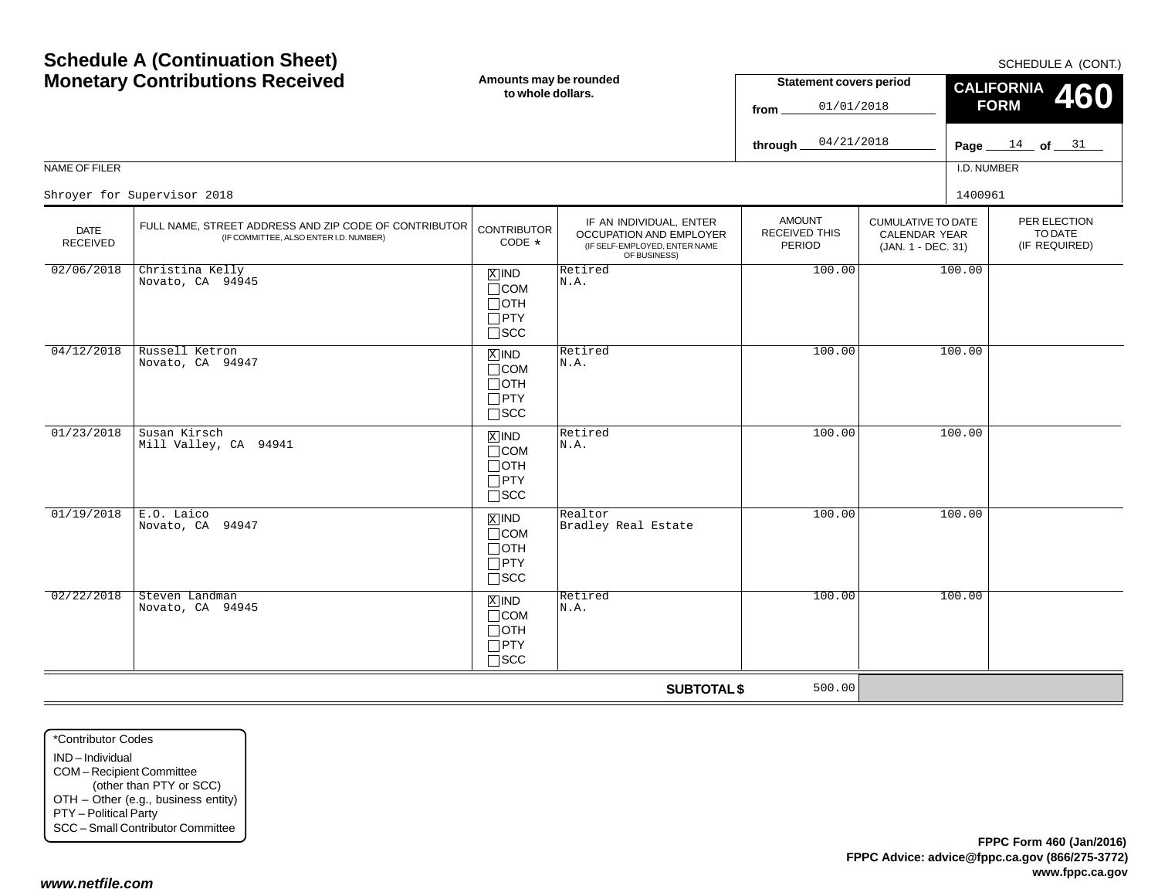| <b>MONEGRY CONTRIBUTIONS RECEIVED</b> |                                                                                                 | to whole dollars.                                                              |                                                                                                     | <b>Statement Covers period</b><br>01/01/2018<br>from. |                                                                         | CALIFORNIA 460<br><b>FORM</b>            |  |
|---------------------------------------|-------------------------------------------------------------------------------------------------|--------------------------------------------------------------------------------|-----------------------------------------------------------------------------------------------------|-------------------------------------------------------|-------------------------------------------------------------------------|------------------------------------------|--|
|                                       |                                                                                                 |                                                                                |                                                                                                     | 04/21/2018<br>through_                                |                                                                         | Page $14$ of $31$                        |  |
| NAME OF FILER                         |                                                                                                 |                                                                                |                                                                                                     |                                                       |                                                                         | I.D. NUMBER                              |  |
|                                       | Shroyer for Supervisor 2018                                                                     |                                                                                |                                                                                                     |                                                       |                                                                         | 1400961                                  |  |
| <b>DATE</b><br>RECEIVED               | FULL NAME, STREET ADDRESS AND ZIP CODE OF CONTRIBUTOR<br>(IF COMMITTEE, ALSO ENTER I.D. NUMBER) | <b>CONTRIBUTOR</b><br>CODE *                                                   | IF AN INDIVIDUAL, ENTER<br>OCCUPATION AND EMPLOYER<br>(IF SELF-EMPLOYED, ENTER NAME<br>OF BUSINESS) | <b>AMOUNT</b><br>RECEIVED THIS<br>PERIOD              | <b>CUMULATIVE TO DATE</b><br><b>CALENDAR YEAR</b><br>(JAN. 1 - DEC. 31) | PER ELECTION<br>TO DATE<br>(IF REQUIRED) |  |
| 02/06/2018                            | Christina Kelly<br>Novato, CA 94945                                                             | $\boxed{\text{X}}$ IND<br>$\Box$ COM<br>$\Box$ OTH<br>$\Box$ PTY<br>$\Box$ scc | Retired<br>N.A.                                                                                     | 100.00                                                | 100.00                                                                  |                                          |  |
| 04/12/2018                            | Russell Ketron<br>Novato, CA 94947                                                              | $\overline{X}$ IND<br>$\Box$ COM<br>$\Box$ OTH<br>$\Box$ PTY<br>$\square$ SCC  | Retired<br>N.A.                                                                                     | 100.00                                                | 100.00                                                                  |                                          |  |
| 01/23/2018                            | Susan Kirsch<br>Mill Valley, CA 94941                                                           | $\overline{X}$ IND<br>$\Box$ COM<br>$\Box$ OTH<br>$\Box$ PTY<br>$\Box$ scc     | Retired<br>N.A.                                                                                     | 100.00                                                | 100.00                                                                  |                                          |  |
| 01/19/2018                            | E.O. Laico<br>Novato, CA 94947                                                                  | $\overline{X}$ IND<br>$\Box$ COM<br>$\Box$ OTH<br>$\Box$ PTY<br>$\square$ SCC  | Realtor<br>Bradley Real Estate                                                                      | 100.00                                                | 100.00                                                                  |                                          |  |
| 02/22/2018                            | Steven Landman<br>Novato, CA 94945                                                              | $X$ IND<br>$\Box$ COM<br>$\Box$ OTH<br>$\Box$ PTY<br>$\square$ SCC             | Retired<br>N.A.                                                                                     | 100.00                                                | 100.00                                                                  |                                          |  |
|                                       |                                                                                                 |                                                                                | <b>SUBTOTAL \$</b>                                                                                  | 500.00                                                |                                                                         |                                          |  |

**Amounts may be rounded**

\*Contributor CodesIND – IndividualCOM – Recipient Committee (other than PTY or SCC) OTH – Other (e.g., business entity) PTY – Political Party SCC – Small Contributor Committee

SCHEDULE A (CONT.)

**Statement covers period**

## **Schedule A (Continuation Sheet) Monetary Contributions Received**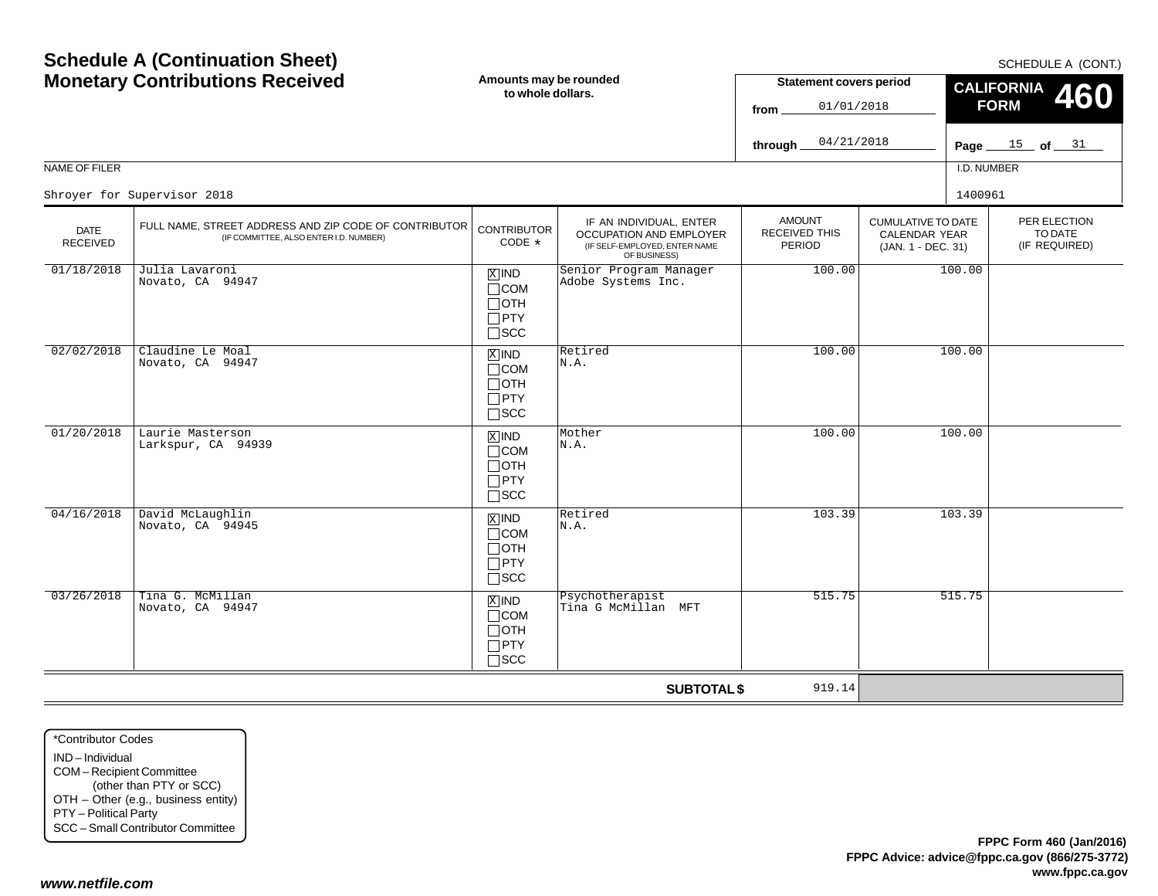\*Contributor CodesIND – IndividualCOM – Recipient Committee (other than PTY or SCC) OTH – Other (e.g., business entity) PTY – Political Party SCC – Small Contributor Committee

 Tina G. McMillan Novato, CA 94947

*www.netfile.com*

03/26/2018

Page <u>\_\_\_\_15 \_</u>\_ of <u>\_\_\_\_31</u> NAME OF FILERI.D. NUMBER**through** PER ELECTION (IF REQUIRED) CUMULATIVE TO DATECALENDAR YEAR (JAN. 1 - DEC. 31) AMOUNTRECEIVED THISPERIODIF AN INDIVIDUAL, ENTER OCCUPATION AND EMPLOYER (IF SELF-EMPLOYED, ENTER NAME OF BUSINESS) DATE RECEIVEDFULL NAME, STREET ADDRESS AND ZIP CODE OF CONTRIBUTOR (IF COMMITTEE, ALSO ENTER I.D. NUMBER) **CONTRIBUTOR** CODE\*IND X $\Box$ COM  $\Box$ OTH PTY  $\Box$ scc xiind COM  $\Box$ OTH  $\Box$ PTY SCC IND COM OTH PTY  $\Box$ SCC IND  $\Box$ COM OTH  $\Box$ PTY  $\Box$ SCC 04/21/2018Shroyer for Supervisor 20188 a 1400961 and the set of the set of the set of the set of the set of the set of the set of the set of the set of the set of the set of the set of the set of the set of the set of the set of the set of the set of the set 01/18/2018 Julia Lavaroni Novato, CA 94947 Senior Program Manager Adobe Systems Inc.nager 100.00 100.00 02/02/2018 Claudine Le Moal Novato, CA 94947 Retired N.A.100.00 100.00 01/20/2018 Laurie Masterson Larkspur, CA 94939 $\begin{array}{|c|c|c|c|}\hline \boxtimes {\sf IND} & {\sf Mother} & & & 100.00 & & 100.00 \ \hline \text{COM} & {\sf N.A.} & & & & \hline \end{array}$ 04/16/2018 David McLaughlin Novato, CA 94945 $\begin{array}{|c|c|c|c|}\n\hline\n\text{X} & \text{IND} & \text{Retired} \\
\hline\n\text{ICOM} & \text{N.A.} & & & & & & & & & 103.39 \\
\hline\n\end{array}$ 

> IND $\Box$ COM OTH PTY  $\Box$ SCC

# **Schedule A (Continuation Sheet) Monetary Contributions Received**

**Amounts may be rounded to whole dollars.**

#### SCHEDULE A (CONT.)

TO DATE

**460**

**CALIFORNIA FORM**

**Statement covers period**

01/01/2018

**from**

**SUBTOTAL \$**

919.14

X Psychotherapist 515.75 515.75 515.75 515.75 515.75 515.75 515.75 515.75 515.75 515.75 515.75 515.75 515.75 515.75 515.75 515.75 515.75 515.75 515.75 515.75 515.75 515.75 515.75 515.75 515.75 515.75 515.75 515.75 515.75 5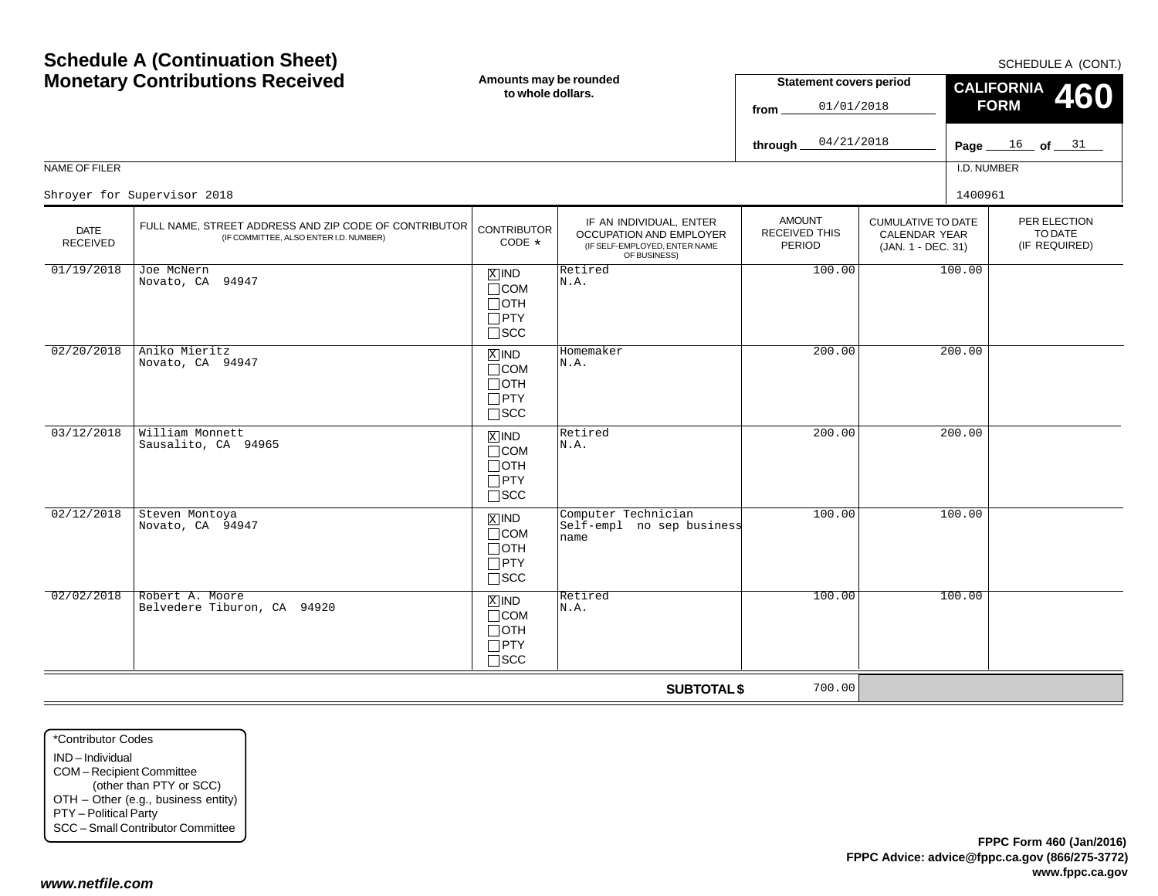|                                | <b>MONGLAM Y CONTRIBUTIONS INCLUSTED</b>                                                        | to whole dollars.                                                                 |                                                                                                            | <b>URIGHTUR COVULD PUTION</b><br>01/01/2018<br>from $\_$ |                                                                  | <b>CALIFORNIA</b> 460<br><b>FORM</b>     |  |  |
|--------------------------------|-------------------------------------------------------------------------------------------------|-----------------------------------------------------------------------------------|------------------------------------------------------------------------------------------------------------|----------------------------------------------------------|------------------------------------------------------------------|------------------------------------------|--|--|
|                                |                                                                                                 |                                                                                   |                                                                                                            | 04/21/2018<br>through_                                   |                                                                  | Page $16$ of $31$                        |  |  |
| NAME OF FILER                  |                                                                                                 |                                                                                   |                                                                                                            |                                                          |                                                                  | I.D. NUMBER                              |  |  |
|                                | Shroyer for Supervisor 2018                                                                     |                                                                                   |                                                                                                            |                                                          |                                                                  | 1400961                                  |  |  |
| <b>DATE</b><br><b>RECEIVED</b> | FULL NAME, STREET ADDRESS AND ZIP CODE OF CONTRIBUTOR<br>(IF COMMITTEE, ALSO ENTER I.D. NUMBER) | <b>CONTRIBUTOR</b><br>CODE *                                                      | IF AN INDIVIDUAL, ENTER<br><b>OCCUPATION AND EMPLOYER</b><br>(IF SELF-EMPLOYED, ENTER NAME<br>OF BUSINESS) | <b>AMOUNT</b><br>RECEIVED THIS<br>PERIOD                 | <b>CUMULATIVE TO DATE</b><br>CALENDAR YEAR<br>(JAN. 1 - DEC. 31) | PER ELECTION<br>TO DATE<br>(IF REQUIRED) |  |  |
| 01/19/2018                     | Joe McNern<br>Novato, CA 94947                                                                  | $X$ IND<br>$\Box$ COM<br>$\Box$ OTH<br>$\Box$ PTY<br>$\square$ SCC                | Retired<br>N.A.                                                                                            | 100.00                                                   | 100.00                                                           |                                          |  |  |
| 02/20/2018                     | Aniko Mieritz<br>Novato, CA 94947                                                               | $X$ IND<br>$\Box$ COM<br>$\Box$ OTH<br>$\Box$ PTY<br>$\square$ SCC                | Homemaker<br>N.A.                                                                                          | 200.00                                                   | 200.00                                                           |                                          |  |  |
| 03/12/2018                     | William Monnett<br>Sausalito, CA 94965                                                          | $X$ IND<br>$\Box$ COM<br>$\Box$ OTH<br>$\Box$ PTY<br>$\Box$ scc                   | Retired<br>N.A.                                                                                            | 200.00                                                   | 200.00                                                           |                                          |  |  |
| 02/12/2018                     | Steven Montoya<br>Novato, CA 94947                                                              | $\boxed{\text{X}}$ IND<br>$\Box$ COM<br>$\Box$ OTH<br>$\Box$ PTY<br>$\square$ SCC | Computer Technician<br>Self-empl no sep business<br>name                                                   | 100.00                                                   | 100.00                                                           |                                          |  |  |
| 02/02/2018                     | Robert A. Moore<br>Belvedere Tiburon, CA 94920                                                  | $X$ IND<br>$\Box$ COM<br>$\Box$ OTH<br>$\Box$ PTY<br>$\square$ SCC                | Retired<br>N.A.                                                                                            | 100.00                                                   | 100.00                                                           |                                          |  |  |
|                                |                                                                                                 |                                                                                   | <b>SUBTOTAL \$</b>                                                                                         | 700.00                                                   |                                                                  |                                          |  |  |

#### SCHEDULE A (CONT.)

**CALIFORNIA**

**Statement covers period**

 $\Gamma$ 

## **Schedule A (Continuation Sheet) Monetary Contributions Received**

**Amounts may be rounded**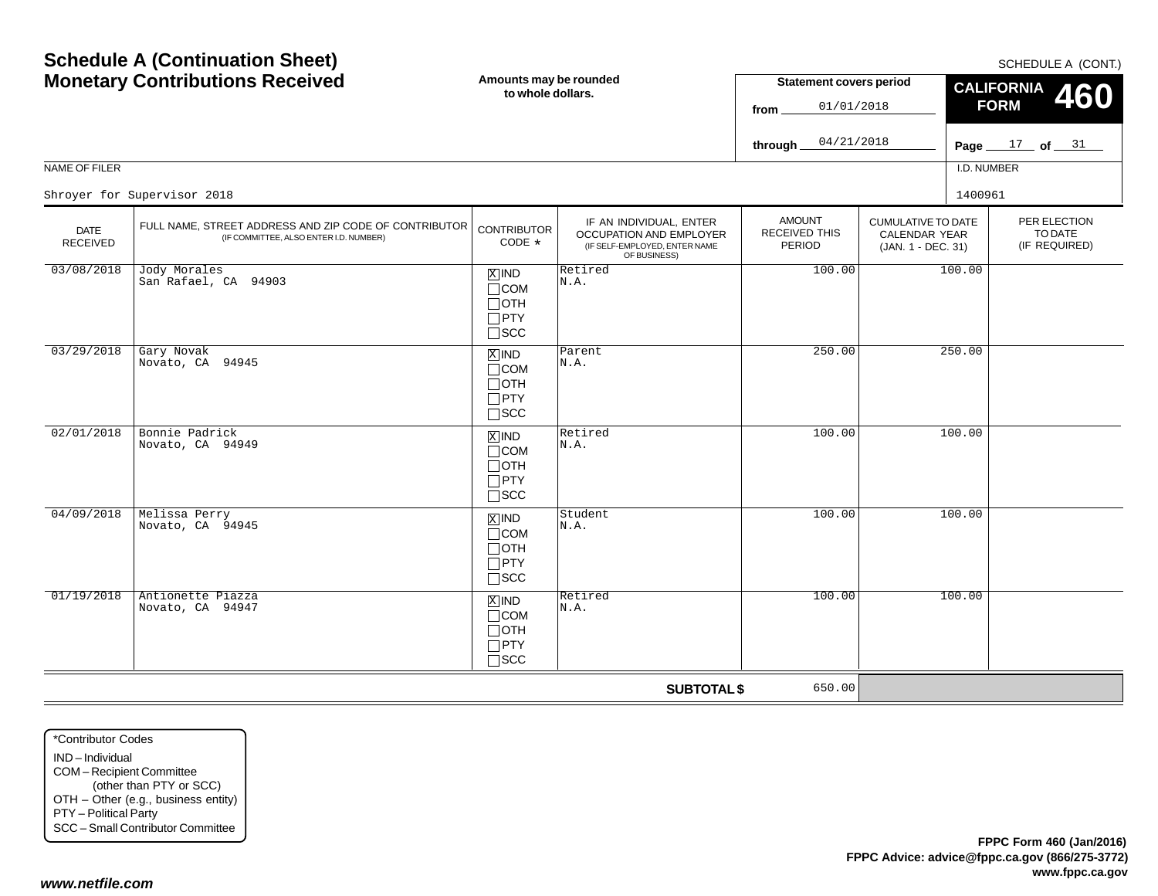Page <u>\_\_\_ 17 \_</u> of <u>\_\_\_ 31</u> NAME OF FILERI.D. NUMBERCUMULATIVE TO DATECALENDAR YEAR (JAN. 1 - DEC. 31) AMOUNTRECEIVED THISPERIODIF AN INDIVIDUAL, ENTER OCCUPATION AND EMPLOYER (IF SELF-EMPLOYED, ENTER NAME OF BUSINESS) DATE RECEIVED**SUBTOTAL \$** FULL NAME, STREET ADDRESS AND ZIP CODE OF CONTRIBUTOR (IF COMMITTEE, ALSO ENTER I.D. NUMBER) **CONTRIBUTOR** CODE\*IND  $\Box$ COM  $\Box$ OTH PTY SCC xiind COM  $\Box$ OTH  $\Box$ PTY SCC  $\mathbb{Z}$  IND  $\mathbb{R}$  Retired COM OTH PTY  $\Box$ SCC IND  $\Box$ COM OTH  $\Box$ PTY SCC IND  $\Box$ COM OTH PTY  $\Box$ SCC Shroyer for Supervisor 20188 a 1400961 and the set of the set of the set of the set of the set of the set of the set of the set of the set of the set of the set of the set of the set of the set of the set of the set of the set of the set of the set 03/08/2018 Jody Morales San Rafael, CA 94903 $\begin{array}{c|c|c|c|c} \hline \mathbb{X} & \mathsf{IND} & \mathsf{Retired} & & & & 100.00 & & 100.00 \ \hline \mathsf{TCOM} & & & \mathbb{N} \end{array}$ 03/29/2018 Gary Novak Novato, CA 94945 Parent N.A.250.00 250.00 02/01/2018 Bonnie Padrick Novato, CA 94949N.A.100.00 100.00 04/09/2018 Melissa Perry Novato, CA 94945 $\begin{array}{|c|c|c|c|}\hline \mathbb{X} & \mathbb{N} & \mathbb{S}^{\text{tudent}} \ \hline \mathbb{X} & \mathbb{N} \cdot \mathbb{A} \cdot \mathbb{N} \end{array}$  and  $\begin{array}{|c|c|c|c|}\hline \mathbb{X} & \mathbb{N} \cdot \mathbb{A} \cdot \mathbb{S} & \mathbb{S}^{\text{tudent}} \ \hline \end{array}$  and  $\begin{array}{|c|c|c|c|}\hline \mathbb{X} & \mathbb{X} \cdot \mathbb{S} & \mathbb{S}^{\text{tudent}} \$ 01/19/2018 Antionette Piazza Novato, CA 94947a  $\boxed{\text{X}|\text{ND}}$   $\boxed{\text{Retired}}$  100.00 100.00 650.00

**Amounts may be rounded to whole dollars.**

# **Schedule A (Continuation Sheet) Monetary Contributions Received**

\*Contributor CodesIND – IndividualCOM – Recipient Committee (other than PTY or SCC) OTH – Other (e.g., business entity) PTY – Political Party SCC – Small Contributor Committee

SCHEDULE A (CONT.)

PER ELECTIONTO DATE(IF REQUIRED)

**460**

**CALIFORNIA FORM**

**Statement covers period**

01/01/2018

04/21/2018

**from**

**through**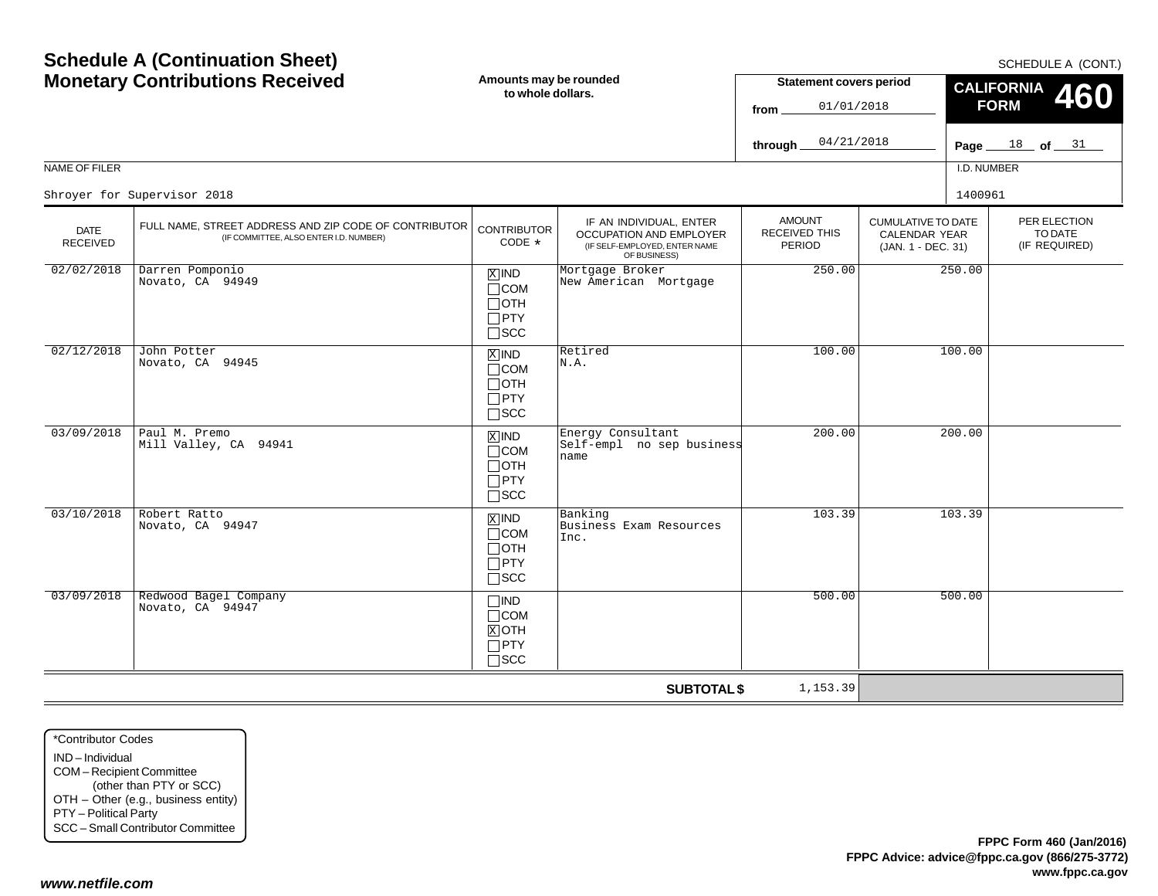| <b>Monetary Contributions Received</b> |                                                                                                 | Amounts may be rounded<br>to whole dollars.                        |                                                                                                     | <b>Statement covers period</b><br>01/01/2018<br>from. |                                                                         | CALIFORNIA 460<br><b>FORM</b> |                                          |  |
|----------------------------------------|-------------------------------------------------------------------------------------------------|--------------------------------------------------------------------|-----------------------------------------------------------------------------------------------------|-------------------------------------------------------|-------------------------------------------------------------------------|-------------------------------|------------------------------------------|--|
|                                        |                                                                                                 |                                                                    |                                                                                                     | 04/21/2018<br>through                                 |                                                                         |                               | Page $18$ of $31$                        |  |
| NAME OF FILER                          |                                                                                                 |                                                                    |                                                                                                     |                                                       |                                                                         | I.D. NUMBER                   |                                          |  |
|                                        | Shroyer for Supervisor 2018                                                                     |                                                                    |                                                                                                     |                                                       |                                                                         | 1400961                       |                                          |  |
| <b>DATE</b><br><b>RECEIVED</b>         | FULL NAME, STREET ADDRESS AND ZIP CODE OF CONTRIBUTOR<br>(IF COMMITTEE, ALSO ENTER I.D. NUMBER) | <b>CONTRIBUTOR</b><br>CODE *                                       | IF AN INDIVIDUAL, ENTER<br>OCCUPATION AND EMPLOYER<br>(IF SELF-EMPLOYED, ENTER NAME<br>OF BUSINESS) | <b>AMOUNT</b><br>RECEIVED THIS<br>PERIOD              | <b>CUMULATIVE TO DATE</b><br><b>CALENDAR YEAR</b><br>(JAN. 1 - DEC. 31) |                               | PER ELECTION<br>TO DATE<br>(IF REQUIRED) |  |
| 02/02/2018                             | Darren Pomponio<br>Novato, CA 94949                                                             | $X$ IND<br>$\Box$ COM<br>$\Box$ OTH<br>$\Box$ PTY<br>$\square$ SCC | Mortgage Broker<br>New American Mortgage                                                            | 250.00                                                |                                                                         | 250.00                        |                                          |  |
| 02/12/2018                             | John Potter<br>Novato, CA 94945                                                                 | $X$ IND<br>$\Box$ COM<br>$\Box$ OTH<br>$\Box$ PTY<br>$\square$ SCC | Retired<br>N.A.                                                                                     | 100.00                                                |                                                                         | 100.00                        |                                          |  |
| 03/09/2018                             | Paul M. Premo<br>Mill Valley, CA 94941                                                          | $X$ IND<br>$\Box$ COM<br>$\Box$ OTH<br>$\Box$ PTY<br>$\square$ SCC | Energy Consultant<br>Self-empl no sep business<br>name                                              | 200.00                                                |                                                                         | 200.00                        |                                          |  |
| 03/10/2018                             | Robert Ratto<br>Novato, CA 94947                                                                | $X$ IND<br>$\Box$ COM<br>$\Box$ OTH<br>$\Box$ PTY<br>$\Box$<br>SCC | Banking<br>Business Exam Resources<br>Inc.                                                          | 103.39                                                |                                                                         | 103.39                        |                                          |  |
| 03/09/2018                             | Redwood Bagel Company<br>Novato, CA 94947                                                       | $\Box$ IND<br>$\Box$ COM<br>$X$ OTH<br>$\Box$ PTY<br>$\Box$ scc    |                                                                                                     | 500.00                                                |                                                                         | 500.00                        |                                          |  |
|                                        |                                                                                                 |                                                                    | <b>SUBTOTAL \$</b>                                                                                  | 1,153.39                                              |                                                                         |                               |                                          |  |

\*Contributor CodesIND – IndividualCOM – Recipient Committee (other than PTY or SCC) OTH – Other (e.g., business entity) PTY – Political Party SCC – Small Contributor Committee

## *www.netfile.com*

SCHEDULE A (CONT.)

## **Schedule A (Continuation Sheet) Monetary Contributions Received**

**Amounts may be rounded**

Г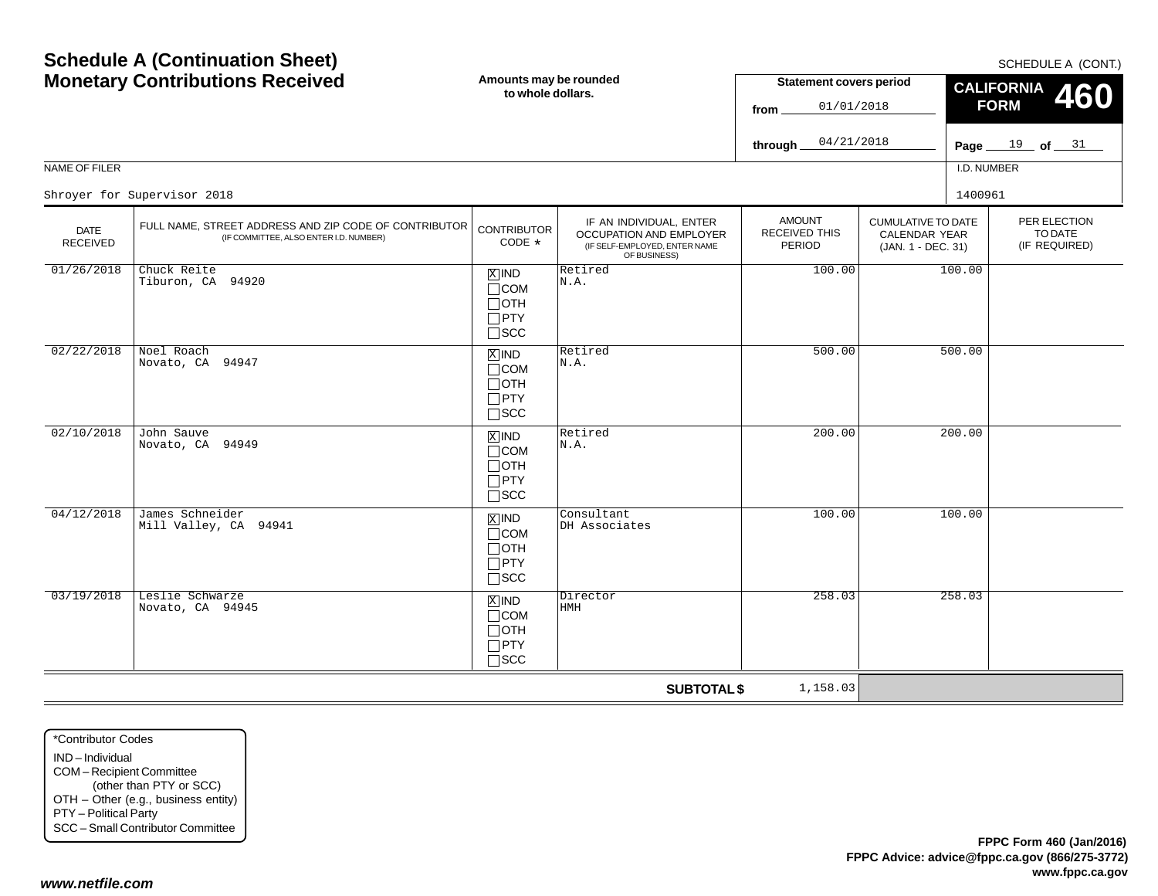#### NAME OF FILER**fromthrough** AMOUNTRECEIVED THISPERIODIF AN INDIVIDUAL, ENTER OCCUPATION AND EMPLOYER (IF SELF-EMPLOYED, ENTER NAME OF BUSINESS) DATE RECEIVEDFULL NAME, STREET ADDRESS AND ZIP CODE OF CONTRIBUTOR (IF COMMITTEE, ALSO ENTER I.D. NUMBER) **CONTRIBUTOR** CODE\*IND  $\Box$ COM  $\Box$ OTH PTY SCC xiind COM  $\Box$ OTH  $\Box$ PTY SCC  $\mathbb{Z}$  IND  $\mathbb{R}$  Retired COM OTH PTY  $\Box$ SCC 01/01/201804/21/2018Shroyer for Supervisor 20188 a 1400961 and the set of the set of the set of the set of the set of the set of the set of the set of the set of the set of the set of the set of the set of the set of the set of the set of the set of the set of the set  $01/26/2018$  Chuck Reite Tiburon, CA 94920 $\begin{array}{|c|c|c|c|}\hline \text{X} & \text{IND} & \text{Retired} \ \hline \text{COM} & \text{N.A.} \ \hline \end{array}$  100.00 100.00 02/22/2018 Noel Roach Novato, CA 94947 Retired N.A.500.0002/10/2018 John Sauve Novato, CA 94949N.A.200.00

**SUBTOTAL \$** IND  $\Box$ COM OTH  $\Box$ PTY SCC IND  $\Box$ COM OTH PTY  $\Box$ SCC 200.00 04/12/2018 James Schneider Mill Valley, CA 94941 $\begin{array}{|c|c|c|c|}\n1 & \text{MID} & \text{Constant} & & & & 100.00 & & & 100.00 \\
\hline\n1 & \text{COM} & \text{DH Associates} & & & & & & \n\end{array}$ 03/19/2018 Leslie Schwarze Novato, CA 94945 $\begin{array}{|c|c|c|c|c|}\n\hline\n\text{X} & \text{ND} & \text{Directory} & & & & & 258.03 \\
\hline\n\text{HOM} & \text{HMH} & & & & & & & & \\
\hline\n\end{array}$ 1,158.03

\*Contributor CodesIND – IndividualCOM – Recipient Committee (other than PTY or SCC) OTH – Other (e.g., business entity) PTY – Political Party SCC – Small Contributor Committee

SCHEDULE A (CONT.)

PER ELECTIONTO DATE(IF REQUIRED)

**460**

Page <u>\_\_\_ 19</u> \_\_ of <u>\_\_\_ 31</u>

I.D. NUMBER

500.00

CUMULATIVE TO DATECALENDAR YEAR(JAN. 1 - DEC. 31)

**CALIFORNIA FORM**

**Statement covers period**

# **Schedule A (Continuation Sheet) Monetary Contributions Received**

**Amounts may be rounded to whole dollars.**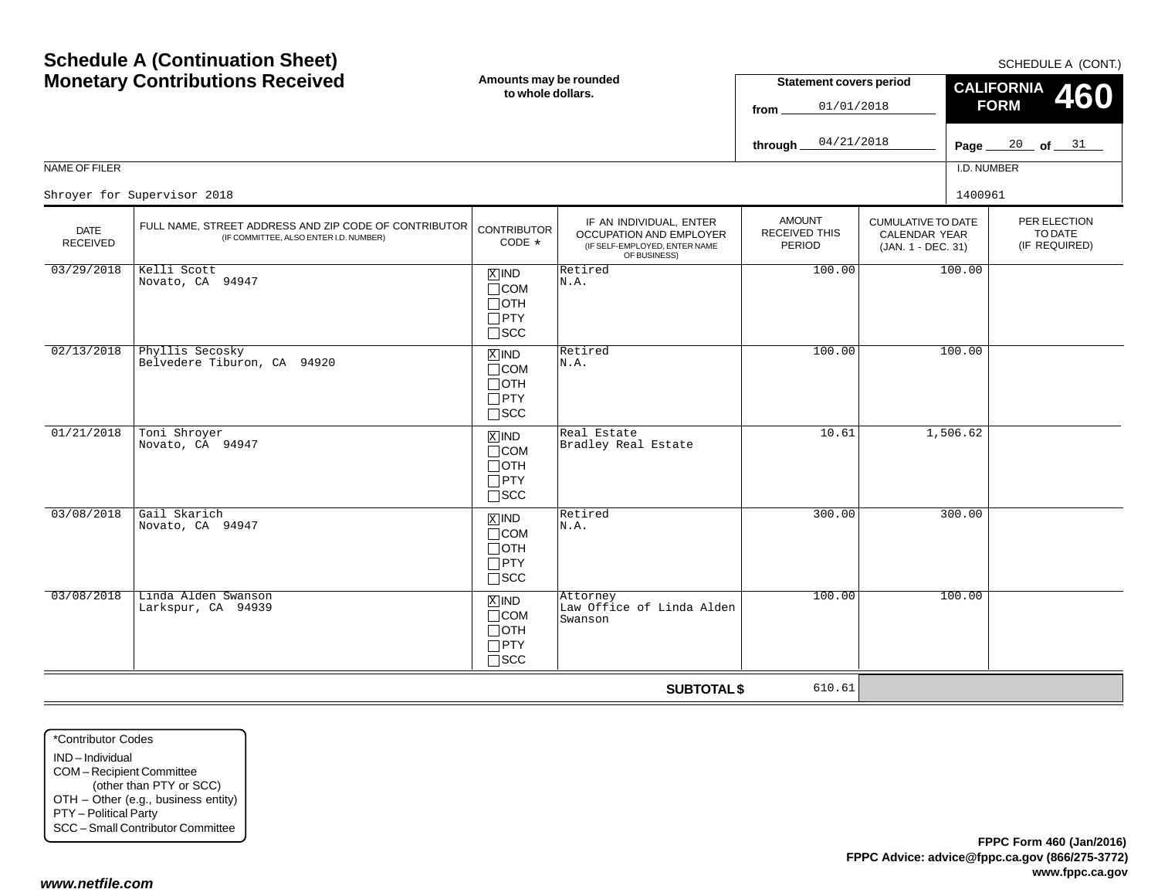| <b>Monetary Contributions Received</b> |                                                                                                 | Amounts may be rounded<br>to whole dollars.                        |                                                                                                     | <b>Statement covers period</b><br>01/01/2018<br>from |                                                                  | <b>CALIFORNIA</b><br><b>460</b><br><b>FORM</b> |                                           |  |
|----------------------------------------|-------------------------------------------------------------------------------------------------|--------------------------------------------------------------------|-----------------------------------------------------------------------------------------------------|------------------------------------------------------|------------------------------------------------------------------|------------------------------------------------|-------------------------------------------|--|
|                                        |                                                                                                 |                                                                    |                                                                                                     | 04/21/2018<br>through_                               |                                                                  |                                                | Page $\frac{20}{100}$ of $\frac{31}{100}$ |  |
| <b>NAME OF FILER</b>                   |                                                                                                 | I.D. NUMBER                                                        |                                                                                                     |                                                      |                                                                  |                                                |                                           |  |
| Shroyer for Supervisor 2018            |                                                                                                 | 1400961                                                            |                                                                                                     |                                                      |                                                                  |                                                |                                           |  |
| <b>DATE</b><br><b>RECEIVED</b>         | FULL NAME, STREET ADDRESS AND ZIP CODE OF CONTRIBUTOR<br>(IF COMMITTEE, ALSO ENTER I.D. NUMBER) | <b>CONTRIBUTOR</b><br>CODE *                                       | IF AN INDIVIDUAL, ENTER<br>OCCUPATION AND EMPLOYER<br>(IF SELF-EMPLOYED, ENTER NAME<br>OF BUSINESS) | <b>AMOUNT</b><br>RECEIVED THIS<br>PERIOD             | <b>CUMULATIVE TO DATE</b><br>CALENDAR YEAR<br>(JAN. 1 - DEC. 31) |                                                | PER ELECTION<br>TO DATE<br>(IF REQUIRED)  |  |
| 03/29/2018                             | Kelli Scott<br>Novato, CA 94947                                                                 | $X$ IND<br>$\Box$ COM<br>$\Box$ OTH<br>$\Box$ PTY<br>$\Box$ SCC    | Retired<br>N.A.                                                                                     | 100.00                                               |                                                                  | 100.00                                         |                                           |  |
| 02/13/2018                             | Phyllis Secosky<br>Belvedere Tiburon, CA 94920                                                  | $X$ IND<br>$\Box$ COM<br>$\Box$ OTH<br>$\Box$ PTY<br>$\Box$ scc    | Retired<br>N.A.                                                                                     | 100.00                                               |                                                                  | 100.00                                         |                                           |  |
| 01/21/2018                             | Toni Shroyer<br>Novato, CA 94947                                                                | $X$ IND<br>$\Box$ COM<br>$\Box$ OTH<br>$\Box$ PTY<br>$\Box$ scc    | Real Estate<br>Bradley Real Estate                                                                  | 10.61                                                |                                                                  | 1,506.62                                       |                                           |  |
| 03/08/2018                             | Gail Skarich<br>Novato, CA 94947                                                                | $X$ IND<br>$\Box$ COM<br>$\Box$ OTH<br>$\Box$ PTY<br>$\square$ SCC | Retired<br>N.A.                                                                                     | 300.00                                               |                                                                  | 300.00                                         |                                           |  |
| 03/08/2018                             | Linda Alden Swanson<br>Larkspur, CA 94939                                                       | $X$ IND<br>$\Box$ COM<br>$\Box$ OTH<br>$\Box$ PTY<br>$\square$ SCC | Attorney<br>Law Office of Linda Alden<br>Swanson                                                    | 100.00                                               |                                                                  | 100.00                                         |                                           |  |

**SUBTOTAL \$**

610.61

SCHEDULE A (CONT.)

# **Schedule A (Continuation Sheet)**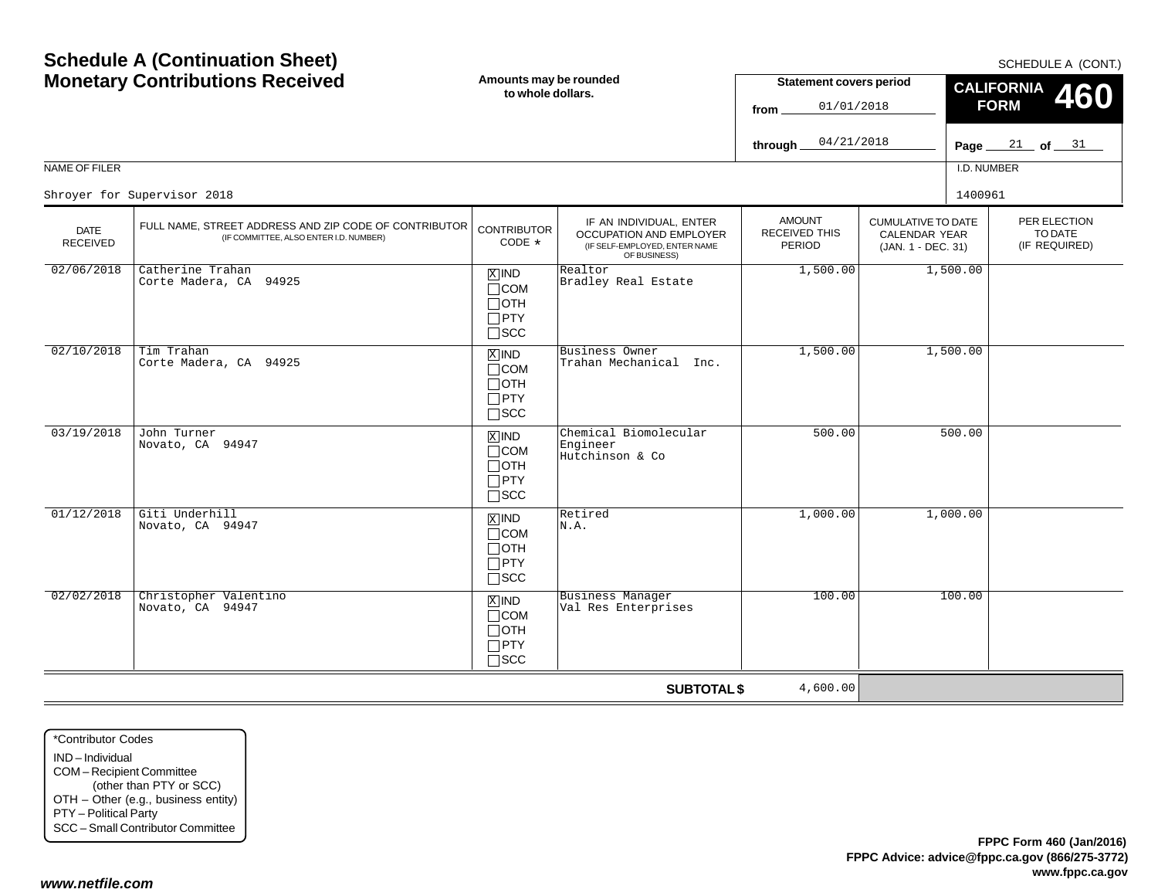| <b>MONETALY CONTINUES</b> RECEIVED |                                                                                                 | Anioanto may be rounded<br>to whole dollars.                                  |                                                                                                     | Statement covers period<br>01/01/2018<br>from<br>04/21/2018<br>through_ |                                                                         | CALIFORNIA 460<br><b>FORM</b><br>Page $21$ of $31$ |                                          |
|------------------------------------|-------------------------------------------------------------------------------------------------|-------------------------------------------------------------------------------|-----------------------------------------------------------------------------------------------------|-------------------------------------------------------------------------|-------------------------------------------------------------------------|----------------------------------------------------|------------------------------------------|
| NAME OF FILER                      |                                                                                                 |                                                                               |                                                                                                     |                                                                         |                                                                         | I.D. NUMBER                                        |                                          |
|                                    | Shroyer for Supervisor 2018                                                                     |                                                                               |                                                                                                     |                                                                         |                                                                         | 1400961                                            |                                          |
| <b>DATE</b><br><b>RECEIVED</b>     | FULL NAME, STREET ADDRESS AND ZIP CODE OF CONTRIBUTOR<br>(IF COMMITTEE, ALSO ENTER I.D. NUMBER) | <b>CONTRIBUTOR</b><br>$CODE *$                                                | IF AN INDIVIDUAL, ENTER<br>OCCUPATION AND EMPLOYER<br>(IF SELF-EMPLOYED, ENTER NAME<br>OF BUSINESS) | <b>AMOUNT</b><br><b>RECEIVED THIS</b><br><b>PERIOD</b>                  | <b>CUMULATIVE TO DATE</b><br><b>CALENDAR YEAR</b><br>(JAN. 1 - DEC. 31) |                                                    | PER ELECTION<br>TO DATE<br>(IF REQUIRED) |
| 02/06/2018                         | Catherine Trahan<br>Corte Madera, CA 94925                                                      | $X$ IND<br>$\Box$ COM<br>$\Box$ OTH<br>$\Box$ PTY<br>$\Box$ scc               | Realtor<br>Bradley Real Estate                                                                      | 1,500.00                                                                |                                                                         | 1,500.00                                           |                                          |
| 02/10/2018                         | Tim Trahan<br>Corte Madera, CA 94925                                                            | $\overline{X}$ IND<br>$\Box$ COM<br>$\Box$ OTH<br>$\Box$ PTY<br>$\square$ scc | Business Owner<br>Trahan Mechanical Inc.                                                            | 1,500.00                                                                | 1,500.00                                                                |                                                    |                                          |
| 03/19/2018                         | John Turner<br>Novato, CA 94947                                                                 | $\overline{X}$ IND<br>$\Box$ COM<br>$\Box$ OTH<br>$\Box$ PTY<br>$\square$ SCC | Chemical Biomolecular<br>Engineer<br>Hutchinson & Co                                                | 500.00                                                                  |                                                                         | 500.00                                             |                                          |
| 01/12/2018                         | Giti Underhill<br>Novato, CA 94947                                                              | $\overline{X}$ IND<br>$\Box$ COM<br>$\Box$ OTH<br>$\Box$ PTY<br>$\square$ SCC | Retired<br>N.A.                                                                                     | 1,000.00                                                                |                                                                         | 1,000.00                                           |                                          |
| 02/02/2018                         | Christopher Valentino<br>Novato, CA 94947                                                       | $X$ IND<br>$\Box$ COM<br>$\Box$ OTH<br>$\Box$ PTY<br>$\square$ SCC            | <b>Business Manager</b><br>Val Res Enterprises                                                      | 100.00                                                                  |                                                                         | 100.00                                             |                                          |

**SUBTOTAL \$**

4,600.00

**Amounts may be rounded to whole dollars.**

**Schedule A (Continuation Sheet) Monetary Contributions Received**

## SCHEDULE A (CONT.)

**Statement covers period**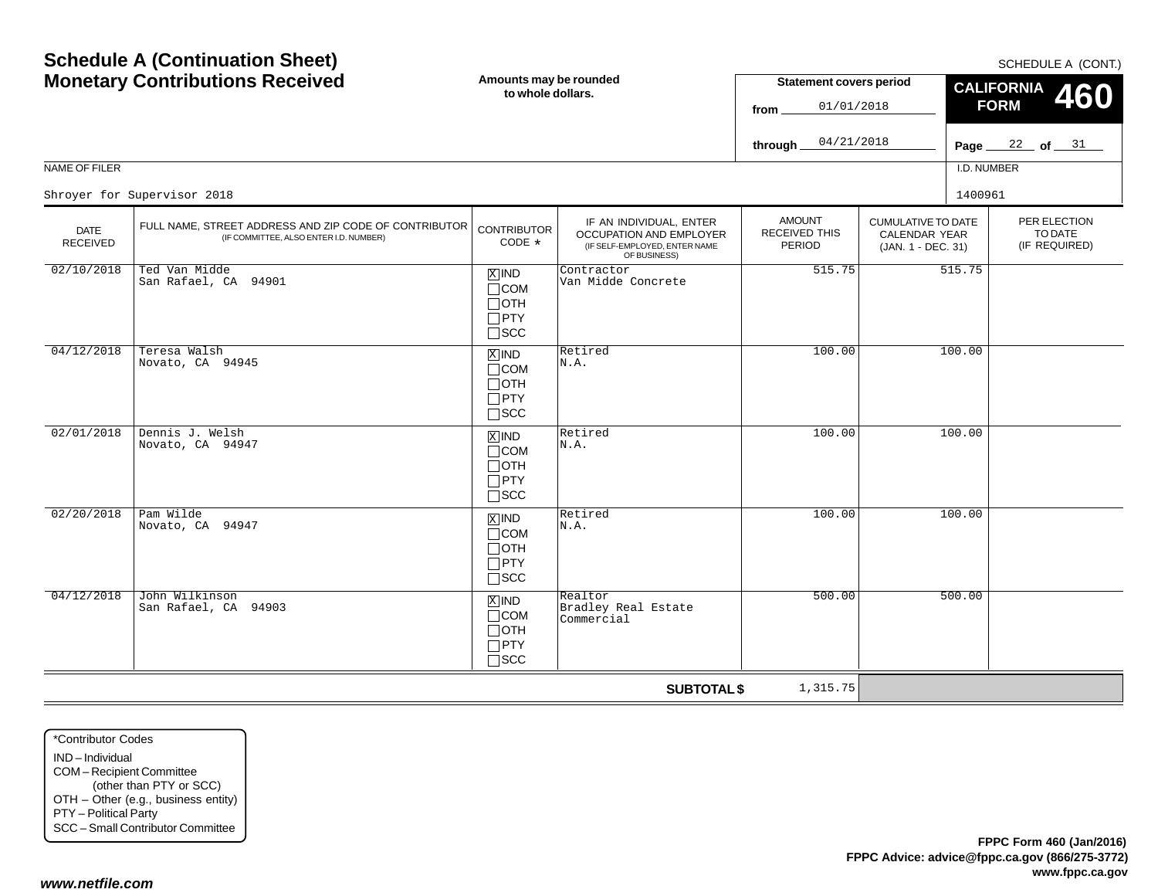#### Page <u>22</u> of 31 NAME OF FILERI.D. NUMBER**fromthrough FORM**CUMULATIVE TO DATECALENDAR YEAR (JAN. 1 - DEC. 31) AMOUNTRECEIVED THISPERIODIF AN INDIVIDUAL, ENTER OCCUPATION AND EMPLOYER (IF SELF-EMPLOYED, ENTER NAME OF BUSINESS) DATE RECEIVEDFULL NAME, STREET ADDRESS AND ZIP CODE OF CONTRIBUTOR (IF COMMITTEE, ALSO ENTER I.D. NUMBER) **CONTRIBUTOR** CODE\*IND  $\Box$ COM  $\Box$ OTH PTY SCC xiind COM  $\Box$ OTH  $\Box$ PTY SCC  $\mathbb{Z}$  IND  $\mathbb{R}$  Retired COM OTH PTY  $\Box$ SCC IND  $\Box$ COM OTH  $\Box$ PTY SCC IND $\Box$ COM OTH PTY  $\Box$ SCC 01/01/201804/21/2018Shroyer for Supervisor 20188 a 1400961 and the set of the set of the set of the set of the set of the set of the set of the set of the set of the set of the set of the set of the set of the set of the set of the set of the set of the set of the set 02/10/2018 Ted Van Midde San Rafael, CA 94901 $\frac{1}{1}$  Sinks and  $\frac{1}{1}$   $\frac{1}{1}$   $\frac{1}{1}$   $\frac{1}{1}$   $\frac{1}{1}$   $\frac{1}{1}$   $\frac{1}{1}$   $\frac{1}{1}$   $\frac{1}{1}$   $\frac{1}{1}$   $\frac{1}{1}$   $\frac{1}{1}$   $\frac{1}{1}$   $\frac{1}{1}$   $\frac{1}{1}$   $\frac{1}{1}$   $\frac{1}{1}$   $\frac{1}{1}$   $\frac{1}{1}$   $\frac{1}{1}$  04/12/2018 Teresa Walsh Novato, CA 94945 Retired N.A.100.00 100.00 02/01/2018 Dennis J. Welsh Novato, CA 94947N.A.100.00 100.00 02/20/2018 Pam Wilde Novato, CA 94947 $\begin{array}{c|c|c|c|c} \hline \mathbb{X} & \mathbb{N} & \mathbb{R} & \mathbb{R}^{\mathsf{etired}} & & & & 100.00 \ \hline \mathbb{T} & & \mathbb{N} & \mathbb{A} & \mathbb{N} \end{array}$ 04/12/2018 John Wilkinson San Rafael, CA 94903Realtor<br>Bradley Real Estate Commercial500.00500.00

**SUBTOTAL \$**

1,315.75

\*Contributor CodesIND – IndividualCOM – Recipient Committee (other than PTY or SCC) OTH – Other (e.g., business entity) PTY – Political Party SCC – Small Contributor Committee

#### *www.netfile.com*

SCHEDULE A (CONT.)

PER ELECTIONTO DATE(IF REQUIRED)

**460**

**CALIFORNIA**

**Statement covers period**

## **Schedule A (Continuation Sheet) Monetary Contributions Received**

**Amounts may be rounded to whole dollars.**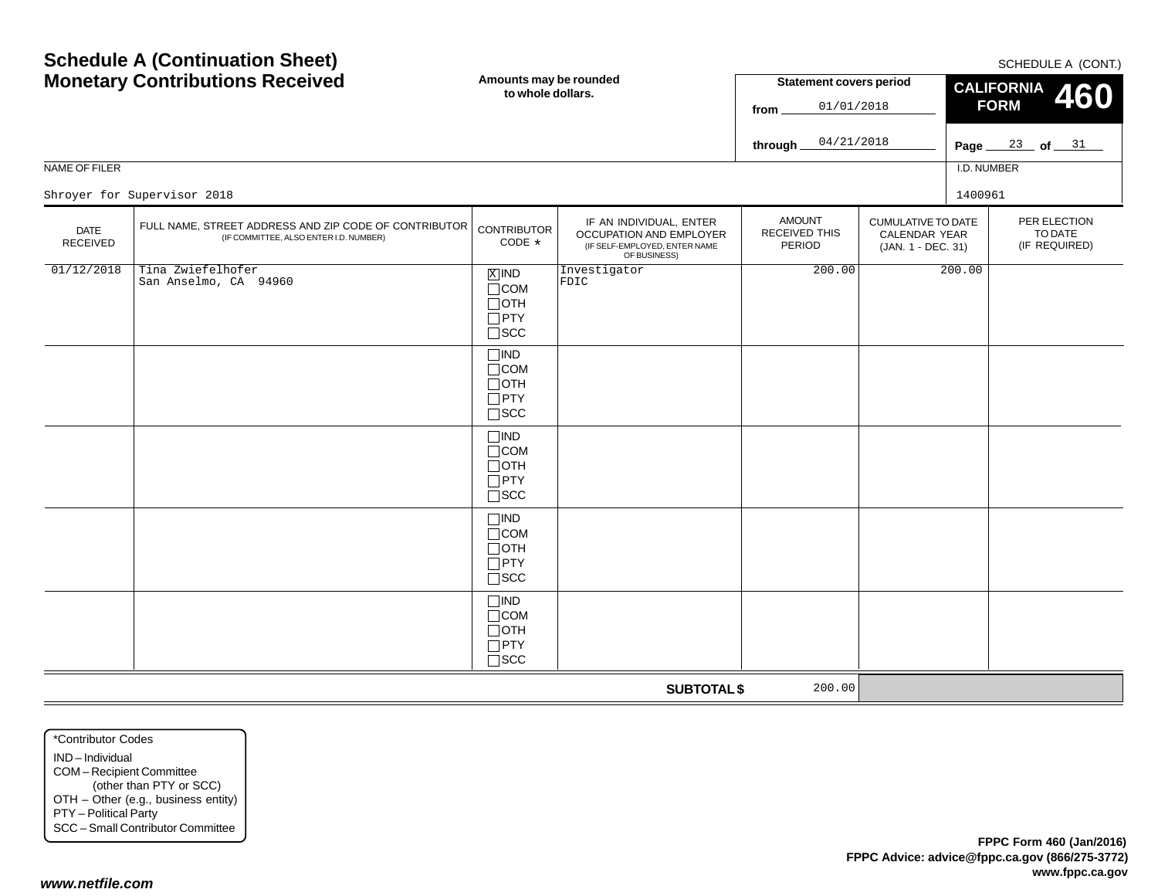SCHEDULE A (CONT)

|                         | <b>Monetary Contributions Received</b>                                                          | Amounts may be rounded<br>to whole dollars.                              |                                                                                                     | <b>Statement covers period</b><br>01/01/2018<br>from<br>04/21/2018<br>through. |                                                           |             | CALIFORNIA 460<br><b>FORM</b><br>Page $\frac{23}{ }$ of $\frac{31}{ }$ |  |
|-------------------------|-------------------------------------------------------------------------------------------------|--------------------------------------------------------------------------|-----------------------------------------------------------------------------------------------------|--------------------------------------------------------------------------------|-----------------------------------------------------------|-------------|------------------------------------------------------------------------|--|
| NAME OF FILER           |                                                                                                 |                                                                          |                                                                                                     |                                                                                |                                                           | I.D. NUMBER |                                                                        |  |
|                         | Shroyer for Supervisor 2018                                                                     |                                                                          |                                                                                                     |                                                                                |                                                           | 1400961     |                                                                        |  |
| <b>DATE</b><br>RECEIVED | FULL NAME, STREET ADDRESS AND ZIP CODE OF CONTRIBUTOR<br>(IF COMMITTEE, ALSO ENTER I.D. NUMBER) | <b>CONTRIBUTOR</b><br>CODE *                                             | IF AN INDIVIDUAL, ENTER<br>OCCUPATION AND EMPLOYER<br>(IF SELF-EMPLOYED, ENTER NAME<br>OF BUSINESS) | <b>AMOUNT</b><br>RECEIVED THIS<br>PERIOD                                       | CUMULATIVE TO DATE<br>CALENDAR YEAR<br>(JAN. 1 - DEC. 31) |             | PER ELECTION<br>TO DATE<br>(IF REQUIRED)                               |  |
| 01/12/2018              | Tina Zwiefelhofer<br>San Anselmo, CA 94960                                                      | $X$ IND<br>$\Box$ COM<br>$\Box$ OTH<br>$\Box$ PTY<br>$\square$ SCC       | Investigator<br>FDIC                                                                                | 200.00                                                                         |                                                           | 200.00      |                                                                        |  |
|                         |                                                                                                 | $\Box$ IND<br>$\Box$ COM<br>$\Box$ OTH<br>$\Box$ PTY<br>$\square$ SCC    |                                                                                                     |                                                                                |                                                           |             |                                                                        |  |
|                         |                                                                                                 | $\square$ IND<br>$\Box$ COM<br>$\Box$ OTH<br>$\Box$ PTY<br>$\square$ scc |                                                                                                     |                                                                                |                                                           |             |                                                                        |  |
|                         |                                                                                                 | $\square$ IND<br>$\Box$ COM<br>$\Box$ OTH<br>$\Box$ PTY<br>$\square$ SCC |                                                                                                     |                                                                                |                                                           |             |                                                                        |  |
|                         |                                                                                                 | $\square$ IND<br>$\Box$ COM<br>$\Box$ OTH<br>$\Box$ PTY<br>$\square$ SCC |                                                                                                     |                                                                                |                                                           |             |                                                                        |  |
|                         |                                                                                                 |                                                                          | <b>SUBTOTAL \$</b>                                                                                  | 200.00                                                                         |                                                           |             |                                                                        |  |

\*Contributor CodesIND – Individual COM – Recipient Committee (other than PTY or SCC) OTH – Other (e.g., business entity) PTY – Political Party SCC – Small Contributor Committee

**Schedule A (Continuation Sheet)**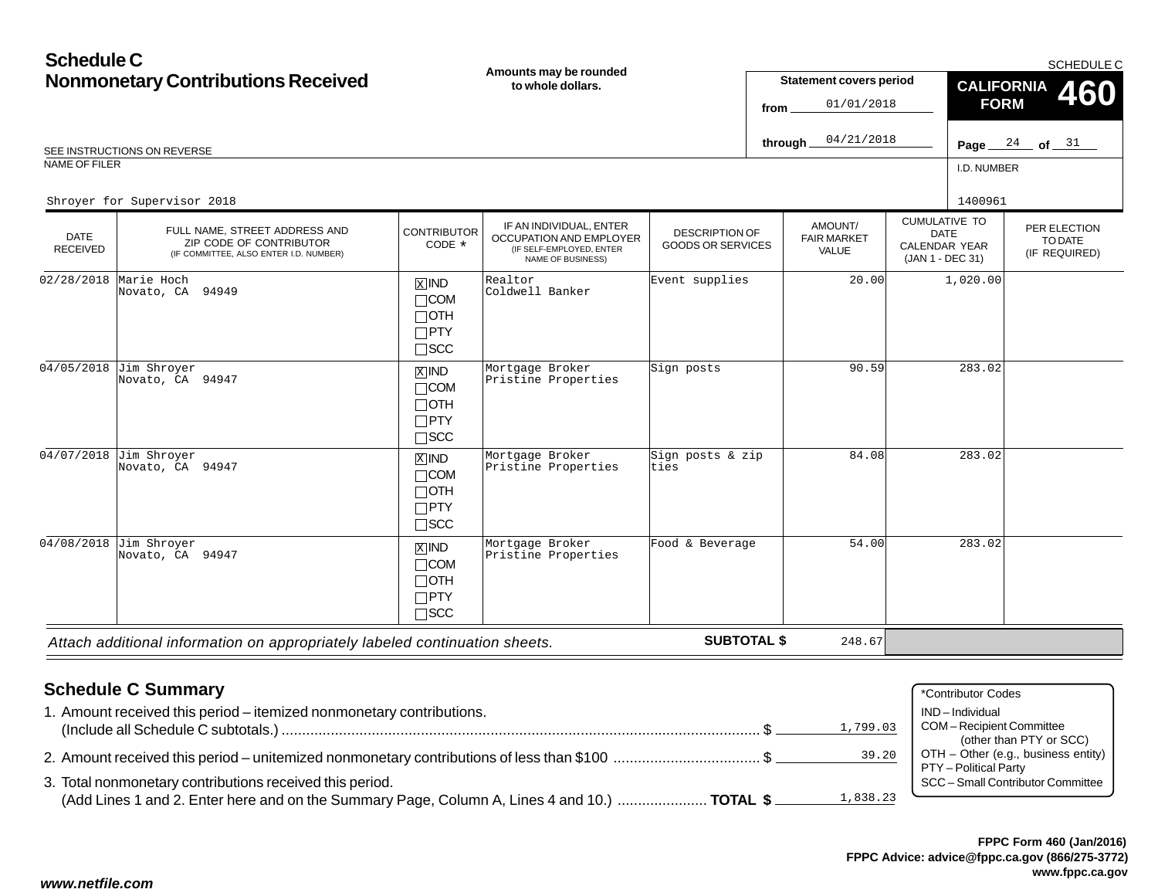| <b>Schedule C</b>                         |                                                                                                    |                                                                            |                                                                                                            |                                                   |                                                      |                                        |                                                                          |                                         | <b>SCHEDULE C</b>                        |
|-------------------------------------------|----------------------------------------------------------------------------------------------------|----------------------------------------------------------------------------|------------------------------------------------------------------------------------------------------------|---------------------------------------------------|------------------------------------------------------|----------------------------------------|--------------------------------------------------------------------------|-----------------------------------------|------------------------------------------|
| <b>Nonmonetary Contributions Received</b> |                                                                                                    | Amounts may be rounded<br>to whole dollars.                                |                                                                                                            |                                                   | <b>Statement covers period</b><br>01/01/2018<br>from |                                        |                                                                          | <b>CALIFORNIA</b><br>460<br><b>FORM</b> |                                          |
|                                           | SEE INSTRUCTIONS ON REVERSE                                                                        |                                                                            |                                                                                                            |                                                   | through_                                             | 04/21/2018                             |                                                                          |                                         | Page $24$ of $31$                        |
| <b>NAME OF FILER</b>                      |                                                                                                    |                                                                            |                                                                                                            |                                                   |                                                      |                                        |                                                                          | I.D. NUMBER                             |                                          |
|                                           | Shroyer for Supervisor 2018                                                                        |                                                                            |                                                                                                            |                                                   |                                                      |                                        |                                                                          | 1400961                                 |                                          |
| <b>DATE</b><br><b>RECEIVED</b>            | FULL NAME, STREET ADDRESS AND<br>ZIP CODE OF CONTRIBUTOR<br>(IF COMMITTEE, ALSO ENTER I.D. NUMBER) | <b>CONTRIBUTOR</b><br>CODE *                                               | IF AN INDIVIDUAL, ENTER<br>OCCUPATION AND EMPLOYER<br>(IF SELF-EMPLOYED, ENTER<br><b>NAME OF BUSINESS)</b> | <b>DESCRIPTION OF</b><br><b>GOODS OR SERVICES</b> |                                                      | AMOUNT/<br><b>FAIR MARKET</b><br>VALUE | <b>CUMULATIVE TO</b><br><b>DATE</b><br>CALENDAR YEAR<br>(JAN 1 - DEC 31) |                                         | PER ELECTION<br>TO DATE<br>(IF REQUIRED) |
| 02/28/2018                                | Marie Hoch<br>Novato, CA 94949                                                                     | $\overline{X}$ IND<br>$\Box$ COM<br>$\Box$ OTH<br>$\Box$ PTY<br>$\Box$ scc | Realtor<br>Coldwell Banker                                                                                 | Event supplies                                    |                                                      | 20.00                                  |                                                                          | 1,020.00                                |                                          |
| 04/05/2018                                | Jim Shroyer<br>Novato, CA 94947                                                                    | $X$ IND<br>$\Box$ COM<br>$\Box$ oth<br>$\Box$ PTY<br>$\Box$ scc            | Mortgage Broker<br>Pristine Properties                                                                     | Sign posts                                        |                                                      | 90.59                                  |                                                                          | 283.02                                  |                                          |
|                                           | 04/07/2018 Jim Shroyer<br>Novato, CA 94947                                                         | $X$ IND<br>$\Box$ COM<br>$\Box$ OTH<br>$\Box$ PTY<br>$\Box$ SCC            | Mortgage Broker<br>Pristine Properties                                                                     | Sign posts & zip<br>ties                          |                                                      | 84.08                                  |                                                                          | 283.02                                  |                                          |
| 04/08/2018                                | Jim Shroyer<br>Novato, CA 94947                                                                    | $X$ IND<br>$\Box$ COM<br>$\Box$ OTH<br>$\Box$ PTY<br>$\Box$ SCC            | Mortgage Broker<br>Pristine Properties                                                                     | Food & Beverage                                   |                                                      | 54.00                                  |                                                                          | 283.02                                  |                                          |
|                                           | Attach additional information on appropriately labeled continuation sheets.                        |                                                                            |                                                                                                            | <b>SUBTOTAL \$</b>                                |                                                      | 248.67                                 |                                                                          |                                         |                                          |

*Attach additional information on appropriately labeled continuation sheets.*

**SUBTOTAL \$**

# **Schedule C Summary**

| Scributible C Sullimary                                                                                  | *Contributor Codes                                                                      |
|----------------------------------------------------------------------------------------------------------|-----------------------------------------------------------------------------------------|
| 1. Amount received this period – itemized nonmonetary contributions.<br>1,799.03                         | IND-Individual<br>COM-Recipient Committee                                               |
| 39.20<br>2. Amount received this period – unitemized nonmonetary contributions of less than \$100 \$     | (other than PTY or SCC)<br>OTH - Other (e.g., business entity)<br>PTY - Political Party |
| 3. Total nonmonetary contributions received this period.                                                 | SCC - Small Contributor Committee                                                       |
| 1,838.23<br>(Add Lines 1 and 2. Enter here and on the Summary Page, Column A, Lines 4 and 10.)  TOTAL \$ |                                                                                         |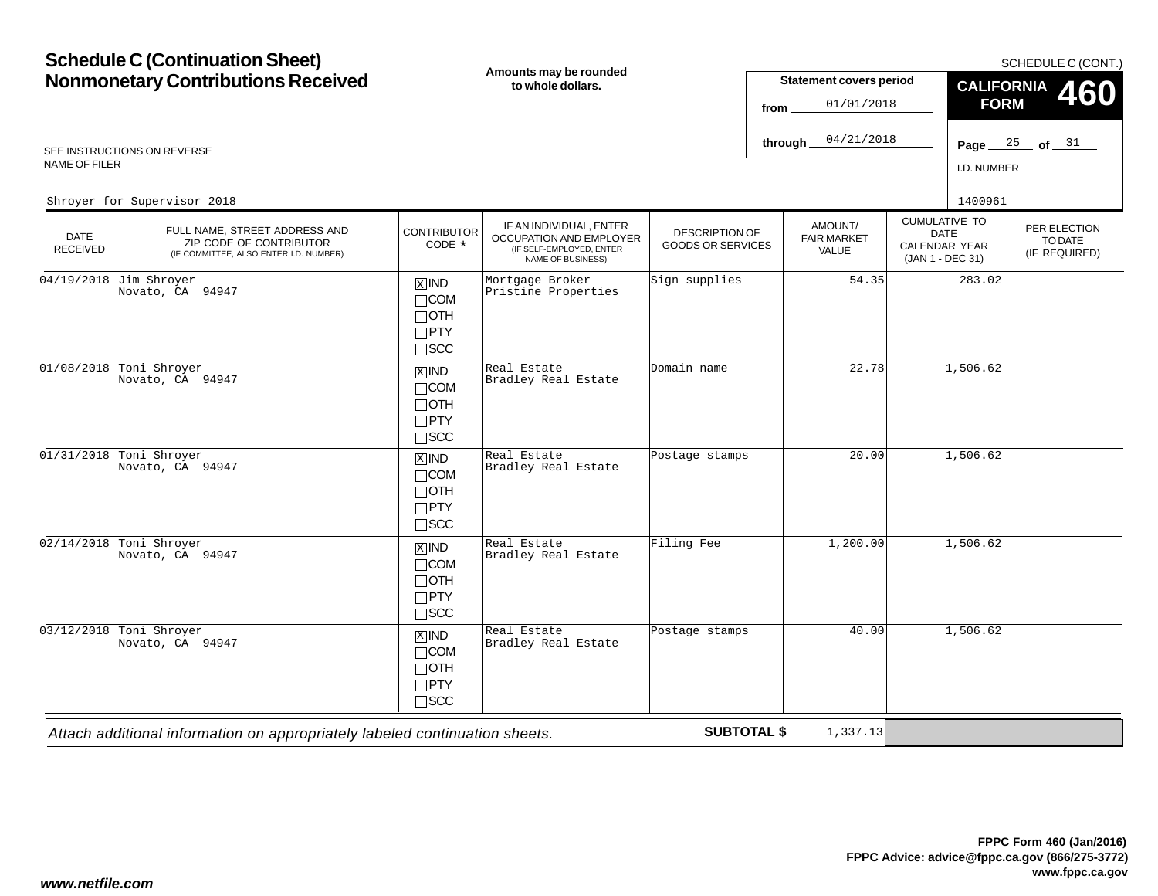|                         | <b>Schedule C (Continuation Sheet)</b>                                                             |                                                                    |                                                                                                     |                                                   |          |                                        |                                                                                 |             | SCHEDULE C (CONT.)                       |
|-------------------------|----------------------------------------------------------------------------------------------------|--------------------------------------------------------------------|-----------------------------------------------------------------------------------------------------|---------------------------------------------------|----------|----------------------------------------|---------------------------------------------------------------------------------|-------------|------------------------------------------|
|                         | <b>Nonmonetary Contributions Received</b>                                                          |                                                                    | Amounts may be rounded<br>to whole dollars.                                                         |                                                   |          | <b>Statement covers period</b>         |                                                                                 |             | CALIFORNIA 460                           |
|                         |                                                                                                    |                                                                    |                                                                                                     |                                                   | from     | 01/01/2018                             |                                                                                 | <b>FORM</b> |                                          |
|                         | SEE INSTRUCTIONS ON REVERSE                                                                        |                                                                    |                                                                                                     |                                                   | through_ | 04/21/2018                             |                                                                                 |             | Page $\frac{25}{ }$ of $\frac{31}{ }$    |
| NAME OF FILER           |                                                                                                    |                                                                    |                                                                                                     |                                                   |          |                                        |                                                                                 | I.D. NUMBER |                                          |
|                         | Shroyer for Supervisor 2018                                                                        |                                                                    |                                                                                                     |                                                   |          |                                        |                                                                                 | 1400961     |                                          |
| <b>DATE</b><br>RECEIVED | FULL NAME, STREET ADDRESS AND<br>ZIP CODE OF CONTRIBUTOR<br>(IF COMMITTEE, ALSO ENTER I.D. NUMBER) | <b>CONTRIBUTOR</b><br>CODE *                                       | IF AN INDIVIDUAL, ENTER<br>OCCUPATION AND EMPLOYER<br>(IF SELF-EMPLOYED, ENTER<br>NAME OF BUSINESS) | <b>DESCRIPTION OF</b><br><b>GOODS OR SERVICES</b> |          | AMOUNT/<br><b>FAIR MARKET</b><br>VALUE | <b>CUMULATIVE TO</b><br><b>DATE</b><br><b>CALENDAR YEAR</b><br>(JAN 1 - DEC 31) |             | PER ELECTION<br>TO DATE<br>(IF REQUIRED) |
| 04/19/2018              | Jim Shroyer<br>Novato, CA 94947                                                                    | $X$ IND<br>$\Box$ COM<br>$\Box$ OTH<br>$\Box$ PTY<br>$\square$ SCC | Mortgage Broker<br>Pristine Properties                                                              | Sign supplies                                     |          | 54.35                                  |                                                                                 | 283.02      |                                          |
| 01/08/2018              | Toni Shroyer<br>Novato, CA 94947                                                                   | $X$ IND<br>$\Box$ COM<br>$\Box$ OTH<br>$\Box$ PTY<br>$\square$ SCC | Real Estate<br>Bradley Real Estate                                                                  | Domain name                                       |          | 22.78                                  |                                                                                 | 1,506.62    |                                          |
|                         | 01/31/2018 Toni Shroyer<br>Novato, CA 94947                                                        | $X$ IND<br>$\Box$ COM<br>$\Box$ OTH<br>$\Box$ PTY<br>$\square$ SCC | Real Estate<br>Bradley Real Estate                                                                  | Postage stamps                                    |          | 20.00                                  |                                                                                 | 1,506.62    |                                          |
|                         | $02/14/2018$ Toni Shroyer<br>Novato, CA 94947                                                      | $X$ IND<br>$\Box$ COM<br>$\Box$ OTH<br>$\Box$ PTY<br>$\Box$ scc    | Real Estate<br>Bradley Real Estate                                                                  | Filing Fee                                        |          | 1,200.00                               |                                                                                 | 1,506.62    |                                          |
| 03/12/2018              | Toni Shroyer<br>Novato, CA 94947                                                                   | $X$ IND<br>$\Box$ COM<br>$\Box$ OTH<br>$\Box$ PTY<br>$\Box$ SCC    | Real Estate<br>Bradley Real Estate                                                                  | Postage stamps                                    |          | 40.00                                  |                                                                                 | 1,506.62    |                                          |

*Attach additional information on appropriately labeled continuation sheets.*

**SUBTOTAL \$**

1,337.13

 $=$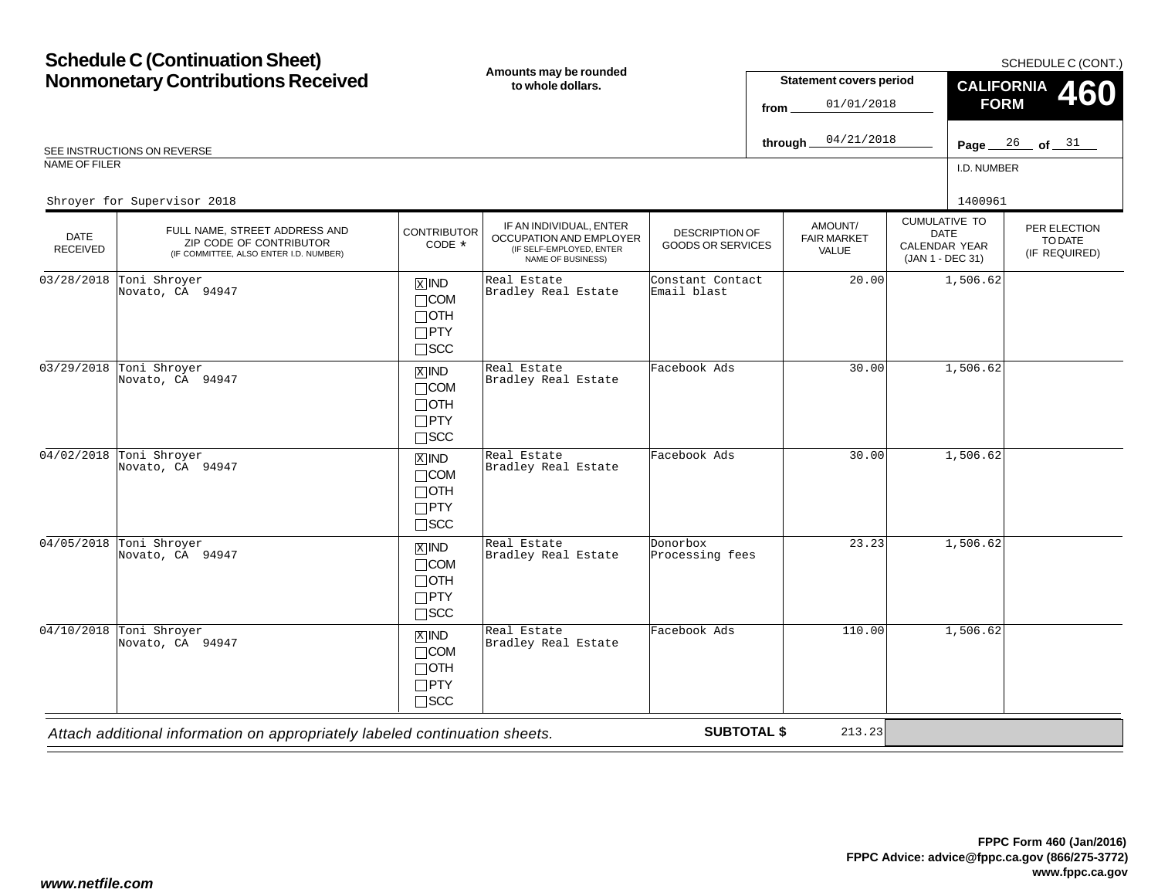|                                | <b>Schedule C (Continuation Sheet)</b>                                                             |                                                                                   |                                                                                                     |                                                   |          |                                        |                                                                          |             | SCHEDULE C (CONT.)                       |
|--------------------------------|----------------------------------------------------------------------------------------------------|-----------------------------------------------------------------------------------|-----------------------------------------------------------------------------------------------------|---------------------------------------------------|----------|----------------------------------------|--------------------------------------------------------------------------|-------------|------------------------------------------|
|                                | <b>Nonmonetary Contributions Received</b>                                                          |                                                                                   | Amounts may be rounded<br>to whole dollars.                                                         |                                                   |          | <b>Statement covers period</b>         |                                                                          |             | CALIFORNIA 460                           |
|                                |                                                                                                    |                                                                                   |                                                                                                     |                                                   | from     | 01/01/2018                             |                                                                          | <b>FORM</b> |                                          |
|                                | SEE INSTRUCTIONS ON REVERSE                                                                        |                                                                                   |                                                                                                     |                                                   | through_ | 04/21/2018                             |                                                                          |             | Page $26$ of $31$                        |
| NAME OF FILER                  |                                                                                                    |                                                                                   |                                                                                                     |                                                   |          |                                        |                                                                          | I.D. NUMBER |                                          |
|                                | Shroyer for Supervisor 2018                                                                        |                                                                                   |                                                                                                     |                                                   |          |                                        |                                                                          | 1400961     |                                          |
| <b>DATE</b><br><b>RECEIVED</b> | FULL NAME, STREET ADDRESS AND<br>ZIP CODE OF CONTRIBUTOR<br>(IF COMMITTEE, ALSO ENTER I.D. NUMBER) | <b>CONTRIBUTOR</b><br>CODE *                                                      | IF AN INDIVIDUAL, ENTER<br>OCCUPATION AND EMPLOYER<br>(IF SELF-EMPLOYED, ENTER<br>NAME OF BUSINESS) | <b>DESCRIPTION OF</b><br><b>GOODS OR SERVICES</b> |          | AMOUNT/<br><b>FAIR MARKET</b><br>VALUE | <b>CUMULATIVE TO</b><br><b>DATE</b><br>CALENDAR YEAR<br>(JAN 1 - DEC 31) |             | PER ELECTION<br>TO DATE<br>(IF REQUIRED) |
| 03/28/2018                     | Toni Shroyer<br>Novato, CA 94947                                                                   | $\boxed{\text{X}}$ IND<br>$\Box$ COM<br>$\Box$ OTH<br>$\Box$ PTY<br>$\square$ SCC | Real Estate<br>Bradley Real Estate                                                                  | Constant Contact<br>Email blast                   |          | 20.00                                  |                                                                          | 1,506.62    |                                          |
| 03/29/2018                     | Toni Shroyer<br>Novato, CA 94947                                                                   | $\overline{X}$ IND<br>$\Box$ COM<br>$\Box$ OTH<br>$\Box$ PTY<br>$\square$ SCC     | Real Estate<br>Bradley Real Estate                                                                  | Facebook Ads                                      |          | 30.00                                  |                                                                          | 1,506.62    |                                          |
| 04/02/2018                     | Toni Shroyer<br>Novato, CA 94947                                                                   | $X$ IND<br>$\Box$ COM<br>$\Box$ OTH<br>$\Box$ PTY<br>$\square$ SCC                | Real Estate<br>Bradley Real Estate                                                                  | Facebook Ads                                      |          | 30.00                                  |                                                                          | 1,506.62    |                                          |
| 04/05/2018                     | Toni Shroyer<br>Novato, CA 94947                                                                   | $X$ IND<br>$\Box$ COM<br>$\Box$ OTH<br>$\Box$ PTY<br>$\square$ SCC                | Real Estate<br>Bradley Real Estate                                                                  | Donorbox<br>Processing fees                       |          | 23.23                                  |                                                                          | 1,506.62    |                                          |
|                                | $04/10/2018$ Toni Shroyer<br>Novato, CA 94947                                                      | $X$ IND<br>$\Box$ COM<br>$\Box$ OTH<br>$\Box$ PTY<br>$\Box$ scc                   | Real Estate<br>Bradley Real Estate                                                                  | Facebook Ads                                      |          | 110.00                                 |                                                                          | 1,506.62    |                                          |

*Attach additional information on appropriately labeled continuation sheets.*

**SUBTOTAL \$**

213.23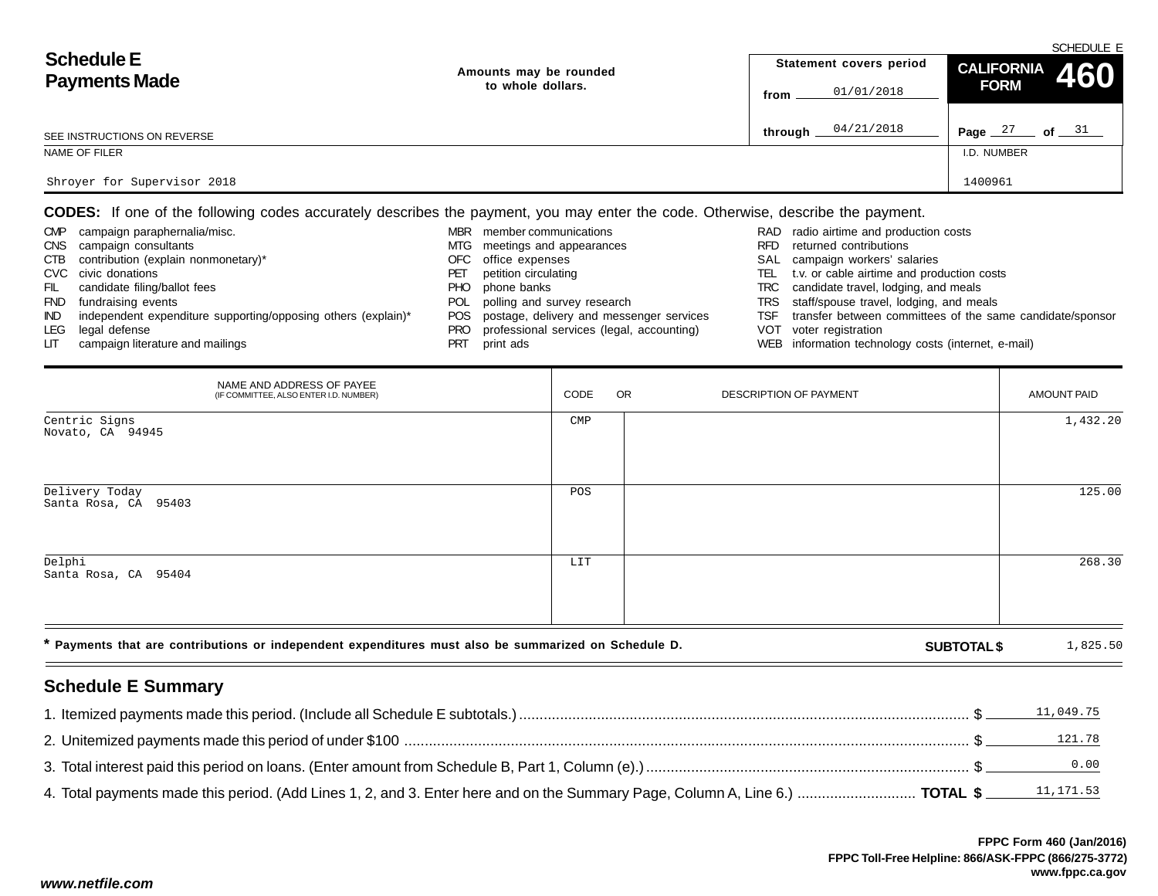|                             |                        |                         | SCHEDULE E                     |
|-----------------------------|------------------------|-------------------------|--------------------------------|
| <b>Schedule E</b>           | Amounts may be rounded | Statement covers period | CALIFORNIA 460                 |
| <b>Payments Made</b>        | to whole dollars.      | 01/01/2018<br>from      | <b>FORM</b>                    |
| SEE INSTRUCTIONS ON REVERSE |                        | 04/21/2018<br>through   | Page $27$<br>of $\frac{31}{2}$ |
| NAME OF FILER               |                        |                         | I.D. NUMBER                    |
| Shroyer for Supervisor 2018 |                        |                         | 1400961                        |

**CODES:** If one of the following codes accurately describes the payment, you may enter the code. Otherwise, describe the payment.

| <b>CMP</b> | campaign paraphernalia/misc.                                  | <b>MBR</b> | member communications                        |      | RAD radio airtime and production costs                    |
|------------|---------------------------------------------------------------|------------|----------------------------------------------|------|-----------------------------------------------------------|
| CNS        | campaign consultants                                          | MTG        | meetings and appearances                     | RFD. | returned contributions                                    |
| CTB        | contribution (explain nonmonetary)*                           | OFC        | office expenses                              |      | SAL campaign workers' salaries                            |
|            | CVC civic donations                                           | PET        | petition circulating                         | TEL. | t.v. or cable airtime and production costs                |
| FIL        | candidate filing/ballot fees                                  | PHO.       | phone banks                                  |      | TRC candidate travel, lodging, and meals                  |
| <b>FND</b> | fundraising events                                            | POL        | polling and survey research                  |      | TRS staff/spouse travel, lodging, and meals               |
| IND.       | independent expenditure supporting/opposing others (explain)* |            | POS postage, delivery and messenger services | TSF  | transfer between committees of the same candidate/sponsor |
| LEG        | legal defense                                                 | PRO        | professional services (legal, accounting)    |      | VOT voter registration                                    |
| LIT.       | campaign literature and mailings                              |            | print ads                                    |      | WEB information technology costs (internet, e-mail)       |

| NAME AND ADDRESS OF PAYEE<br>(IF COMMITTEE, ALSO ENTER I.D. NUMBER)                                  | CODE           | OR | DESCRIPTION OF PAYMENT |                    | AMOUNT PAID |
|------------------------------------------------------------------------------------------------------|----------------|----|------------------------|--------------------|-------------|
| Centric Signs<br>Novato, CA 94945                                                                    | $\texttt{CMP}$ |    |                        |                    | 1,432.20    |
| Delivery Today<br>Santa Rosa, CA 95403                                                               | POS            |    |                        |                    | 125.00      |
| Delphi<br>Santa Rosa, CA 95404                                                                       | LIT            |    |                        |                    | 268.30      |
| * Payments that are contributions or independent expenditures must also be summarized on Schedule D. |                |    |                        | <b>SUBTOTAL \$</b> | 1,825.50    |

# **Schedule E Summary**

| 11,049.75 |
|-----------|
|           |
|           |
|           |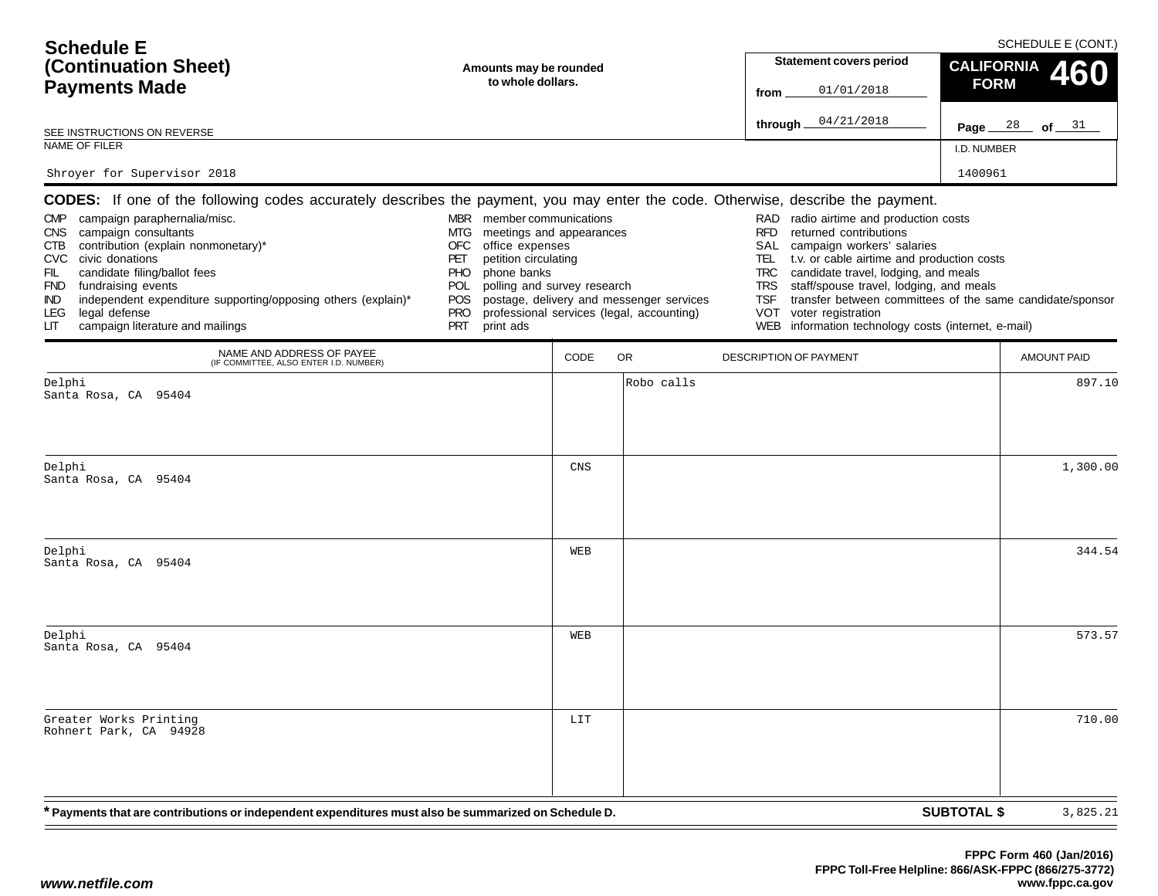| <b>Schedule E</b><br>(Continuation Sheet)<br><b>Payments Made</b>                                                                                     | Amounts may be rounded<br>to whole dollars.                                                                                            | <b>Statement covers period</b><br>01/01/2018<br>from                                                                                                                    | SCHEDULE E (CONT.)<br>CALIFORNIA 460<br><b>FORM</b> |
|-------------------------------------------------------------------------------------------------------------------------------------------------------|----------------------------------------------------------------------------------------------------------------------------------------|-------------------------------------------------------------------------------------------------------------------------------------------------------------------------|-----------------------------------------------------|
| SEE INSTRUCTIONS ON REVERSE                                                                                                                           |                                                                                                                                        | 04/21/2018<br>through                                                                                                                                                   | Page $28$ of $31$                                   |
| NAME OF FILER                                                                                                                                         |                                                                                                                                        |                                                                                                                                                                         | I.D. NUMBER                                         |
| Shroyer for Supervisor 2018                                                                                                                           |                                                                                                                                        |                                                                                                                                                                         | 1400961                                             |
|                                                                                                                                                       | <b>CODES:</b> If one of the following codes accurately describes the payment, you may enter the code. Otherwise, describe the payment. |                                                                                                                                                                         |                                                     |
| campaign paraphernalia/misc.<br><b>CMP</b><br><b>CNS</b><br>campaign consultants<br>contribution (explain nonmonetary)*<br>CTB<br>CVC civic donations | member communications<br><b>MBR</b><br>meetings and appearances<br>MTG.<br>OFC.<br>office expenses<br>petition circulating             | radio airtime and production costs<br>RAD<br>returned contributions<br>RFD.<br>campaign workers' salaries<br>SAL<br>t.v. or cable airtime and production costs<br>TEL 1 |                                                     |

| <b>CMP</b><br>FIL.<br>IND.<br>LEG | campaign paraphernalia/misc.<br>CNS campaign consultants<br>CTB contribution (explain nonmonetary)*<br>CVC civic donations<br>candidate filing/ballot fees<br>FND fundraising events<br>independent expenditure supporting/opposing others (explain)*<br>legal defense | MBR<br>MTG.<br>OFC<br>PET<br>PHO.<br><b>POL</b><br><b>POS</b><br>PRO | member communications<br>meetings and appearances<br>office expenses<br>petition circulating<br>phone banks<br>polling and survey research<br>postage, delivery and messenger services<br>professional services (legal, accounting) | RAD<br><b>RFD</b><br>TSF | radio airtime and production costs<br>returned contributions<br>SAL campaign workers' salaries<br>TEL t.v. or cable airtime and production costs<br>TRC candidate travel, lodging, and meals<br>TRS staff/spouse travel, lodging, and meals<br>transfer between committees of the same candidate/sponsor<br>VOT voter registration |
|-----------------------------------|------------------------------------------------------------------------------------------------------------------------------------------------------------------------------------------------------------------------------------------------------------------------|----------------------------------------------------------------------|-------------------------------------------------------------------------------------------------------------------------------------------------------------------------------------------------------------------------------------|--------------------------|------------------------------------------------------------------------------------------------------------------------------------------------------------------------------------------------------------------------------------------------------------------------------------------------------------------------------------|
| LIT.                              | campaign literature and mailings                                                                                                                                                                                                                                       | -PRT                                                                 | print ads                                                                                                                                                                                                                           |                          | WEB information technology costs (internet, e-mail)                                                                                                                                                                                                                                                                                |

|                                                  | NAME AND ADDRESS OF PAYEE (IF COMMITTEE, ALSO ENTER I.D. NUMBER)                                     | CODE | OR<br>DESCRIPTION OF PAYMENT | <b>AMOUNT PAID</b> |
|--------------------------------------------------|------------------------------------------------------------------------------------------------------|------|------------------------------|--------------------|
| Delphi<br>Santa Rosa, CA 95404                   |                                                                                                      |      | Robo calls                   | 897.10             |
| Delphi<br>Santa Rosa, CA 95404                   |                                                                                                      | CNS  |                              | 1,300.00           |
| Delphi<br>Santa Rosa, CA 95404                   |                                                                                                      | WEB  |                              | 344.54             |
| Delphi<br>Santa Rosa, CA 95404                   |                                                                                                      | WEB  |                              | 573.57             |
| Greater Works Printing<br>Rohnert Park, CA 94928 |                                                                                                      | LIT  |                              | 710.00             |
|                                                  | * Payments that are contributions or independent expenditures must also be summarized on Schedule D. |      | <b>SUBTOTAL \$</b>           | 3,825.21           |

 $\overline{\phantom{a}}$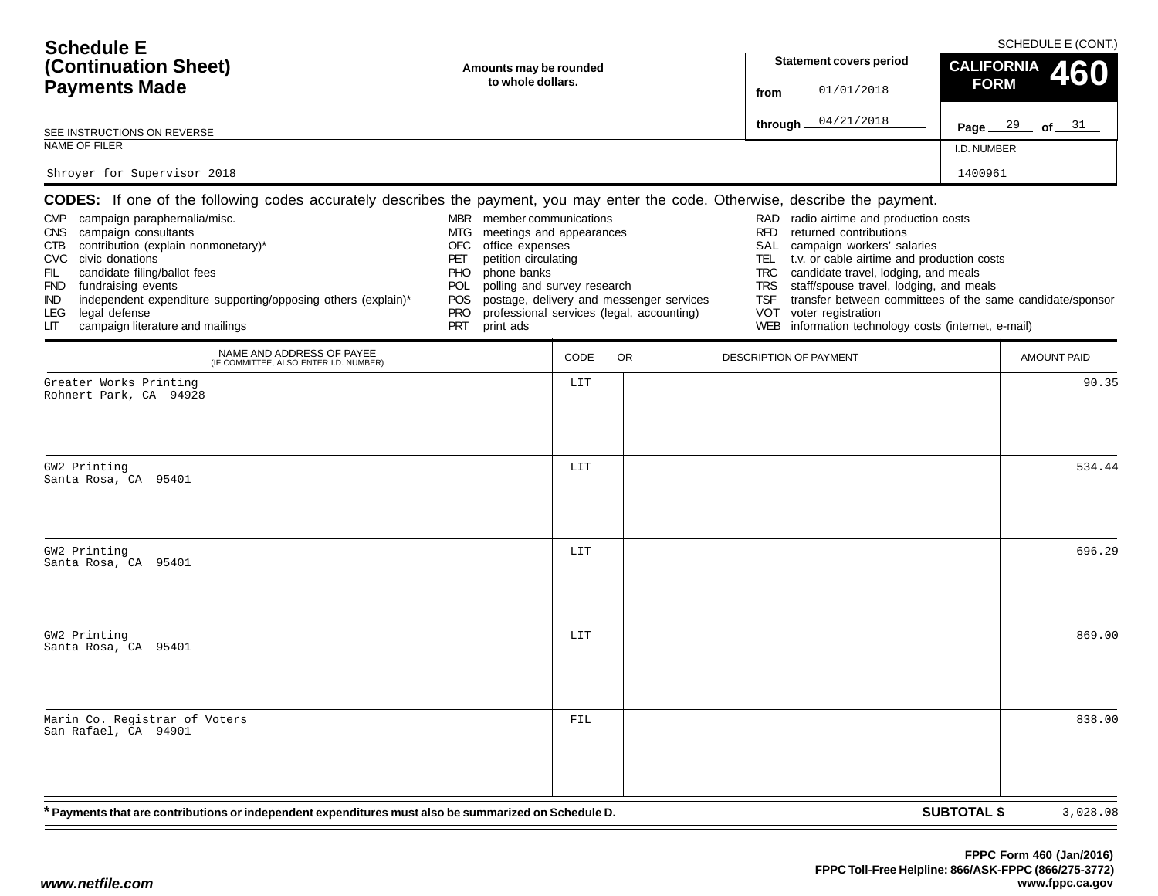| <b>Schedule E</b>                                                                                                                                                                                                                                                                                                                                                                                                                                                                                   |                                                                                                                                                                                                                                                   |                        |                                                                                       |                                                                                   |                                                                                                                                                                                                                                                                                                                                                                       |                    | SCHEDULE E (CONT.) |
|-----------------------------------------------------------------------------------------------------------------------------------------------------------------------------------------------------------------------------------------------------------------------------------------------------------------------------------------------------------------------------------------------------------------------------------------------------------------------------------------------------|---------------------------------------------------------------------------------------------------------------------------------------------------------------------------------------------------------------------------------------------------|------------------------|---------------------------------------------------------------------------------------|-----------------------------------------------------------------------------------|-----------------------------------------------------------------------------------------------------------------------------------------------------------------------------------------------------------------------------------------------------------------------------------------------------------------------------------------------------------------------|--------------------|--------------------|
| (Continuation Sheet)                                                                                                                                                                                                                                                                                                                                                                                                                                                                                |                                                                                                                                                                                                                                                   | Amounts may be rounded |                                                                                       |                                                                                   | <b>Statement covers period</b>                                                                                                                                                                                                                                                                                                                                        | <b>CALIFORNIA</b>  | 60                 |
| <b>Payments Made</b>                                                                                                                                                                                                                                                                                                                                                                                                                                                                                | to whole dollars.                                                                                                                                                                                                                                 |                        |                                                                                       | from                                                                              | 01/01/2018                                                                                                                                                                                                                                                                                                                                                            | <b>FORM</b>        |                    |
| SEE INSTRUCTIONS ON REVERSE                                                                                                                                                                                                                                                                                                                                                                                                                                                                         |                                                                                                                                                                                                                                                   |                        |                                                                                       | through                                                                           | 04/21/2018                                                                                                                                                                                                                                                                                                                                                            |                    | Page $29$ of $31$  |
| NAME OF FILER                                                                                                                                                                                                                                                                                                                                                                                                                                                                                       |                                                                                                                                                                                                                                                   |                        |                                                                                       |                                                                                   |                                                                                                                                                                                                                                                                                                                                                                       | I.D. NUMBER        |                    |
| Shroyer for Supervisor 2018                                                                                                                                                                                                                                                                                                                                                                                                                                                                         |                                                                                                                                                                                                                                                   |                        |                                                                                       |                                                                                   |                                                                                                                                                                                                                                                                                                                                                                       | 1400961            |                    |
| <b>CODES:</b> If one of the following codes accurately describes the payment, you may enter the code. Otherwise, describe the payment.<br>CMP campaign paraphernalia/misc.<br>campaign consultants<br><b>CNS</b><br>contribution (explain nonmonetary)*<br>CTB<br>CVC civic donations<br>FIL<br>candidate filing/ballot fees<br>FND fundraising events<br>independent expenditure supporting/opposing others (explain)*<br>IND.<br>legal defense<br>LEG.<br>campaign literature and mailings<br>LІТ | MBR member communications<br>meetings and appearances<br>MTG.<br>OFC<br>office expenses<br>PET<br>petition circulating<br>phone banks<br><b>PHO</b><br>polling and survey research<br><b>POL</b><br>POS.<br><b>PRO</b><br>print ads<br><b>PRT</b> |                        | postage, delivery and messenger services<br>professional services (legal, accounting) | RAD<br><b>RFD</b><br>SAL<br>TEL.<br><b>TRC</b><br><b>TRS</b><br><b>TSF</b><br>VOT | radio airtime and production costs<br>returned contributions<br>campaign workers' salaries<br>t.v. or cable airtime and production costs<br>candidate travel, lodging, and meals<br>staff/spouse travel, lodging, and meals<br>transfer between committees of the same candidate/sponsor<br>voter registration<br>WEB information technology costs (internet, e-mail) |                    |                    |
| NAME AND ADDRESS OF PAYEE<br>(IF COMMITTEE, ALSO ENTER I.D. NUMBER)                                                                                                                                                                                                                                                                                                                                                                                                                                 |                                                                                                                                                                                                                                                   | CODE                   | <b>OR</b>                                                                             |                                                                                   | DESCRIPTION OF PAYMENT                                                                                                                                                                                                                                                                                                                                                |                    | <b>AMOUNT PAID</b> |
| Greater Works Printing<br>Rohnert Park, CA 94928                                                                                                                                                                                                                                                                                                                                                                                                                                                    |                                                                                                                                                                                                                                                   | LIT                    |                                                                                       |                                                                                   |                                                                                                                                                                                                                                                                                                                                                                       |                    | 90.35              |
| GW2 Printing<br>Santa Rosa, CA 95401                                                                                                                                                                                                                                                                                                                                                                                                                                                                |                                                                                                                                                                                                                                                   | LIT                    |                                                                                       |                                                                                   |                                                                                                                                                                                                                                                                                                                                                                       |                    | 534.44             |
| GW2 Printing<br>Santa Rosa, CA 95401                                                                                                                                                                                                                                                                                                                                                                                                                                                                |                                                                                                                                                                                                                                                   | LIT                    |                                                                                       |                                                                                   |                                                                                                                                                                                                                                                                                                                                                                       |                    | 696.29             |
| GW2 Printing<br>Santa Rosa, CA 95401                                                                                                                                                                                                                                                                                                                                                                                                                                                                |                                                                                                                                                                                                                                                   | LIT                    |                                                                                       |                                                                                   |                                                                                                                                                                                                                                                                                                                                                                       |                    | 869.00             |
| Marin Co. Registrar of Voters<br>San Rafael, CA 94901                                                                                                                                                                                                                                                                                                                                                                                                                                               |                                                                                                                                                                                                                                                   | FIL                    |                                                                                       |                                                                                   |                                                                                                                                                                                                                                                                                                                                                                       |                    | 838.00             |
| * Payments that are contributions or independent expenditures must also be summarized on Schedule D.                                                                                                                                                                                                                                                                                                                                                                                                |                                                                                                                                                                                                                                                   |                        |                                                                                       |                                                                                   |                                                                                                                                                                                                                                                                                                                                                                       | <b>SUBTOTAL \$</b> | 3,028.08           |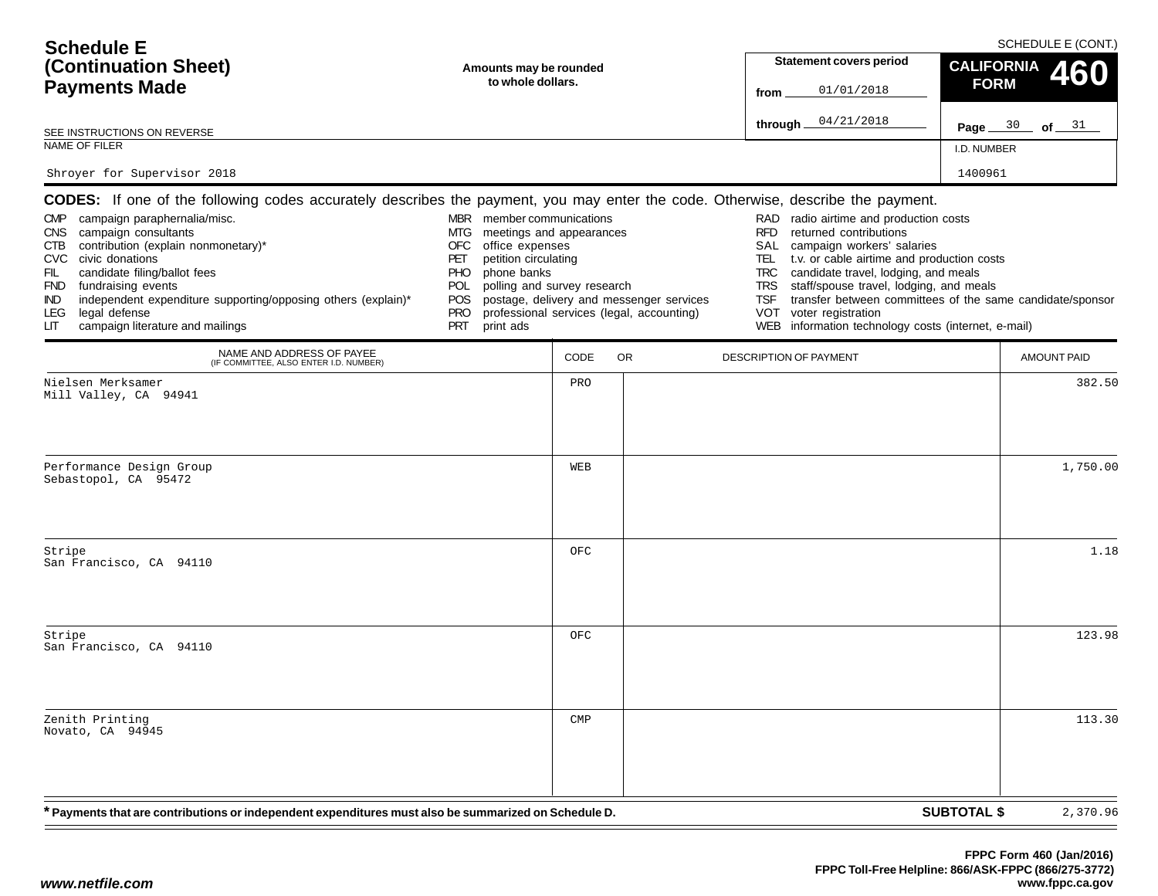| <b>Schedule E</b>                                                                                                                                                                                                                                                                                                                                                                                                                                                                                   |                                                                                                                                                                                                                                                  |                                             |                                                                                       |                                                                                    | <b>Statement covers period</b>                                                                                                                                                                                                                                                                                                                                        |                                  | SCHEDULE E (CONT.) |
|-----------------------------------------------------------------------------------------------------------------------------------------------------------------------------------------------------------------------------------------------------------------------------------------------------------------------------------------------------------------------------------------------------------------------------------------------------------------------------------------------------|--------------------------------------------------------------------------------------------------------------------------------------------------------------------------------------------------------------------------------------------------|---------------------------------------------|---------------------------------------------------------------------------------------|------------------------------------------------------------------------------------|-----------------------------------------------------------------------------------------------------------------------------------------------------------------------------------------------------------------------------------------------------------------------------------------------------------------------------------------------------------------------|----------------------------------|--------------------|
| (Continuation Sheet)<br><b>Payments Made</b>                                                                                                                                                                                                                                                                                                                                                                                                                                                        |                                                                                                                                                                                                                                                  | Amounts may be rounded<br>to whole dollars. |                                                                                       |                                                                                    | 01/01/2018                                                                                                                                                                                                                                                                                                                                                            | <b>CALIFORNIA</b><br><b>FORM</b> | 460                |
| SEE INSTRUCTIONS ON REVERSE                                                                                                                                                                                                                                                                                                                                                                                                                                                                         |                                                                                                                                                                                                                                                  |                                             |                                                                                       | through                                                                            | 04/21/2018                                                                                                                                                                                                                                                                                                                                                            |                                  | Page $30$ of $31$  |
| NAME OF FILER                                                                                                                                                                                                                                                                                                                                                                                                                                                                                       |                                                                                                                                                                                                                                                  |                                             |                                                                                       |                                                                                    |                                                                                                                                                                                                                                                                                                                                                                       | I.D. NUMBER                      |                    |
| Shroyer for Supervisor 2018                                                                                                                                                                                                                                                                                                                                                                                                                                                                         |                                                                                                                                                                                                                                                  |                                             |                                                                                       |                                                                                    |                                                                                                                                                                                                                                                                                                                                                                       | 1400961                          |                    |
| <b>CODES:</b> If one of the following codes accurately describes the payment, you may enter the code. Otherwise, describe the payment.<br>CMP campaign paraphernalia/misc.<br>campaign consultants<br><b>CNS</b><br>contribution (explain nonmonetary)*<br>CTB<br>CVC civic donations<br>FIL<br>candidate filing/ballot fees<br>FND fundraising events<br>independent expenditure supporting/opposing others (explain)*<br>IND.<br>legal defense<br>LEG.<br>campaign literature and mailings<br>LІТ | MBR member communications<br>meetings and appearances<br>MTG.<br>OFC<br>office expenses<br>PET<br>petition circulating<br>phone banks<br><b>PHO</b><br>polling and survey research<br><b>POL</b><br>POS<br><b>PRO</b><br><b>PRT</b><br>print ads |                                             | postage, delivery and messenger services<br>professional services (legal, accounting) | RAD.<br><b>RFD</b><br>SAL<br>TEL.<br><b>TRC</b><br><b>TRS</b><br><b>TSF</b><br>VOT | radio airtime and production costs<br>returned contributions<br>campaign workers' salaries<br>t.v. or cable airtime and production costs<br>candidate travel, lodging, and meals<br>staff/spouse travel, lodging, and meals<br>transfer between committees of the same candidate/sponsor<br>voter registration<br>WEB information technology costs (internet, e-mail) |                                  |                    |
| NAME AND ADDRESS OF PAYEE<br>(IF COMMITTEE, ALSO ENTER I.D. NUMBER)                                                                                                                                                                                                                                                                                                                                                                                                                                 |                                                                                                                                                                                                                                                  | CODE                                        | <b>OR</b>                                                                             | DESCRIPTION OF PAYMENT                                                             |                                                                                                                                                                                                                                                                                                                                                                       |                                  | <b>AMOUNT PAID</b> |
| Nielsen Merksamer<br>Mill Valley, CA 94941                                                                                                                                                                                                                                                                                                                                                                                                                                                          |                                                                                                                                                                                                                                                  | PRO                                         |                                                                                       |                                                                                    |                                                                                                                                                                                                                                                                                                                                                                       |                                  | 382.50             |
| Performance Design Group<br>Sebastopol, CA 95472                                                                                                                                                                                                                                                                                                                                                                                                                                                    |                                                                                                                                                                                                                                                  | WEB                                         |                                                                                       |                                                                                    |                                                                                                                                                                                                                                                                                                                                                                       |                                  | 1,750.00           |
| Stripe<br>San Francisco, CA 94110                                                                                                                                                                                                                                                                                                                                                                                                                                                                   |                                                                                                                                                                                                                                                  | OFC                                         |                                                                                       |                                                                                    |                                                                                                                                                                                                                                                                                                                                                                       |                                  | 1.18               |
| Stripe<br>San Francisco, CA 94110                                                                                                                                                                                                                                                                                                                                                                                                                                                                   |                                                                                                                                                                                                                                                  | OFC                                         |                                                                                       |                                                                                    |                                                                                                                                                                                                                                                                                                                                                                       |                                  | 123.98             |
| Zenith Printing<br>Novato, CA 94945                                                                                                                                                                                                                                                                                                                                                                                                                                                                 |                                                                                                                                                                                                                                                  | $\ensuremath{\mathrm{CMP}}$                 |                                                                                       |                                                                                    |                                                                                                                                                                                                                                                                                                                                                                       |                                  | 113.30             |
| * Payments that are contributions or independent expenditures must also be summarized on Schedule D.                                                                                                                                                                                                                                                                                                                                                                                                |                                                                                                                                                                                                                                                  |                                             |                                                                                       |                                                                                    |                                                                                                                                                                                                                                                                                                                                                                       | <b>SUBTOTAL \$</b>               | 2,370.96           |